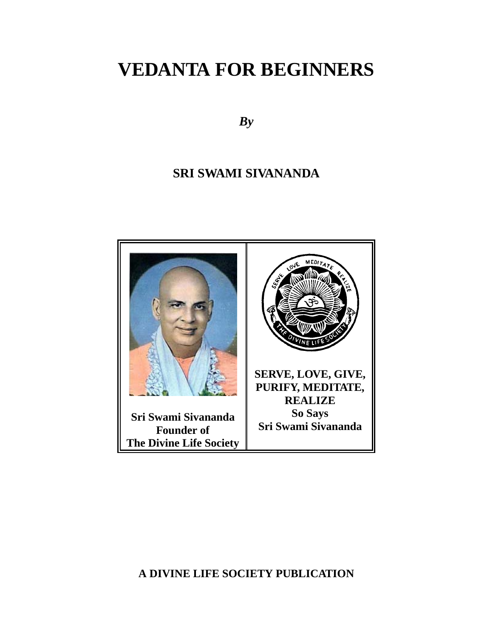# **VEDANTA FOR BEGINNERS**

*By*

## **SRI SWAMI SIVANANDA**



**A DIVINE LIFE SOCIETY PUBLICATION**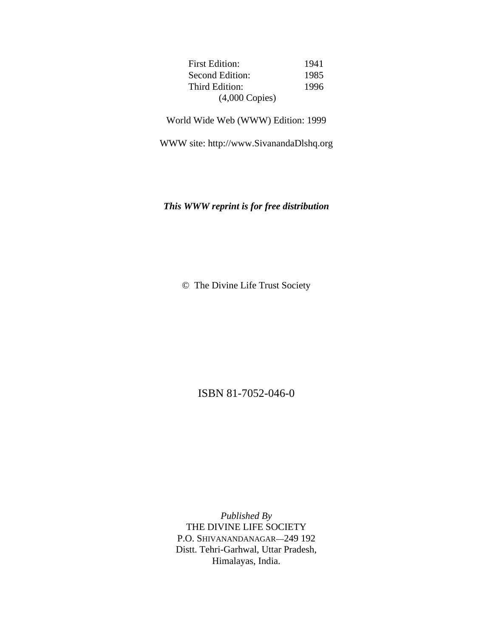| <b>First Edition:</b> | 1941                     |
|-----------------------|--------------------------|
| Second Edition:       | 1985                     |
| Third Edition:        | 1996                     |
|                       | $(4,000 \text{ Copies})$ |

World Wide Web (WWW) Edition: 1999

WWW site: http://www.SivanandaDlshq.org

*This WWW reprint is for free distribution*

© The Divine Life Trust Society

ISBN 81-7052-046-0

*Published By* THE DIVINE LIFE SOCIETY P.O. SHIVANANDANAGAR—249 192 Distt. Tehri-Garhwal, Uttar Pradesh, Himalayas, India.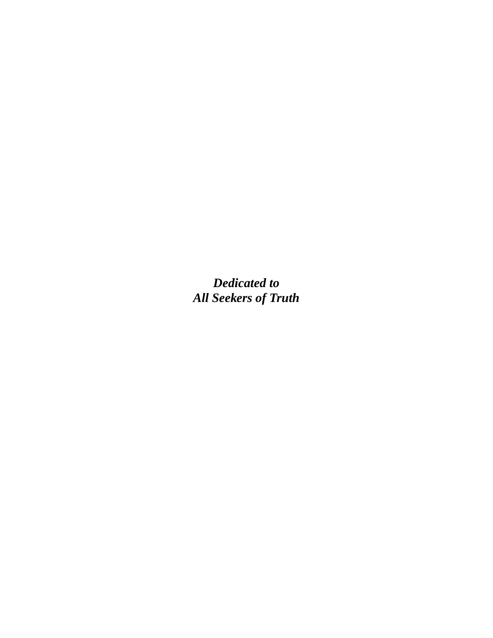*Dedicated to All Seekers of Truth*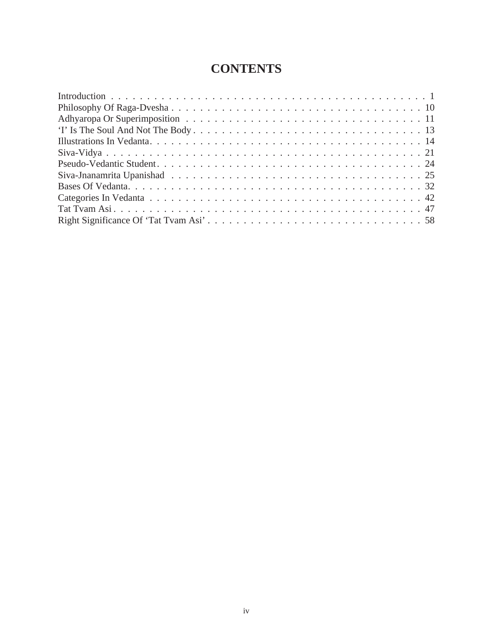## **CONTENTS**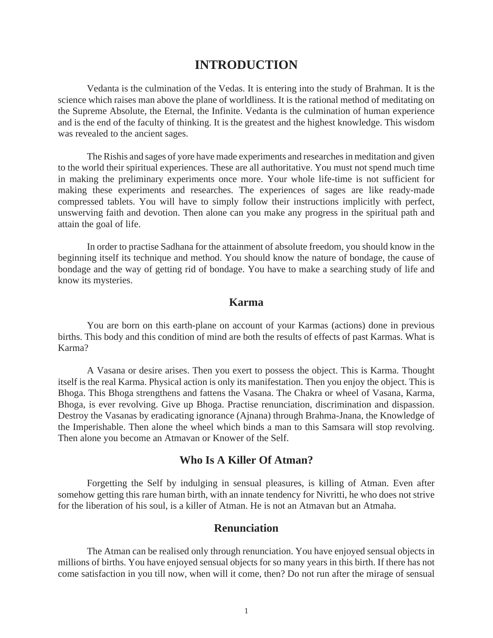## **INTRODUCTION**

Vedanta is the culmination of the Vedas. It is entering into the study of Brahman. It is the science which raises man above the plane of worldliness. It is the rational method of meditating on the Supreme Absolute, the Eternal, the Infinite. Vedanta is the culmination of human experience and is the end of the faculty of thinking. It is the greatest and the highest knowledge. This wisdom was revealed to the ancient sages.

The Rishis and sages of yore have made experiments and researches in meditation and given to the world their spiritual experiences. These are all authoritative. You must not spend much time in making the preliminary experiments once more. Your whole life-time is not sufficient for making these experiments and researches. The experiences of sages are like ready-made compressed tablets. You will have to simply follow their instructions implicitly with perfect, unswerving faith and devotion. Then alone can you make any progress in the spiritual path and attain the goal of life.

In order to practise Sadhana for the attainment of absolute freedom, you should know in the beginning itself its technique and method. You should know the nature of bondage, the cause of bondage and the way of getting rid of bondage. You have to make a searching study of life and know its mysteries.

## **Karma**

You are born on this earth-plane on account of your Karmas (actions) done in previous births. This body and this condition of mind are both the results of effects of past Karmas. What is Karma?

A Vasana or desire arises. Then you exert to possess the object. This is Karma. Thought itself is the real Karma. Physical action is only its manifestation. Then you enjoy the object. This is Bhoga. This Bhoga strengthens and fattens the Vasana. The Chakra or wheel of Vasana, Karma, Bhoga, is ever revolving. Give up Bhoga. Practise renunciation, discrimination and dispassion. Destroy the Vasanas by eradicating ignorance (Ajnana) through Brahma-Jnana, the Knowledge of the Imperishable. Then alone the wheel which binds a man to this Samsara will stop revolving. Then alone you become an Atmavan or Knower of the Self.

#### **Who Is A Killer Of Atman?**

Forgetting the Self by indulging in sensual pleasures, is killing of Atman. Even after somehow getting this rare human birth, with an innate tendency for Nivritti, he who does not strive for the liberation of his soul, is a killer of Atman. He is not an Atmavan but an Atmaha.

## **Renunciation**

The Atman can be realised only through renunciation. You have enjoyed sensual objects in millions of births. You have enjoyed sensual objects for so many years in this birth. If there has not come satisfaction in you till now, when will it come, then? Do not run after the mirage of sensual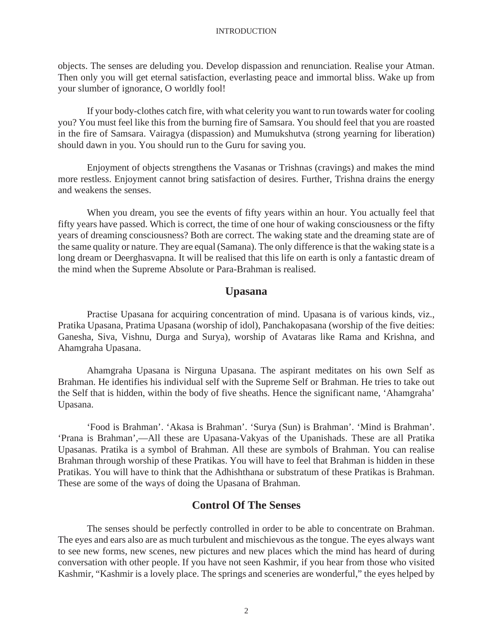objects. The senses are deluding you. Develop dispassion and renunciation. Realise your Atman. Then only you will get eternal satisfaction, everlasting peace and immortal bliss. Wake up from your slumber of ignorance, O worldly fool!

If your body-clothes catch fire, with what celerity you want to run towards water for cooling you? You must feel like this from the burning fire of Samsara. You should feel that you are roasted in the fire of Samsara. Vairagya (dispassion) and Mumukshutva (strong yearning for liberation) should dawn in you. You should run to the Guru for saving you.

Enjoyment of objects strengthens the Vasanas or Trishnas (cravings) and makes the mind more restless. Enjoyment cannot bring satisfaction of desires. Further, Trishna drains the energy and weakens the senses.

When you dream, you see the events of fifty years within an hour. You actually feel that fifty years have passed. Which is correct, the time of one hour of waking consciousness or the fifty years of dreaming consciousness? Both are correct. The waking state and the dreaming state are of the same quality or nature. They are equal (Samana). The only difference is that the waking state is a long dream or Deerghasvapna. It will be realised that this life on earth is only a fantastic dream of the mind when the Supreme Absolute or Para-Brahman is realised.

## **Upasana**

Practise Upasana for acquiring concentration of mind. Upasana is of various kinds, viz., Pratika Upasana, Pratima Upasana (worship of idol), Panchakopasana (worship of the five deities: Ganesha, Siva, Vishnu, Durga and Surya), worship of Avataras like Rama and Krishna, and Ahamgraha Upasana.

Ahamgraha Upasana is Nirguna Upasana. The aspirant meditates on his own Self as Brahman. He identifies his individual self with the Supreme Self or Brahman. He tries to take out the Self that is hidden, within the body of five sheaths. Hence the significant name, 'Ahamgraha' Upasana.

'Food is Brahman'. 'Akasa is Brahman'. 'Surya (Sun) is Brahman'. 'Mind is Brahman'. 'Prana is Brahman',—All these are Upasana-Vakyas of the Upanishads. These are all Pratika Upasanas. Pratika is a symbol of Brahman. All these are symbols of Brahman. You can realise Brahman through worship of these Pratikas. You will have to feel that Brahman is hidden in these Pratikas. You will have to think that the Adhishthana or substratum of these Pratikas is Brahman. These are some of the ways of doing the Upasana of Brahman.

## **Control Of The Senses**

The senses should be perfectly controlled in order to be able to concentrate on Brahman. The eyes and ears also are as much turbulent and mischievous as the tongue. The eyes always want to see new forms, new scenes, new pictures and new places which the mind has heard of during conversation with other people. If you have not seen Kashmir, if you hear from those who visited Kashmir, "Kashmir is a lovely place. The springs and sceneries are wonderful," the eyes helped by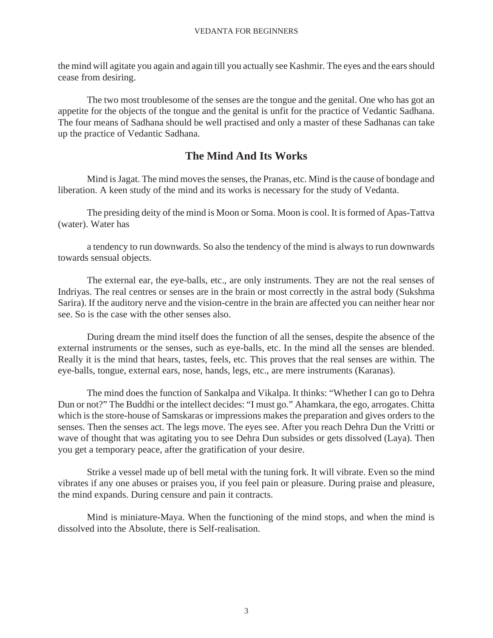the mind will agitate you again and again till you actually see Kashmir. The eyes and the ears should cease from desiring.

The two most troublesome of the senses are the tongue and the genital. One who has got an appetite for the objects of the tongue and the genital is unfit for the practice of Vedantic Sadhana. The four means of Sadhana should be well practised and only a master of these Sadhanas can take up the practice of Vedantic Sadhana.

## **The Mind And Its Works**

Mind is Jagat. The mind moves the senses, the Pranas, etc. Mind is the cause of bondage and liberation. A keen study of the mind and its works is necessary for the study of Vedanta.

The presiding deity of the mind is Moon or Soma. Moon is cool. It is formed of Apas-Tattva (water). Water has

a tendency to run downwards. So also the tendency of the mind is always to run downwards towards sensual objects.

The external ear, the eye-balls, etc., are only instruments. They are not the real senses of Indriyas. The real centres or senses are in the brain or most correctly in the astral body (Sukshma Sarira). If the auditory nerve and the vision-centre in the brain are affected you can neither hear nor see. So is the case with the other senses also.

During dream the mind itself does the function of all the senses, despite the absence of the external instruments or the senses, such as eye-balls, etc. In the mind all the senses are blended. Really it is the mind that hears, tastes, feels, etc. This proves that the real senses are within. The eye-balls, tongue, external ears, nose, hands, legs, etc., are mere instruments (Karanas).

The mind does the function of Sankalpa and Vikalpa. It thinks: "Whether I can go to Dehra Dun or not?" The Buddhi or the intellect decides: "I must go." Ahamkara, the ego, arrogates. Chitta which is the store-house of Samskaras or impressions makes the preparation and gives orders to the senses. Then the senses act. The legs move. The eyes see. After you reach Dehra Dun the Vritti or wave of thought that was agitating you to see Dehra Dun subsides or gets dissolved (Laya). Then you get a temporary peace, after the gratification of your desire.

Strike a vessel made up of bell metal with the tuning fork. It will vibrate. Even so the mind vibrates if any one abuses or praises you, if you feel pain or pleasure. During praise and pleasure, the mind expands. During censure and pain it contracts.

Mind is miniature-Maya. When the functioning of the mind stops, and when the mind is dissolved into the Absolute, there is Self-realisation.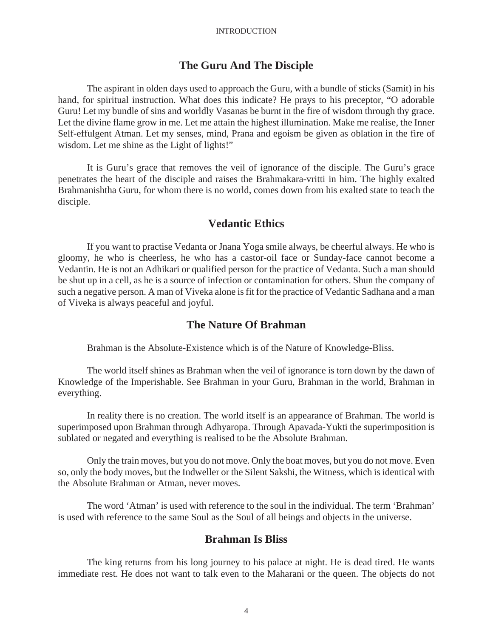#### **INTRODUCTION**

## **The Guru And The Disciple**

The aspirant in olden days used to approach the Guru, with a bundle of sticks (Samit) in his hand, for spiritual instruction. What does this indicate? He prays to his preceptor, "O adorable Guru! Let my bundle of sins and worldly Vasanas be burnt in the fire of wisdom through thy grace. Let the divine flame grow in me. Let me attain the highest illumination. Make me realise, the Inner Self-effulgent Atman. Let my senses, mind, Prana and egoism be given as oblation in the fire of wisdom. Let me shine as the Light of lights!"

It is Guru's grace that removes the veil of ignorance of the disciple. The Guru's grace penetrates the heart of the disciple and raises the Brahmakara-vritti in him. The highly exalted Brahmanishtha Guru, for whom there is no world, comes down from his exalted state to teach the disciple.

## **Vedantic Ethics**

If you want to practise Vedanta or Jnana Yoga smile always, be cheerful always. He who is gloomy, he who is cheerless, he who has a castor-oil face or Sunday-face cannot become a Vedantin. He is not an Adhikari or qualified person for the practice of Vedanta. Such a man should be shut up in a cell, as he is a source of infection or contamination for others. Shun the company of such a negative person. A man of Viveka alone is fit for the practice of Vedantic Sadhana and a man of Viveka is always peaceful and joyful.

## **The Nature Of Brahman**

Brahman is the Absolute-Existence which is of the Nature of Knowledge-Bliss.

The world itself shines as Brahman when the veil of ignorance is torn down by the dawn of Knowledge of the Imperishable. See Brahman in your Guru, Brahman in the world, Brahman in everything.

In reality there is no creation. The world itself is an appearance of Brahman. The world is superimposed upon Brahman through Adhyaropa. Through Apavada-Yukti the superimposition is sublated or negated and everything is realised to be the Absolute Brahman.

Only the train moves, but you do not move. Only the boat moves, but you do not move. Even so, only the body moves, but the Indweller or the Silent Sakshi, the Witness, which is identical with the Absolute Brahman or Atman, never moves.

The word 'Atman' is used with reference to the soul in the individual. The term 'Brahman' is used with reference to the same Soul as the Soul of all beings and objects in the universe.

#### **Brahman Is Bliss**

The king returns from his long journey to his palace at night. He is dead tired. He wants immediate rest. He does not want to talk even to the Maharani or the queen. The objects do not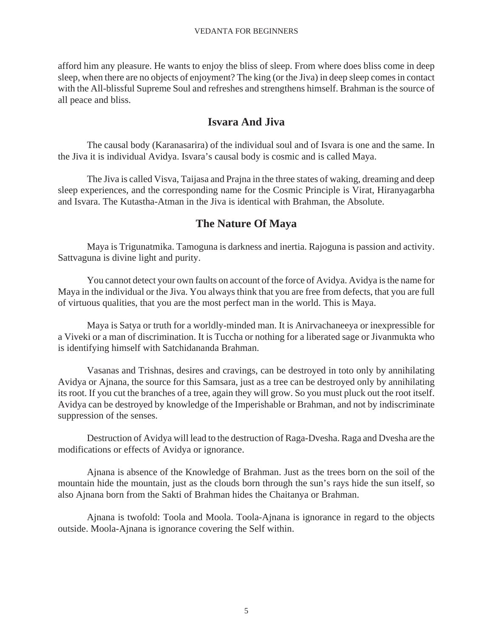afford him any pleasure. He wants to enjoy the bliss of sleep. From where does bliss come in deep sleep, when there are no objects of enjoyment? The king (or the Jiva) in deep sleep comes in contact with the All-blissful Supreme Soul and refreshes and strengthens himself. Brahman is the source of all peace and bliss.

## **Isvara And Jiva**

The causal body (Karanasarira) of the individual soul and of Isvara is one and the same. In the Jiva it is individual Avidya. Isvara's causal body is cosmic and is called Maya.

The Jiva is called Visva, Taijasa and Prajna in the three states of waking, dreaming and deep sleep experiences, and the corresponding name for the Cosmic Principle is Virat, Hiranyagarbha and Isvara. The Kutastha-Atman in the Jiva is identical with Brahman, the Absolute.

## **The Nature Of Maya**

Maya is Trigunatmika. Tamoguna is darkness and inertia. Rajoguna is passion and activity. Sattvaguna is divine light and purity.

You cannot detect your own faults on account of the force of Avidya. Avidya is the name for Maya in the individual or the Jiva. You always think that you are free from defects, that you are full of virtuous qualities, that you are the most perfect man in the world. This is Maya.

Maya is Satya or truth for a worldly-minded man. It is Anirvachaneeya or inexpressible for a Viveki or a man of discrimination. It is Tuccha or nothing for a liberated sage or Jivanmukta who is identifying himself with Satchidananda Brahman.

Vasanas and Trishnas, desires and cravings, can be destroyed in toto only by annihilating Avidya or Ajnana, the source for this Samsara, just as a tree can be destroyed only by annihilating its root. If you cut the branches of a tree, again they will grow. So you must pluck out the root itself. Avidya can be destroyed by knowledge of the Imperishable or Brahman, and not by indiscriminate suppression of the senses.

Destruction of Avidya will lead to the destruction of Raga-Dvesha. Raga and Dvesha are the modifications or effects of Avidya or ignorance.

Ajnana is absence of the Knowledge of Brahman. Just as the trees born on the soil of the mountain hide the mountain, just as the clouds born through the sun's rays hide the sun itself, so also Ajnana born from the Sakti of Brahman hides the Chaitanya or Brahman.

Ajnana is twofold: Toola and Moola. Toola-Ajnana is ignorance in regard to the objects outside. Moola-Ajnana is ignorance covering the Self within.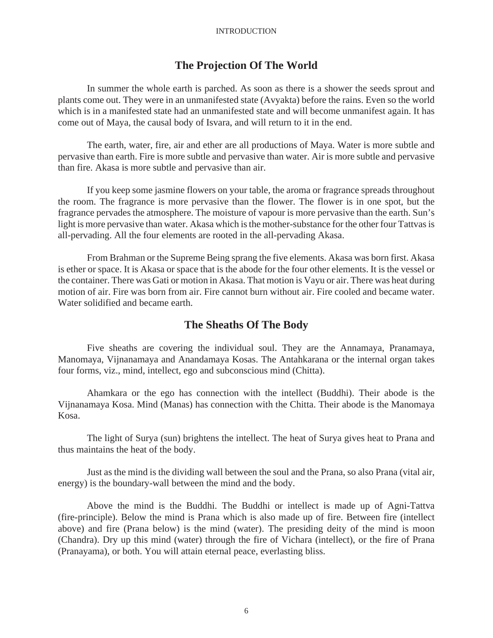#### **INTRODUCTION**

### **The Projection Of The World**

In summer the whole earth is parched. As soon as there is a shower the seeds sprout and plants come out. They were in an unmanifested state (Avyakta) before the rains. Even so the world which is in a manifested state had an unmanifested state and will become unmanifest again. It has come out of Maya, the causal body of Isvara, and will return to it in the end.

The earth, water, fire, air and ether are all productions of Maya. Water is more subtle and pervasive than earth. Fire is more subtle and pervasive than water. Air is more subtle and pervasive than fire. Akasa is more subtle and pervasive than air.

If you keep some jasmine flowers on your table, the aroma or fragrance spreads throughout the room. The fragrance is more pervasive than the flower. The flower is in one spot, but the fragrance pervades the atmosphere. The moisture of vapour is more pervasive than the earth. Sun's light is more pervasive than water. Akasa which is the mother-substance for the other four Tattvas is all-pervading. All the four elements are rooted in the all-pervading Akasa.

From Brahman or the Supreme Being sprang the five elements. Akasa was born first. Akasa is ether or space. It is Akasa or space that is the abode for the four other elements. It is the vessel or the container. There was Gati or motion in Akasa. That motion is Vayu or air. There was heat during motion of air. Fire was born from air. Fire cannot burn without air. Fire cooled and became water. Water solidified and became earth.

## **The Sheaths Of The Body**

Five sheaths are covering the individual soul. They are the Annamaya, Pranamaya, Manomaya, Vijnanamaya and Anandamaya Kosas. The Antahkarana or the internal organ takes four forms, viz., mind, intellect, ego and subconscious mind (Chitta).

Ahamkara or the ego has connection with the intellect (Buddhi). Their abode is the Vijnanamaya Kosa. Mind (Manas) has connection with the Chitta. Their abode is the Manomaya Kosa.

The light of Surya (sun) brightens the intellect. The heat of Surya gives heat to Prana and thus maintains the heat of the body.

Just as the mind is the dividing wall between the soul and the Prana, so also Prana (vital air, energy) is the boundary-wall between the mind and the body.

Above the mind is the Buddhi. The Buddhi or intellect is made up of Agni-Tattva (fire-principle). Below the mind is Prana which is also made up of fire. Between fire (intellect above) and fire (Prana below) is the mind (water). The presiding deity of the mind is moon (Chandra). Dry up this mind (water) through the fire of Vichara (intellect), or the fire of Prana (Pranayama), or both. You will attain eternal peace, everlasting bliss.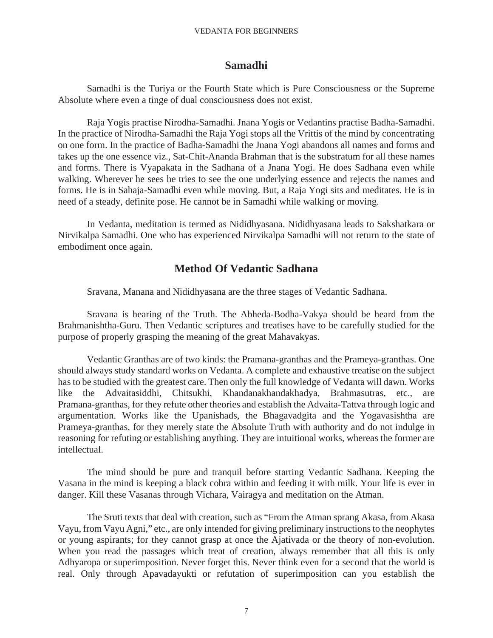#### VEDANTA FOR BEGINNERS

## **Samadhi**

Samadhi is the Turiya or the Fourth State which is Pure Consciousness or the Supreme Absolute where even a tinge of dual consciousness does not exist.

Raja Yogis practise Nirodha-Samadhi. Jnana Yogis or Vedantins practise Badha-Samadhi. In the practice of Nirodha-Samadhi the Raja Yogi stops all the Vrittis of the mind by concentrating on one form. In the practice of Badha-Samadhi the Jnana Yogi abandons all names and forms and takes up the one essence viz., Sat-Chit-Ananda Brahman that is the substratum for all these names and forms. There is Vyapakata in the Sadhana of a Jnana Yogi. He does Sadhana even while walking. Wherever he sees he tries to see the one underlying essence and rejects the names and forms. He is in Sahaja-Samadhi even while moving. But, a Raja Yogi sits and meditates. He is in need of a steady, definite pose. He cannot be in Samadhi while walking or moving.

In Vedanta, meditation is termed as Nididhyasana. Nididhyasana leads to Sakshatkara or Nirvikalpa Samadhi. One who has experienced Nirvikalpa Samadhi will not return to the state of embodiment once again.

## **Method Of Vedantic Sadhana**

Sravana, Manana and Nididhyasana are the three stages of Vedantic Sadhana.

Sravana is hearing of the Truth. The Abheda-Bodha-Vakya should be heard from the Brahmanishtha-Guru. Then Vedantic scriptures and treatises have to be carefully studied for the purpose of properly grasping the meaning of the great Mahavakyas.

Vedantic Granthas are of two kinds: the Pramana-granthas and the Prameya-granthas. One should always study standard works on Vedanta. A complete and exhaustive treatise on the subject has to be studied with the greatest care. Then only the full knowledge of Vedanta will dawn. Works like the Advaitasiddhi, Chitsukhi, Khandanakhandakhadya, Brahmasutras, etc., are Pramana-granthas, for they refute other theories and establish the Advaita-Tattva through logic and argumentation. Works like the Upanishads, the Bhagavadgita and the Yogavasishtha are Prameya-granthas, for they merely state the Absolute Truth with authority and do not indulge in reasoning for refuting or establishing anything. They are intuitional works, whereas the former are intellectual.

The mind should be pure and tranquil before starting Vedantic Sadhana. Keeping the Vasana in the mind is keeping a black cobra within and feeding it with milk. Your life is ever in danger. Kill these Vasanas through Vichara, Vairagya and meditation on the Atman.

The Sruti texts that deal with creation, such as "From the Atman sprang Akasa, from Akasa Vayu, from Vayu Agni," etc., are only intended for giving preliminary instructions to the neophytes or young aspirants; for they cannot grasp at once the Ajativada or the theory of non-evolution. When you read the passages which treat of creation, always remember that all this is only Adhyaropa or superimposition. Never forget this. Never think even for a second that the world is real. Only through Apavadayukti or refutation of superimposition can you establish the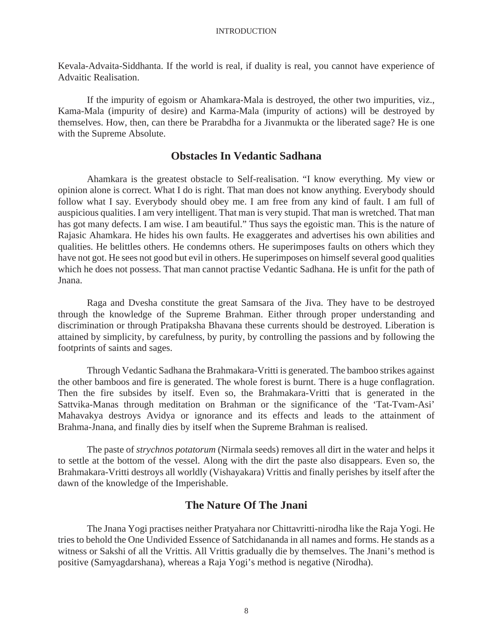Kevala-Advaita-Siddhanta. If the world is real, if duality is real, you cannot have experience of Advaitic Realisation.

If the impurity of egoism or Ahamkara-Mala is destroyed, the other two impurities, viz., Kama-Mala (impurity of desire) and Karma-Mala (impurity of actions) will be destroyed by themselves. How, then, can there be Prarabdha for a Jivanmukta or the liberated sage? He is one with the Supreme Absolute.

### **Obstacles In Vedantic Sadhana**

Ahamkara is the greatest obstacle to Self-realisation. "I know everything. My view or opinion alone is correct. What I do is right. That man does not know anything. Everybody should follow what I say. Everybody should obey me. I am free from any kind of fault. I am full of auspicious qualities. I am very intelligent. That man is very stupid. That man is wretched. That man has got many defects. I am wise. I am beautiful." Thus says the egoistic man. This is the nature of Rajasic Ahamkara. He hides his own faults. He exaggerates and advertises his own abilities and qualities. He belittles others. He condemns others. He superimposes faults on others which they have not got. He sees not good but evil in others. He superimposes on himself several good qualities which he does not possess. That man cannot practise Vedantic Sadhana. He is unfit for the path of Jnana.

Raga and Dvesha constitute the great Samsara of the Jiva. They have to be destroyed through the knowledge of the Supreme Brahman. Either through proper understanding and discrimination or through Pratipaksha Bhavana these currents should be destroyed. Liberation is attained by simplicity, by carefulness, by purity, by controlling the passions and by following the footprints of saints and sages.

Through Vedantic Sadhana the Brahmakara-Vritti is generated. The bamboo strikes against the other bamboos and fire is generated. The whole forest is burnt. There is a huge conflagration. Then the fire subsides by itself. Even so, the Brahmakara-Vritti that is generated in the Sattvika-Manas through meditation on Brahman or the significance of the 'Tat-Tvam-Asi' Mahavakya destroys Avidya or ignorance and its effects and leads to the attainment of Brahma-Jnana, and finally dies by itself when the Supreme Brahman is realised.

The paste of *strychnos potatorum* (Nirmala seeds) removes all dirt in the water and helps it to settle at the bottom of the vessel. Along with the dirt the paste also disappears. Even so, the Brahmakara-Vritti destroys all worldly (Vishayakara) Vrittis and finally perishes by itself after the dawn of the knowledge of the Imperishable.

## **The Nature Of The Jnani**

The Jnana Yogi practises neither Pratyahara nor Chittavritti-nirodha like the Raja Yogi. He tries to behold the One Undivided Essence of Satchidananda in all names and forms. He stands as a witness or Sakshi of all the Vrittis. All Vrittis gradually die by themselves. The Jnani's method is positive (Samyagdarshana), whereas a Raja Yogi's method is negative (Nirodha).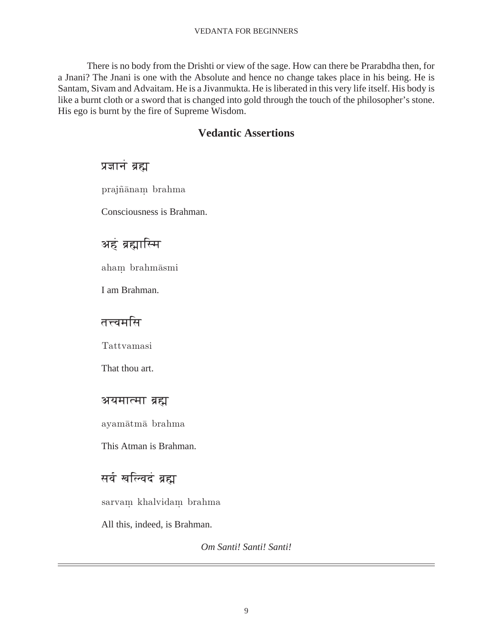There is no body from the Drishti or view of the sage. How can there be Prarabdha then, for a Jnani? The Jnani is one with the Absolute and hence no change takes place in his being. He is Santam, Sivam and Advaitam. He is a Jivanmukta. He is liberated in this very life itself. His body is like a burnt cloth or a sword that is changed into gold through the touch of the philosopher's stone. His ego is burnt by the fire of Supreme Wisdom.

## **Vedantic Assertions**

## प्रज्ञानं ब्रह्म

prajñānam brahma

Consciousness is Brahman.

## अहं ब्रह्मास्मि

aham brahmāsmi

Lam Brahman

## तत्त्वमसि

Tattvamasi

That thou art.

## अयमात्मा ब्रह्म

ayamātmā brahma

This Atman is Brahman.

## सर्व खल्विदं ब्रह्म

sarvam khalvidam brahma

All this, indeed, is Brahman.

Om Santi! Santi! Santi!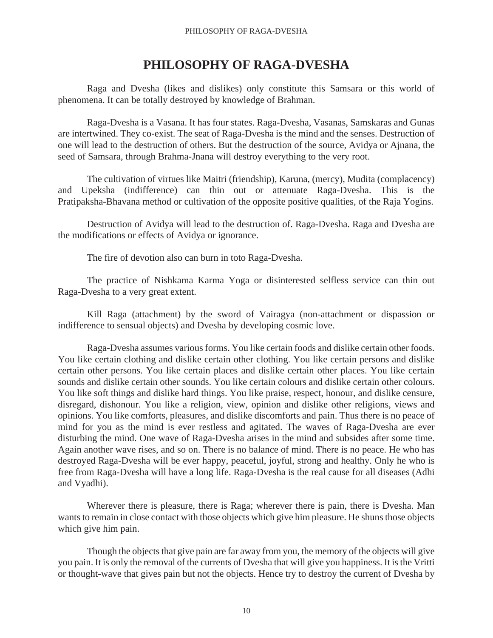## **PHILOSOPHY OF RAGA-DVESHA**

Raga and Dvesha (likes and dislikes) only constitute this Samsara or this world of phenomena. It can be totally destroyed by knowledge of Brahman.

Raga-Dvesha is a Vasana. It has four states. Raga-Dvesha, Vasanas, Samskaras and Gunas are intertwined. They co-exist. The seat of Raga-Dvesha is the mind and the senses. Destruction of one will lead to the destruction of others. But the destruction of the source, Avidya or Ajnana, the seed of Samsara, through Brahma-Jnana will destroy everything to the very root.

The cultivation of virtues like Maitri (friendship), Karuna, (mercy), Mudita (complacency) and Upeksha (indifference) can thin out or attenuate Raga-Dvesha. This is the Pratipaksha-Bhavana method or cultivation of the opposite positive qualities, of the Raja Yogins.

Destruction of Avidya will lead to the destruction of. Raga-Dvesha. Raga and Dvesha are the modifications or effects of Avidya or ignorance.

The fire of devotion also can burn in toto Raga-Dvesha.

The practice of Nishkama Karma Yoga or disinterested selfless service can thin out Raga-Dvesha to a very great extent.

Kill Raga (attachment) by the sword of Vairagya (non-attachment or dispassion or indifference to sensual objects) and Dvesha by developing cosmic love.

Raga-Dvesha assumes various forms. You like certain foods and dislike certain other foods. You like certain clothing and dislike certain other clothing. You like certain persons and dislike certain other persons. You like certain places and dislike certain other places. You like certain sounds and dislike certain other sounds. You like certain colours and dislike certain other colours. You like soft things and dislike hard things. You like praise, respect, honour, and dislike censure, disregard, dishonour. You like a religion, view, opinion and dislike other religions, views and opinions. You like comforts, pleasures, and dislike discomforts and pain. Thus there is no peace of mind for you as the mind is ever restless and agitated. The waves of Raga-Dvesha are ever disturbing the mind. One wave of Raga-Dvesha arises in the mind and subsides after some time. Again another wave rises, and so on. There is no balance of mind. There is no peace. He who has destroyed Raga-Dvesha will be ever happy, peaceful, joyful, strong and healthy. Only he who is free from Raga-Dvesha will have a long life. Raga-Dvesha is the real cause for all diseases (Adhi and Vyadhi).

Wherever there is pleasure, there is Raga; wherever there is pain, there is Dvesha. Man wants to remain in close contact with those objects which give him pleasure. He shuns those objects which give him pain.

Though the objects that give pain are far away from you, the memory of the objects will give you pain. It is only the removal of the currents of Dvesha that will give you happiness. It is the Vritti or thought-wave that gives pain but not the objects. Hence try to destroy the current of Dvesha by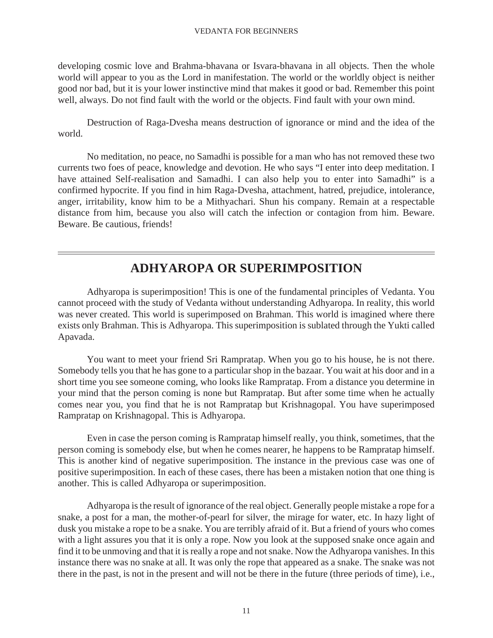developing cosmic love and Brahma-bhavana or Isvara-bhavana in all objects. Then the whole world will appear to you as the Lord in manifestation. The world or the worldly object is neither good nor bad, but it is your lower instinctive mind that makes it good or bad. Remember this point well, always. Do not find fault with the world or the objects. Find fault with your own mind.

Destruction of Raga-Dvesha means destruction of ignorance or mind and the idea of the world.

No meditation, no peace, no Samadhi is possible for a man who has not removed these two currents two foes of peace, knowledge and devotion. He who says "I enter into deep meditation. I have attained Self-realisation and Samadhi. I can also help you to enter into Samadhi" is a confirmed hypocrite. If you find in him Raga-Dvesha, attachment, hatred, prejudice, intolerance, anger, irritability, know him to be a Mithyachari. Shun his company. Remain at a respectable distance from him, because you also will catch the infection or contagion from him. Beware. Beware. Be cautious, friends!

## **ADHYAROPA OR SUPERIMPOSITION**

Adhyaropa is superimposition! This is one of the fundamental principles of Vedanta. You cannot proceed with the study of Vedanta without understanding Adhyaropa. In reality, this world was never created. This world is superimposed on Brahman. This world is imagined where there exists only Brahman. This is Adhyaropa. This superimposition is sublated through the Yukti called Apavada.

You want to meet your friend Sri Rampratap. When you go to his house, he is not there. Somebody tells you that he has gone to a particular shop in the bazaar. You wait at his door and in a short time you see someone coming, who looks like Rampratap. From a distance you determine in your mind that the person coming is none but Rampratap. But after some time when he actually comes near you, you find that he is not Rampratap but Krishnagopal. You have superimposed Rampratap on Krishnagopal. This is Adhyaropa.

Even in case the person coming is Rampratap himself really, you think, sometimes, that the person coming is somebody else, but when he comes nearer, he happens to be Rampratap himself. This is another kind of negative superimposition. The instance in the previous case was one of positive superimposition. In each of these cases, there has been a mistaken notion that one thing is another. This is called Adhyaropa or superimposition.

Adhyaropa is the result of ignorance of the real object. Generally people mistake a rope for a snake, a post for a man, the mother-of-pearl for silver, the mirage for water, etc. In hazy light of dusk you mistake a rope to be a snake. You are terribly afraid of it. But a friend of yours who comes with a light assures you that it is only a rope. Now you look at the supposed snake once again and find it to be unmoving and that it is really a rope and not snake. Now the Adhyaropa vanishes. In this instance there was no snake at all. It was only the rope that appeared as a snake. The snake was not there in the past, is not in the present and will not be there in the future (three periods of time), i.e.,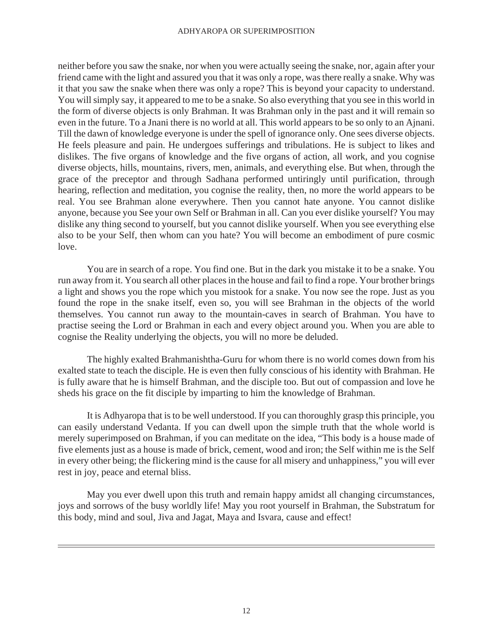#### ADHYAROPA OR SUPERIMPOSITION

neither before you saw the snake, nor when you were actually seeing the snake, nor, again after your friend came with the light and assured you that it was only a rope, was there really a snake. Why was it that you saw the snake when there was only a rope? This is beyond your capacity to understand. You will simply say, it appeared to me to be a snake. So also everything that you see in this world in the form of diverse objects is only Brahman. It was Brahman only in the past and it will remain so even in the future. To a Jnani there is no world at all. This world appears to be so only to an Ajnani. Till the dawn of knowledge everyone is under the spell of ignorance only. One sees diverse objects. He feels pleasure and pain. He undergoes sufferings and tribulations. He is subject to likes and dislikes. The five organs of knowledge and the five organs of action, all work, and you cognise diverse objects, hills, mountains, rivers, men, animals, and everything else. But when, through the grace of the preceptor and through Sadhana performed untiringly until purification, through hearing, reflection and meditation, you cognise the reality, then, no more the world appears to be real. You see Brahman alone everywhere. Then you cannot hate anyone. You cannot dislike anyone, because you See your own Self or Brahman in all. Can you ever dislike yourself? You may dislike any thing second to yourself, but you cannot dislike yourself. When you see everything else also to be your Self, then whom can you hate? You will become an embodiment of pure cosmic love.

You are in search of a rope. You find one. But in the dark you mistake it to be a snake. You run away from it. You search all other places in the house and fail to find a rope. Your brother brings a light and shows you the rope which you mistook for a snake. You now see the rope. Just as you found the rope in the snake itself, even so, you will see Brahman in the objects of the world themselves. You cannot run away to the mountain-caves in search of Brahman. You have to practise seeing the Lord or Brahman in each and every object around you. When you are able to cognise the Reality underlying the objects, you will no more be deluded.

The highly exalted Brahmanishtha-Guru for whom there is no world comes down from his exalted state to teach the disciple. He is even then fully conscious of his identity with Brahman. He is fully aware that he is himself Brahman, and the disciple too. But out of compassion and love he sheds his grace on the fit disciple by imparting to him the knowledge of Brahman.

It is Adhyaropa that is to be well understood. If you can thoroughly grasp this principle, you can easily understand Vedanta. If you can dwell upon the simple truth that the whole world is merely superimposed on Brahman, if you can meditate on the idea, "This body is a house made of five elements just as a house is made of brick, cement, wood and iron; the Self within me is the Self in every other being; the flickering mind is the cause for all misery and unhappiness," you will ever rest in joy, peace and eternal bliss.

May you ever dwell upon this truth and remain happy amidst all changing circumstances, joys and sorrows of the busy worldly life! May you root yourself in Brahman, the Substratum for this body, mind and soul, Jiva and Jagat, Maya and Isvara, cause and effect!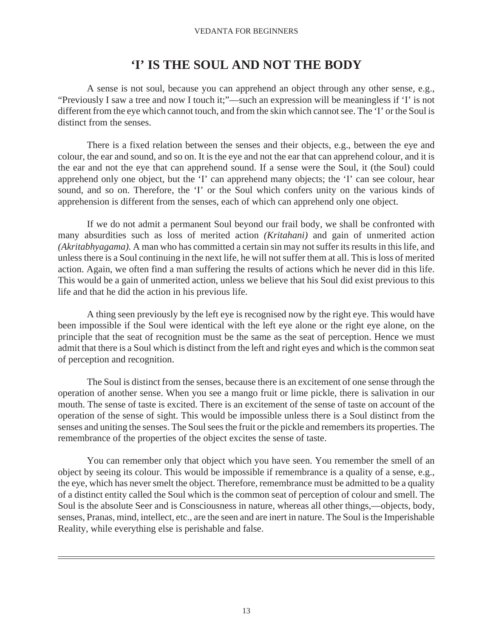#### VEDANTA FOR BEGINNERS

## **'I' IS THE SOUL AND NOT THE BODY**

A sense is not soul, because you can apprehend an object through any other sense, e.g., "Previously I saw a tree and now I touch it;"—such an expression will be meaningless if 'I' is not different from the eye which cannot touch, and from the skin which cannot see. The 'I' or the Soul is distinct from the senses.

There is a fixed relation between the senses and their objects, e.g., between the eye and colour, the ear and sound, and so on. It is the eye and not the ear that can apprehend colour, and it is the ear and not the eye that can apprehend sound. If a sense were the Soul, it (the Soul) could apprehend only one object, but the 'I' can apprehend many objects; the 'I' can see colour, hear sound, and so on. Therefore, the 'I' or the Soul which confers unity on the various kinds of apprehension is different from the senses, each of which can apprehend only one object.

If we do not admit a permanent Soul beyond our frail body, we shall be confronted with many absurdities such as loss of merited action *(Kritahani)* and gain of unmerited action *(Akritabhyagama).* A man who has committed a certain sin may not suffer its results in this life, and unless there is a Soul continuing in the next life, he will not suffer them at all. This is loss of merited action. Again, we often find a man suffering the results of actions which he never did in this life. This would be a gain of unmerited action, unless we believe that his Soul did exist previous to this life and that he did the action in his previous life.

A thing seen previously by the left eye is recognised now by the right eye. This would have been impossible if the Soul were identical with the left eye alone or the right eye alone, on the principle that the seat of recognition must be the same as the seat of perception. Hence we must admit that there is a Soul which is distinct from the left and right eyes and which is the common seat of perception and recognition.

The Soul is distinct from the senses, because there is an excitement of one sense through the operation of another sense. When you see a mango fruit or lime pickle, there is salivation in our mouth. The sense of taste is excited. There is an excitement of the sense of taste on account of the operation of the sense of sight. This would be impossible unless there is a Soul distinct from the senses and uniting the senses. The Soul sees the fruit or the pickle and remembers its properties. The remembrance of the properties of the object excites the sense of taste.

You can remember only that object which you have seen. You remember the smell of an object by seeing its colour. This would be impossible if remembrance is a quality of a sense, e.g., the eye, which has never smelt the object. Therefore, remembrance must be admitted to be a quality of a distinct entity called the Soul which is the common seat of perception of colour and smell. The Soul is the absolute Seer and is Consciousness in nature, whereas all other things,—objects, body, senses, Pranas, mind, intellect, etc., are the seen and are inert in nature. The Soul is the Imperishable Reality, while everything else is perishable and false.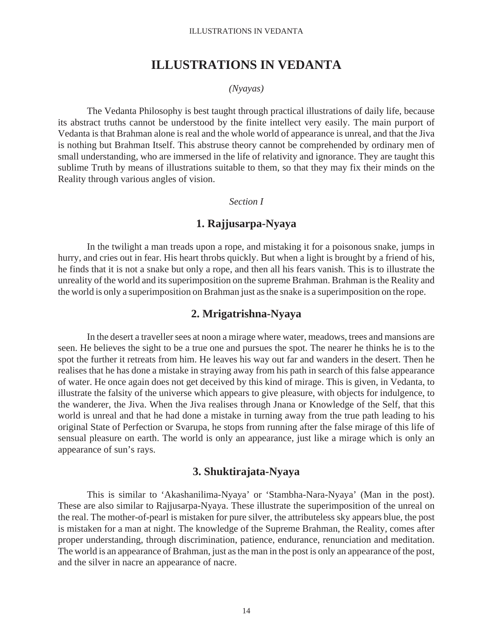## **ILLUSTRATIONS IN VEDANTA**

#### *(Nyayas)*

The Vedanta Philosophy is best taught through practical illustrations of daily life, because its abstract truths cannot be understood by the finite intellect very easily. The main purport of Vedanta is that Brahman alone is real and the whole world of appearance is unreal, and that the Jiva is nothing but Brahman Itself. This abstruse theory cannot be comprehended by ordinary men of small understanding, who are immersed in the life of relativity and ignorance. They are taught this sublime Truth by means of illustrations suitable to them, so that they may fix their minds on the Reality through various angles of vision.

#### *Section I*

#### **1. Rajjusarpa-Nyaya**

In the twilight a man treads upon a rope, and mistaking it for a poisonous snake, jumps in hurry, and cries out in fear. His heart throbs quickly. But when a light is brought by a friend of his, he finds that it is not a snake but only a rope, and then all his fears vanish. This is to illustrate the unreality of the world and its superimposition on the supreme Brahman. Brahman is the Reality and the world is only a superimposition on Brahman just as the snake is a superimposition on the rope.

#### **2. Mrigatrishna-Nyaya**

In the desert a traveller sees at noon a mirage where water, meadows, trees and mansions are seen. He believes the sight to be a true one and pursues the spot. The nearer he thinks he is to the spot the further it retreats from him. He leaves his way out far and wanders in the desert. Then he realises that he has done a mistake in straying away from his path in search of this false appearance of water. He once again does not get deceived by this kind of mirage. This is given, in Vedanta, to illustrate the falsity of the universe which appears to give pleasure, with objects for indulgence, to the wanderer, the Jiva. When the Jiva realises through Jnana or Knowledge of the Self, that this world is unreal and that he had done a mistake in turning away from the true path leading to his original State of Perfection or Svarupa, he stops from running after the false mirage of this life of sensual pleasure on earth. The world is only an appearance, just like a mirage which is only an appearance of sun's rays.

## **3. Shuktirajata-Nyaya**

This is similar to 'Akashanilima-Nyaya' or 'Stambha-Nara-Nyaya' (Man in the post). These are also similar to Rajjusarpa-Nyaya. These illustrate the superimposition of the unreal on the real. The mother-of-pearl is mistaken for pure silver, the attributeless sky appears blue, the post is mistaken for a man at night. The knowledge of the Supreme Brahman, the Reality, comes after proper understanding, through discrimination, patience, endurance, renunciation and meditation. The world is an appearance of Brahman, just as the man in the post is only an appearance of the post, and the silver in nacre an appearance of nacre.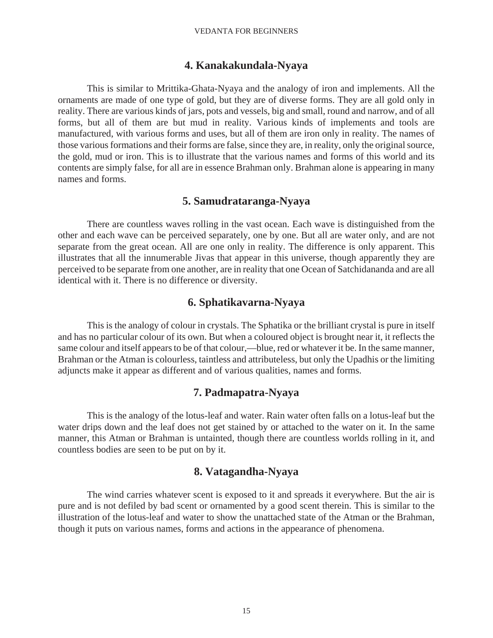## **4. Kanakakundala-Nyaya**

This is similar to Mrittika-Ghata-Nyaya and the analogy of iron and implements. All the ornaments are made of one type of gold, but they are of diverse forms. They are all gold only in reality. There are various kinds of jars, pots and vessels, big and small, round and narrow, and of all forms, but all of them are but mud in reality. Various kinds of implements and tools are manufactured, with various forms and uses, but all of them are iron only in reality. The names of those various formations and their forms are false, since they are, in reality, only the original source, the gold, mud or iron. This is to illustrate that the various names and forms of this world and its contents are simply false, for all are in essence Brahman only. Brahman alone is appearing in many names and forms.

## **5. Samudrataranga-Nyaya**

There are countless waves rolling in the vast ocean. Each wave is distinguished from the other and each wave can be perceived separately, one by one. But all are water only, and are not separate from the great ocean. All are one only in reality. The difference is only apparent. This illustrates that all the innumerable Jivas that appear in this universe, though apparently they are perceived to be separate from one another, are in reality that one Ocean of Satchidananda and are all identical with it. There is no difference or diversity.

#### **6. Sphatikavarna-Nyaya**

This is the analogy of colour in crystals. The Sphatika or the brilliant crystal is pure in itself and has no particular colour of its own. But when a coloured object is brought near it, it reflects the same colour and itself appears to be of that colour,—blue, red or whatever it be. In the same manner, Brahman or the Atman is colourless, taintless and attributeless, but only the Upadhis or the limiting adjuncts make it appear as different and of various qualities, names and forms.

## **7. Padmapatra-Nyaya**

This is the analogy of the lotus-leaf and water. Rain water often falls on a lotus-leaf but the water drips down and the leaf does not get stained by or attached to the water on it. In the same manner, this Atman or Brahman is untainted, though there are countless worlds rolling in it, and countless bodies are seen to be put on by it.

### **8. Vatagandha-Nyaya**

The wind carries whatever scent is exposed to it and spreads it everywhere. But the air is pure and is not defiled by bad scent or ornamented by a good scent therein. This is similar to the illustration of the lotus-leaf and water to show the unattached state of the Atman or the Brahman, though it puts on various names, forms and actions in the appearance of phenomena.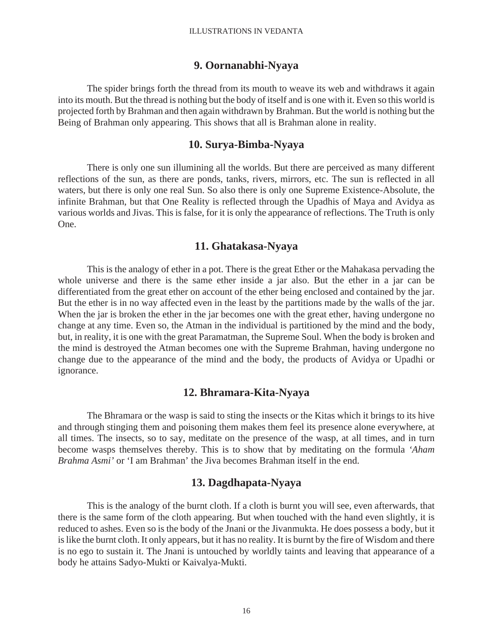#### **9. Oornanabhi-Nyaya**

The spider brings forth the thread from its mouth to weave its web and withdraws it again into its mouth. But the thread is nothing but the body of itself and is one with it. Even so this world is projected forth by Brahman and then again withdrawn by Brahman. But the world is nothing but the Being of Brahman only appearing. This shows that all is Brahman alone in reality.

#### **10. Surya-Bimba-Nyaya**

There is only one sun illumining all the worlds. But there are perceived as many different reflections of the sun, as there are ponds, tanks, rivers, mirrors, etc. The sun is reflected in all waters, but there is only one real Sun. So also there is only one Supreme Existence-Absolute, the infinite Brahman, but that One Reality is reflected through the Upadhis of Maya and Avidya as various worlds and Jivas. This is false, for it is only the appearance of reflections. The Truth is only One.

## **11. Ghatakasa-Nyaya**

This is the analogy of ether in a pot. There is the great Ether or the Mahakasa pervading the whole universe and there is the same ether inside a jar also. But the ether in a jar can be differentiated from the great ether on account of the ether being enclosed and contained by the jar. But the ether is in no way affected even in the least by the partitions made by the walls of the jar. When the jar is broken the ether in the jar becomes one with the great ether, having undergone no change at any time. Even so, the Atman in the individual is partitioned by the mind and the body, but, in reality, it is one with the great Paramatman, the Supreme Soul. When the body is broken and the mind is destroyed the Atman becomes one with the Supreme Brahman, having undergone no change due to the appearance of the mind and the body, the products of Avidya or Upadhi or ignorance.

#### **12. Bhramara-Kita-Nyaya**

The Bhramara or the wasp is said to sting the insects or the Kitas which it brings to its hive and through stinging them and poisoning them makes them feel its presence alone everywhere, at all times. The insects, so to say, meditate on the presence of the wasp, at all times, and in turn become wasps themselves thereby. This is to show that by meditating on the formula *'Aham Brahma Asmi'* or 'I am Brahman' the Jiva becomes Brahman itself in the end.

#### **13. Dagdhapata-Nyaya**

This is the analogy of the burnt cloth. If a cloth is burnt you will see, even afterwards, that there is the same form of the cloth appearing. But when touched with the hand even slightly, it is reduced to ashes. Even so is the body of the Jnani or the Jivanmukta. He does possess a body, but it is like the burnt cloth. It only appears, but it has no reality. It is burnt by the fire of Wisdom and there is no ego to sustain it. The Jnani is untouched by worldly taints and leaving that appearance of a body he attains Sadyo-Mukti or Kaivalya-Mukti.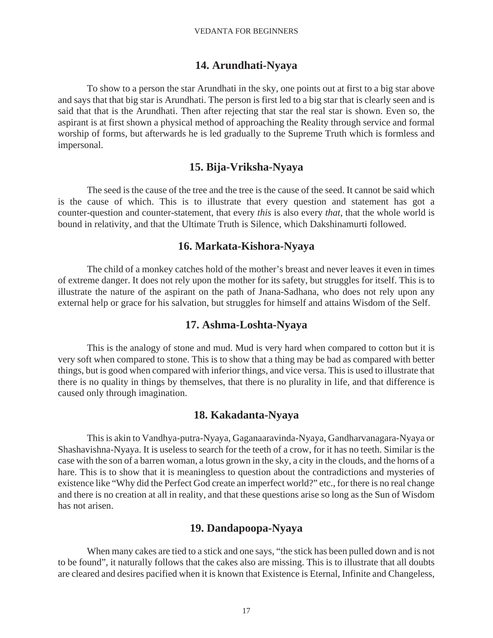## **14. Arundhati-Nyaya**

To show to a person the star Arundhati in the sky, one points out at first to a big star above and says that that big star is Arundhati. The person is first led to a big star that is clearly seen and is said that that is the Arundhati. Then after rejecting that star the real star is shown. Even so, the aspirant is at first shown a physical method of approaching the Reality through service and formal worship of forms, but afterwards he is led gradually to the Supreme Truth which is formless and impersonal.

## **15. Bija-Vriksha-Nyaya**

The seed is the cause of the tree and the tree is the cause of the seed. It cannot be said which is the cause of which. This is to illustrate that every question and statement has got a counter-question and counter-statement, that every *this* is also every *that,* that the whole world is bound in relativity, and that the Ultimate Truth is Silence, which Dakshinamurti followed.

### **16. Markata-Kishora-Nyaya**

The child of a monkey catches hold of the mother's breast and never leaves it even in times of extreme danger. It does not rely upon the mother for its safety, but struggles for itself. This is to illustrate the nature of the aspirant on the path of Jnana-Sadhana, who does not rely upon any external help or grace for his salvation, but struggles for himself and attains Wisdom of the Self.

## **17. Ashma-Loshta-Nyaya**

This is the analogy of stone and mud. Mud is very hard when compared to cotton but it is very soft when compared to stone. This is to show that a thing may be bad as compared with better things, but is good when compared with inferior things, and vice versa. This is used to illustrate that there is no quality in things by themselves, that there is no plurality in life, and that difference is caused only through imagination.

#### **18. Kakadanta-Nyaya**

This is akin to Vandhya-putra-Nyaya, Gaganaaravinda-Nyaya, Gandharvanagara-Nyaya or Shashavishna-Nyaya. It is useless to search for the teeth of a crow, for it has no teeth. Similar is the case with the son of a barren woman, a lotus grown in the sky, a city in the clouds, and the horns of a hare. This is to show that it is meaningless to question about the contradictions and mysteries of existence like "Why did the Perfect God create an imperfect world?" etc., for there is no real change and there is no creation at all in reality, and that these questions arise so long as the Sun of Wisdom has not arisen.

## **19. Dandapoopa-Nyaya**

When many cakes are tied to a stick and one says, "the stick has been pulled down and is not to be found", it naturally follows that the cakes also are missing. This is to illustrate that all doubts are cleared and desires pacified when it is known that Existence is Eternal, Infinite and Changeless,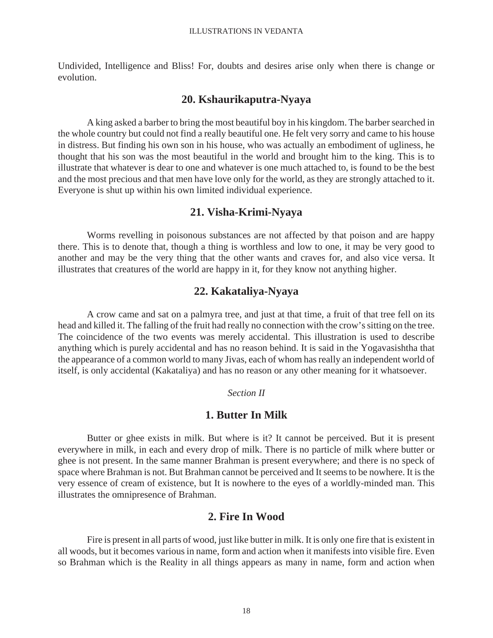Undivided, Intelligence and Bliss! For, doubts and desires arise only when there is change or evolution.

### **20. Kshaurikaputra-Nyaya**

A king asked a barber to bring the most beautiful boy in his kingdom. The barber searched in the whole country but could not find a really beautiful one. He felt very sorry and came to his house in distress. But finding his own son in his house, who was actually an embodiment of ugliness, he thought that his son was the most beautiful in the world and brought him to the king. This is to illustrate that whatever is dear to one and whatever is one much attached to, is found to be the best and the most precious and that men have love only for the world, as they are strongly attached to it. Everyone is shut up within his own limited individual experience.

### **21. Visha-Krimi-Nyaya**

Worms revelling in poisonous substances are not affected by that poison and are happy there. This is to denote that, though a thing is worthless and low to one, it may be very good to another and may be the very thing that the other wants and craves for, and also vice versa. It illustrates that creatures of the world are happy in it, for they know not anything higher.

## **22. Kakataliya-Nyaya**

A crow came and sat on a palmyra tree, and just at that time, a fruit of that tree fell on its head and killed it. The falling of the fruit had really no connection with the crow's sitting on the tree. The coincidence of the two events was merely accidental. This illustration is used to describe anything which is purely accidental and has no reason behind. It is said in the Yogavasishtha that the appearance of a common world to many Jivas, each of whom has really an independent world of itself, is only accidental (Kakataliya) and has no reason or any other meaning for it whatsoever.

#### *Section II*

#### **1. Butter In Milk**

Butter or ghee exists in milk. But where is it? It cannot be perceived. But it is present everywhere in milk, in each and every drop of milk. There is no particle of milk where butter or ghee is not present. In the same manner Brahman is present everywhere; and there is no speck of space where Brahman is not. But Brahman cannot be perceived and It seems to be nowhere. It is the very essence of cream of existence, but It is nowhere to the eyes of a worldly-minded man. This illustrates the omnipresence of Brahman.

## **2. Fire In Wood**

Fire is present in all parts of wood, just like butter in milk. It is only one fire that is existent in all woods, but it becomes various in name, form and action when it manifests into visible fire. Even so Brahman which is the Reality in all things appears as many in name, form and action when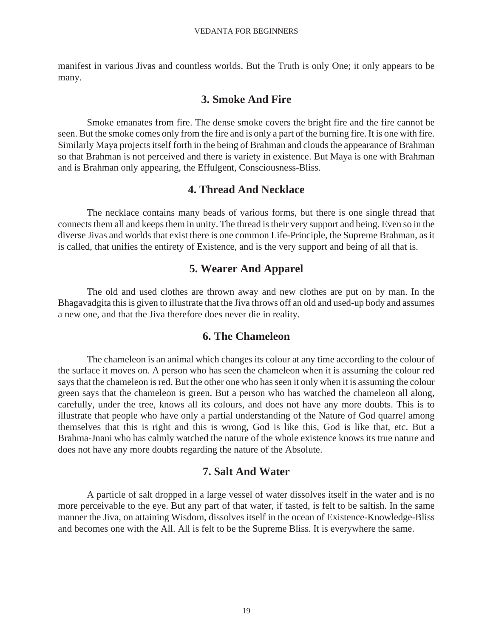manifest in various Jivas and countless worlds. But the Truth is only One; it only appears to be many.

### **3. Smoke And Fire**

Smoke emanates from fire. The dense smoke covers the bright fire and the fire cannot be seen. But the smoke comes only from the fire and is only a part of the burning fire. It is one with fire. Similarly Maya projects itself forth in the being of Brahman and clouds the appearance of Brahman so that Brahman is not perceived and there is variety in existence. But Maya is one with Brahman and is Brahman only appearing, the Effulgent, Consciousness-Bliss.

## **4. Thread And Necklace**

The necklace contains many beads of various forms, but there is one single thread that connects them all and keeps them in unity. The thread is their very support and being. Even so in the diverse Jivas and worlds that exist there is one common Life-Principle, the Supreme Brahman, as it is called, that unifies the entirety of Existence, and is the very support and being of all that is.

## **5. Wearer And Apparel**

The old and used clothes are thrown away and new clothes are put on by man. In the Bhagavadgita this is given to illustrate that the Jiva throws off an old and used-up body and assumes a new one, and that the Jiva therefore does never die in reality.

#### **6. The Chameleon**

The chameleon is an animal which changes its colour at any time according to the colour of the surface it moves on. A person who has seen the chameleon when it is assuming the colour red says that the chameleon is red. But the other one who has seen it only when it is assuming the colour green says that the chameleon is green. But a person who has watched the chameleon all along, carefully, under the tree, knows all its colours, and does not have any more doubts. This is to illustrate that people who have only a partial understanding of the Nature of God quarrel among themselves that this is right and this is wrong, God is like this, God is like that, etc. But a Brahma-Jnani who has calmly watched the nature of the whole existence knows its true nature and does not have any more doubts regarding the nature of the Absolute.

## **7. Salt And Water**

A particle of salt dropped in a large vessel of water dissolves itself in the water and is no more perceivable to the eye. But any part of that water, if tasted, is felt to be saltish. In the same manner the Jiva, on attaining Wisdom, dissolves itself in the ocean of Existence-Knowledge-Bliss and becomes one with the All. All is felt to be the Supreme Bliss. It is everywhere the same.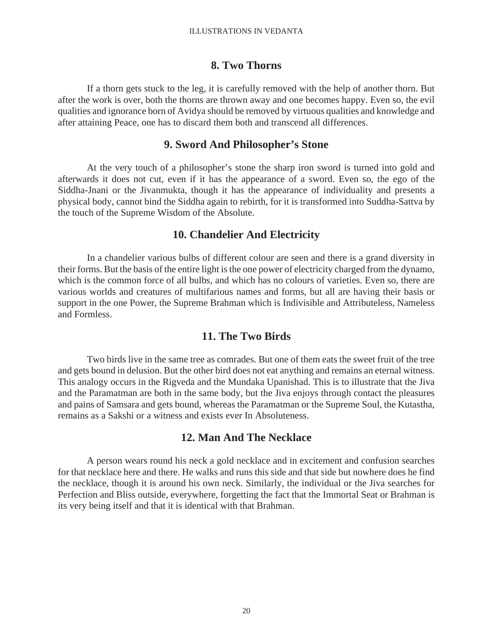## **8. Two Thorns**

If a thorn gets stuck to the leg, it is carefully removed with the help of another thorn. But after the work is over, both the thorns are thrown away and one becomes happy. Even so, the evil qualities and ignorance born of Avidya should be removed by virtuous qualities and knowledge and after attaining Peace, one has to discard them both and transcend all differences.

## **9. Sword And Philosopher's Stone**

At the very touch of a philosopher's stone the sharp iron sword is turned into gold and afterwards it does not cut, even if it has the appearance of a sword. Even so, the ego of the Siddha-Jnani or the Jivanmukta, though it has the appearance of individuality and presents a physical body, cannot bind the Siddha again to rebirth, for it is transformed into Suddha-Sattva by the touch of the Supreme Wisdom of the Absolute.

## **10. Chandelier And Electricity**

In a chandelier various bulbs of different colour are seen and there is a grand diversity in their forms. But the basis of the entire light is the one power of electricity charged from the dynamo, which is the common force of all bulbs, and which has no colours of varieties. Even so, there are various worlds and creatures of multifarious names and forms, but all are having their basis or support in the one Power, the Supreme Brahman which is Indivisible and Attributeless, Nameless and Formless.

## **11. The Two Birds**

Two birds live in the same tree as comrades. But one of them eats the sweet fruit of the tree and gets bound in delusion. But the other bird does not eat anything and remains an eternal witness. This analogy occurs in the Rigveda and the Mundaka Upanishad. This is to illustrate that the Jiva and the Paramatman are both in the same body, but the Jiva enjoys through contact the pleasures and pains of Samsara and gets bound, whereas the Paramatman or the Supreme Soul, the Kutastha, remains as a Sakshi or a witness and exists ever In Absoluteness.

## **12. Man And The Necklace**

A person wears round his neck a gold necklace and in excitement and confusion searches for that necklace here and there. He walks and runs this side and that side but nowhere does he find the necklace, though it is around his own neck. Similarly, the individual or the Jiva searches for Perfection and Bliss outside, everywhere, forgetting the fact that the Immortal Seat or Brahman is its very being itself and that it is identical with that Brahman.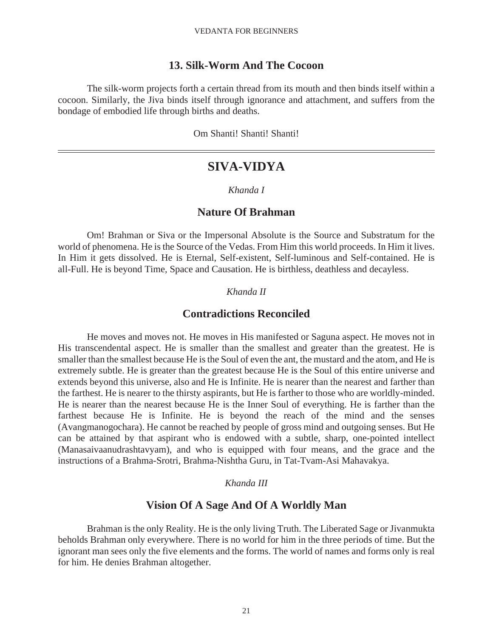#### **13. Silk-Worm And The Cocoon**

The silk-worm projects forth a certain thread from its mouth and then binds itself within a cocoon. Similarly, the Jiva binds itself through ignorance and attachment, and suffers from the bondage of embodied life through births and deaths.

Om Shanti! Shanti! Shanti!

## **SIVA-VIDYA**

#### *Khanda I*

## **Nature Of Brahman**

Om! Brahman or Siva or the Impersonal Absolute is the Source and Substratum for the world of phenomena. He is the Source of the Vedas. From Him this world proceeds. In Him it lives. In Him it gets dissolved. He is Eternal, Self-existent, Self-luminous and Self-contained. He is all-Full. He is beyond Time, Space and Causation. He is birthless, deathless and decayless.

#### *Khanda II*

### **Contradictions Reconciled**

He moves and moves not. He moves in His manifested or Saguna aspect. He moves not in His transcendental aspect. He is smaller than the smallest and greater than the greatest. He is smaller than the smallest because He is the Soul of even the ant, the mustard and the atom, and He is extremely subtle. He is greater than the greatest because He is the Soul of this entire universe and extends beyond this universe, also and He is Infinite. He is nearer than the nearest and farther than the farthest. He is nearer to the thirsty aspirants, but He is farther to those who are worldly-minded. He is nearer than the nearest because He is the Inner Soul of everything. He is farther than the farthest because He is Infinite. He is beyond the reach of the mind and the senses (Avangmanogochara). He cannot be reached by people of gross mind and outgoing senses. But He can be attained by that aspirant who is endowed with a subtle, sharp, one-pointed intellect (Manasaivaanudrashtavyam), and who is equipped with four means, and the grace and the instructions of a Brahma-Srotri, Brahma-Nishtha Guru, in Tat-Tvam-Asi Mahavakya.

#### *Khanda III*

### **Vision Of A Sage And Of A Worldly Man**

Brahman is the only Reality. He is the only living Truth. The Liberated Sage or Jivanmukta beholds Brahman only everywhere. There is no world for him in the three periods of time. But the ignorant man sees only the five elements and the forms. The world of names and forms only is real for him. He denies Brahman altogether.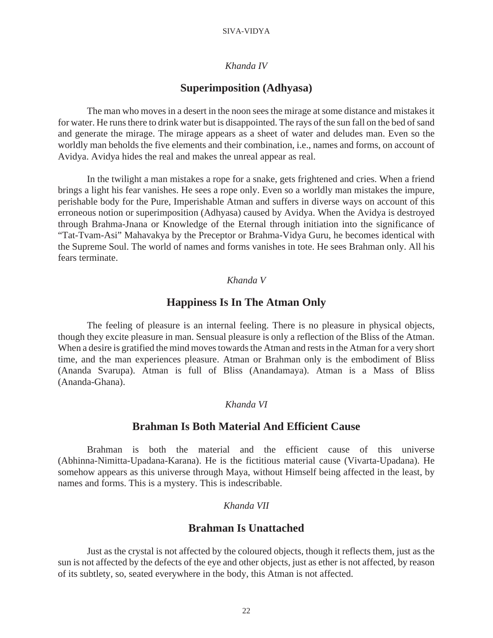#### SIVA-VIDYA

#### *Khanda IV*

### **Superimposition (Adhyasa)**

The man who moves in a desert in the noon sees the mirage at some distance and mistakes it for water. He runs there to drink water but is disappointed. The rays of the sun fall on the bed of sand and generate the mirage. The mirage appears as a sheet of water and deludes man. Even so the worldly man beholds the five elements and their combination, i.e., names and forms, on account of Avidya. Avidya hides the real and makes the unreal appear as real.

In the twilight a man mistakes a rope for a snake, gets frightened and cries. When a friend brings a light his fear vanishes. He sees a rope only. Even so a worldly man mistakes the impure, perishable body for the Pure, Imperishable Atman and suffers in diverse ways on account of this erroneous notion or superimposition (Adhyasa) caused by Avidya. When the Avidya is destroyed through Brahma-Jnana or Knowledge of the Eternal through initiation into the significance of "Tat-Tvam-Asi" Mahavakya by the Preceptor or Brahma-Vidya Guru, he becomes identical with the Supreme Soul. The world of names and forms vanishes in tote. He sees Brahman only. All his fears terminate.

#### *Khanda V*

#### **Happiness Is In The Atman Only**

The feeling of pleasure is an internal feeling. There is no pleasure in physical objects, though they excite pleasure in man. Sensual pleasure is only a reflection of the Bliss of the Atman. When a desire is gratified the mind moves towards the Atman and rests in the Atman for a very short time, and the man experiences pleasure. Atman or Brahman only is the embodiment of Bliss (Ananda Svarupa). Atman is full of Bliss (Anandamaya). Atman is a Mass of Bliss (Ananda-Ghana).

#### *Khanda VI*

### **Brahman Is Both Material And Efficient Cause**

Brahman is both the material and the efficient cause of this universe (Abhinna-Nimitta-Upadana-Karana). He is the fictitious material cause (Vivarta-Upadana). He somehow appears as this universe through Maya, without Himself being affected in the least, by names and forms. This is a mystery. This is indescribable.

#### *Khanda VII*

## **Brahman Is Unattached**

Just as the crystal is not affected by the coloured objects, though it reflects them, just as the sun is not affected by the defects of the eye and other objects, just as ether is not affected, by reason of its subtlety, so, seated everywhere in the body, this Atman is not affected.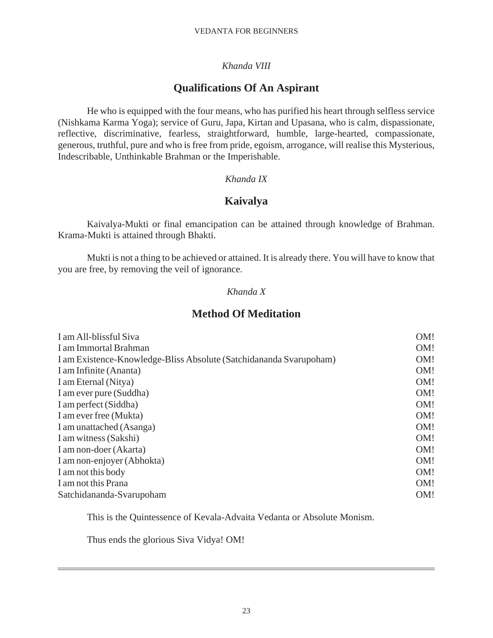### *Khanda VIII*

## **Qualifications Of An Aspirant**

He who is equipped with the four means, who has purified his heart through selfless service (Nishkama Karma Yoga); service of Guru, Japa, Kirtan and Upasana, who is calm, dispassionate, reflective, discriminative, fearless, straightforward, humble, large-hearted, compassionate, generous, truthful, pure and who is free from pride, egoism, arrogance, will realise this Mysterious, Indescribable, Unthinkable Brahman or the Imperishable.

## *Khanda IX*

## **Kaivalya**

Kaivalya-Mukti or final emancipation can be attained through knowledge of Brahman. Krama-Mukti is attained through Bhakti.

Mukti is not a thing to be achieved or attained. It is already there. You will have to know that you are free, by removing the veil of ignorance.

#### *Khanda X*

## **Method Of Meditation**

| I am All-blissful Siva                                             | OM! |
|--------------------------------------------------------------------|-----|
| I am Immortal Brahman                                              | OM! |
| I am Existence-Knowledge-Bliss Absolute (Satchidananda Svarupoham) | OM! |
| I am Infinite (Ananta)                                             | OM! |
| I am Eternal (Nitya)                                               | OM! |
| I am ever pure (Suddha)                                            | OM! |
| I am perfect (Siddha)                                              | OM! |
| I am ever free (Mukta)                                             | OM! |
| I am unattached (Asanga)                                           | OM! |
| I am witness (Sakshi)                                              | OM! |
| I am non-doer (Akarta)                                             | OM! |
| I am non-enjoyer (Abhokta)                                         | OM! |
| I am not this body                                                 | OM! |
| I am not this Prana                                                | OM! |
| Satchidananda-Svarupoham                                           | OM! |

This is the Quintessence of Kevala-Advaita Vedanta or Absolute Monism.

Thus ends the glorious Siva Vidya! OM!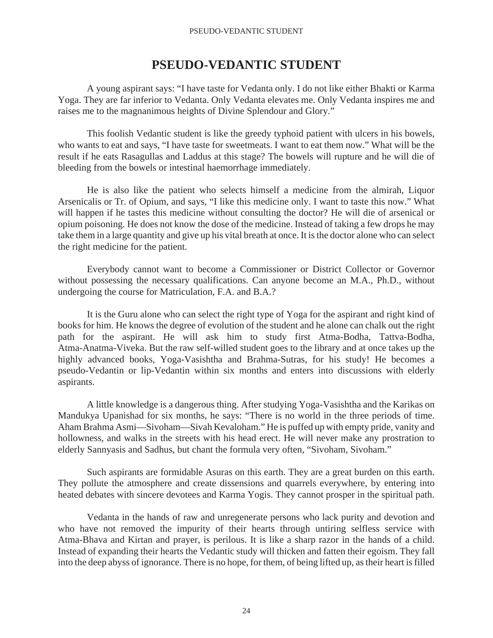## **PSEUDO-VEDANTIC STUDENT**

A young aspirant says: "I have taste for Vedanta only. I do not like either Bhakti or Karma Yoga. They are far inferior to Vedanta. Only Vedanta elevates me. Only Vedanta inspires me and raises me to the magnanimous heights of Divine Splendour and Glory."

This foolish Vedantic student is like the greedy typhoid patient with ulcers in his bowels, who wants to eat and says, "I have taste for sweetmeats. I want to eat them now." What will be the result if he eats Rasagullas and Laddus at this stage? The bowels will rupture and he will die of bleeding from the bowels or intestinal haemorrhage immediately.

He is also like the patient who selects himself a medicine from the almirah, Liquor Arsenicalis or Tr. of Opium, and says, "I like this medicine only. I want to taste this now." What will happen if he tastes this medicine without consulting the doctor? He will die of arsenical or opium poisoning. He does not know the dose of the medicine. Instead of taking a few drops he may take them in a large quantity and give up his vital breath at once. It is the doctor alone who can select the right medicine for the patient.

Everybody cannot want to become a Commissioner or District Collector or Governor without possessing the necessary qualifications. Can anyone become an M.A., Ph.D., without undergoing the course for Matriculation, F.A. and B.A.?

It is the Guru alone who can select the right type of Yoga for the aspirant and right kind of books for him. He knows the degree of evolution of the student and he alone can chalk out the right path for the aspirant. He will ask him to study first Atma-Bodha, Tattva-Bodha, Atma-Anatma-Viveka. But the raw self-willed student goes to the library and at once takes up the highly advanced books, Yoga-Vasishtha and Brahma-Sutras, for his study! He becomes a pseudo-Vedantin or lip-Vedantin within six months and enters into discussions with elderly aspirants.

A little knowledge is a dangerous thing. After studying Yoga-Vasishtha and the Karikas on Mandukya Upanishad for six months, he says: "There is no world in the three periods of time. Aham Brahma Asmi—Sivoham—Sivah Kevaloham." He is puffed up with empty pride, vanity and hollowness, and walks in the streets with his head erect. He will never make any prostration to elderly Sannyasis and Sadhus, but chant the formula very often, "Sivoham, Sivoham."

Such aspirants are formidable Asuras on this earth. They are a great burden on this earth. They pollute the atmosphere and create dissensions and quarrels everywhere, by entering into heated debates with sincere devotees and Karma Yogis. They cannot prosper in the spiritual path.

Vedanta in the hands of raw and unregenerate persons who lack purity and devotion and who have not removed the impurity of their hearts through untiring selfless service with Atma-Bhava and Kirtan and prayer, is perilous. It is like a sharp razor in the hands of a child. Instead of expanding their hearts the Vedantic study will thicken and fatten their egoism. They fall into the deep abyss of ignorance. There is no hope, for them, of being lifted up, as their heart is filled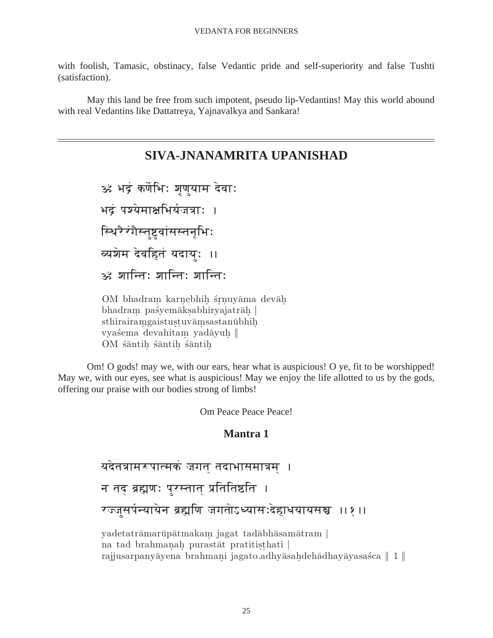with foolish, Tamasic, obstinacy, false Vedantic pride and self-superiority and false Tushti (satisfaction).

May this land be free from such impotent, pseudo lip-Vedantins! May this world abound with real Vedantins like Dattatreva, Yajnavalkya and Sankara!

## SIVA-JNANAMRITA UPANISHAD

ॐ भद्रं कर्णेभिः शृणुयाम देवाः भदं पश्येमाक्षभिर्यजत्राः । स्थिरैरंगैस्तुष्टूवांसस्तनृभिः व्यशेम देवहितं यदायुः ॥ ॐ शान्तिः शान्तिः शान्तिः

OM bhadram karnebhih śrnuyāma devāh bhadram paśyemāksabhiryajatrāh | sthirairamgaistustuvāmsastanūbhih vyaśema devahitam yadāyuh || OM santih santih santih

Om! O gods! may we, with our ears, hear what is auspicious! O ye, fit to be worshipped! May we, with our eyes, see what is auspicious! May we enjoy the life allotted to us by the gods, offering our praise with our bodies strong of limbs!

Om Peace Peace Peace!

## Mantra 1

# यदेतत्रामरूपात्मकं जगत तदाभासमात्रम । न तद ब्रह्मणः पुरस्तात प्रतितिष्ठति । रज्जुसर्पन्यायेन ब्रह्मणि जगतोऽध्यासःदेहाधयायसञ्च ॥१॥

vadetatrāmarūpātmakam jagat tadābhāsamātram | na tad brahmanah purastāt pratitisthati | rajjusarpanyāyena brahmani jagato.adhyāsahdehādhayāyasas | 1 |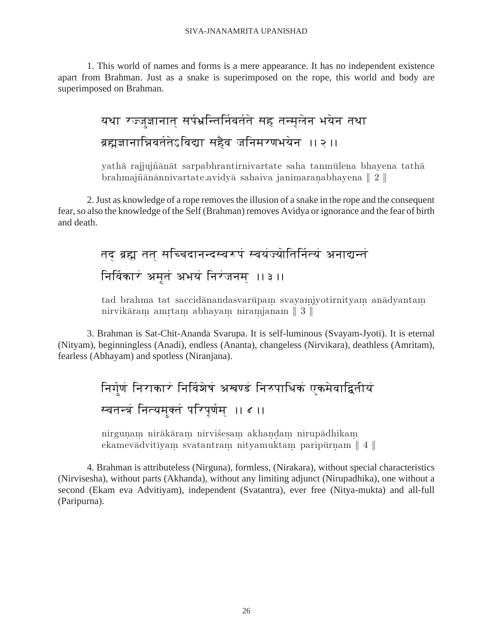1. This world of names and forms is a mere appearance. It has no independent existence apart from Brahman. Just as a snake is superimposed on the rope, this world and body are superimposed on Brahman.

# यथा रज्जुज्ञानात् सर्पभ्रन्तिर्निवर्तते सह तन्मूलेन भयेन तथा ब्रह्मज्ञानान्निवर्ततेऽविद्या सहैव जनिमरणभयेन ।। २ ।।

yathā rajjujñānāt sarpabhrantirnivartate saha tanmūlena bhayena tathā brahmajñānānnivartate.avidyā sahaiva janimaranabhayena || 2 ||

2. Just as knowledge of a rope removes the illusion of a snake in the rope and the consequent fear, so also the knowledge of the Self (Brahman) removes Avidya or ignorance and the fear of birth and death.

# तद ब्रह्म तत सच्चिदानन्दस्वरूपं स्वयंज्योतिर्नित्यं अनाद्यन्तं निर्विकारं अमृतं अभयं निरंजनम ।।३।।

tad brahma tat saccidānandasvarūpam svavamjyotirnitvam anādvantam nirvikāram amrtam abhayam niramjanam  $\parallel 3 \parallel$ 

3. Brahman is Sat-Chit-Ananda Svarupa. It is self-luminous (Svayam-Jyoti). It is eternal (Nityam), beginningless (Anadi), endless (Ananta), changeless (Nirvikara), deathless (Amritam), fearless (Abhayam) and spotless (Niranjana).

# निर्गुणं निराकारं निर्विशेषं अखण्डं निरुपाधिकं एकमेवाद्वितीयं स्वतन्त्रं नित्यमुक्तं परिपूर्णम ॥४॥

nirgunam nirākāram nirvišesam akhandam nirupādhikam ekamevādvitīyam svatantram nityamuktam paripūrnam  $\parallel 4 \parallel$ 

4. Brahman is attributeless (Nirguna), formless, (Nirakara), without special characteristics (Nirvisesha), without parts (Akhanda), without any limiting adjunct (Nirupadhika), one without a second (Ekam eva Advitiyam), independent (Svatantra), ever free (Nitya-mukta) and all-full (Paripurna).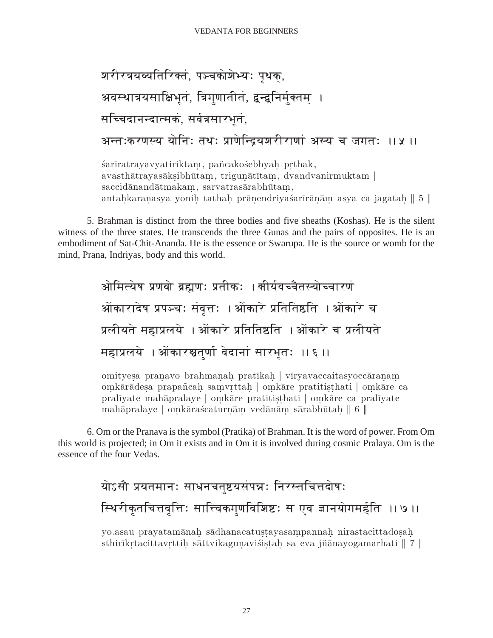# शरीरत्रयव्यतिरिक्तं, पञ्चकोशेभ्यः पथक, अवस्थात्रयसाक्षिभतं, त्रिगणातीतं, द्वन्द्वनिर्मक्तम । सच्चिदानन्दात्मकं, सर्वत्रसारभृतं, अन्तःकरणस्य योनिः तथः प्राणेन्द्रियशरीराणां अस्य च जगतः ॥४॥

śarīratravavvatiriktam, pañcakośebhyah prthak, avasthātrayasāksibhūtam, trigunātītam, dvandvanirmuktam | saccidānandātmakam, sarvatrasārabhūtam, antahkaranasya yonih tathah pranendriyasariranam asya ca jagatah  $\parallel 5 \parallel$ 

5. Brahman is distinct from the three bodies and five sheaths (Koshas). He is the silent witness of the three states. He transcends the three Gunas and the pairs of opposites. He is an embodiment of Sat-Chit-Ananda. He is the essence or Swarupa. He is the source or womb for the mind, Prana, Indriyas, body and this world.

```
ओमित्येष प्रणवो ब्रह्मणः प्रतीकः । कीर्यवच्चैतस्योच्चारणं
ओंकारादेष प्रपञ्चः संवृत्तः । ओंकारे प्रतितिष्ठति । ओंकारे च
प्रलीयते महाप्रलये ।ओंकारे प्रतितिष्ठति ।ओंकारे च प्रलीयते
महाप्रलये । ओंकारश्चतुर्णा वेदानां सारभृतः ॥ ६ ॥
```
omityesa pranavo brahmanah pratīkah vīryavaccaitasyoccāranam omkārādesa prapañcah samvrttah | omkāre pratitisthati | omkāre ca pralīyate mahāpralaye | omkāre pratitisthati | omkāre ca pralīyate mahāpralaye | omkāraścaturnām vedānām sārabhūtah || 6 ||

6. Om or the Pranava is the symbol (Pratika) of Brahman. It is the word of power. From Om this world is projected; in Om it exists and in Om it is involved during cosmic Pralaya. Om is the essence of the four Vedas.

# योऽसौ प्रयतमानः साधनचतृष्टयसंपन्नः निरस्तचित्तदोषः स्थिरीकृतचित्तवृत्तिः सात्त्विकगुणविशिष्टः स एव ज्ञानयोगमर्हति ।। ७ ।।

yo.asau prayatamānah sādhanacatustayasampannah nirastacittadosah sthirīkrtacittavrttih sāttvikagunavististah sa eva jñānayogamarhati || 7 ||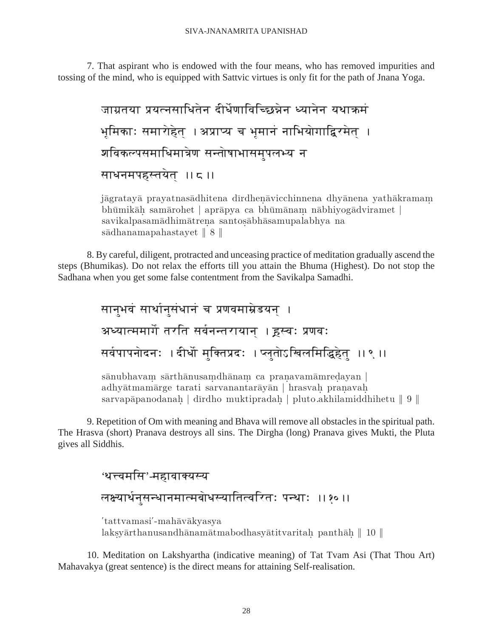7. That aspirant who is endowed with the four means, who has removed impurities and tossing of the mind, who is equipped with Sattvic virtues is only fit for the path of Jnana Yoga.

> जाग्रतया प्रयत्नसाधितेन दीर्धेणाविच्छिन्नेन ध्यानेन यथाक्रमं भमिकाः समारोहेत**। अप्राप्य च भूमानं नाभियोगाद्विरमेत्** । शविकल्पसमाधिमात्रेण सन्तोषाभासमुपलभ्य न साधनमपहस्तयेत ।। ८ ।।

jāgratavā pravatnasādhitena dīrdhenāvicchinnena dhyānena yathākramam bhūmikāh samārohet | aprāpya ca bhūmānam nābhiyogādviramet | savikalpasamādhimātrena santosābhāsamupalabhya na sādhanamapahastavet  $\parallel 8 \parallel$ 

8. By careful, diligent, protracted and unceasing practice of meditation gradually ascend the steps (Bhumikas). Do not relax the efforts till you attain the Bhuma (Highest). Do not stop the Sadhana when you get some false contentment from the Savikalpa Samadhi.

```
सानुभवं सार्थानुसंधानं च प्रणवमाम्रेडयन् ।
अध्यात्ममार्गे तरति सर्वनन्तरायान् । ह्रस्वः प्रणवः
सर्वपापनोदनः । दीर्थो मुक्तिप्रदः । प्लृतोऽखिलमिद्धिहेतु ।। ९ ।।
```
sānubhavam sārthānusamdhānam ca pranavamāmredayan | adhyātmamārge tarati sarvanantarāyān | hrasvah pranavah sarvapāpanodanah | dīrdho muktipradah | pluto.akhilamiddhihetu  $\parallel 9 \parallel$ 

9. Repetition of Om with meaning and Bhava will remove all obstacles in the spiritual path. The Hrasva (short) Pranava destroys all sins. The Dirgha (long) Pranava gives Mukti, the Pluta gives all Siddhis.

> 'थत्त्वमसि'-महावाक्यस्य लक्ष्यार्थनुसन्धानमात्मबोधस्यातित्वरितः पन्थाः ॥१०॥

'tattvamasi'-mahāvākyasya laksyärthanusandhänamätmabodhasyätitvaritah panthäh  $\parallel$  10  $\parallel$ 

10. Meditation on Lakshyartha (indicative meaning) of Tat Tvam Asi (That Thou Art) Mahavakya (great sentence) is the direct means for attaining Self-realisation.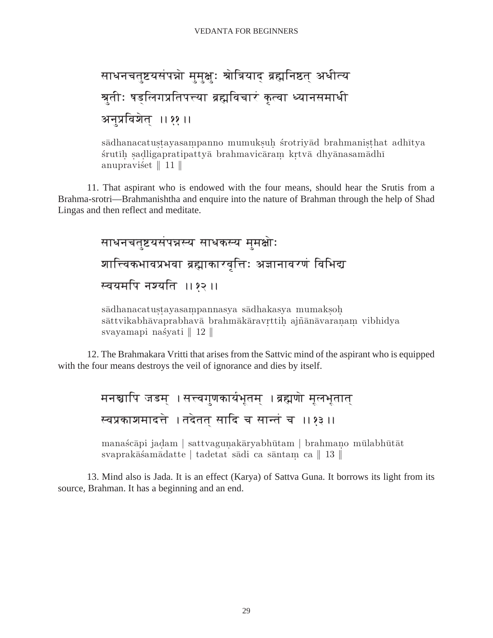# साधनचतुष्टयसंपन्नो मुमुक्षुः श्रोत्रियाद ब्रह्मनिष्ठत अधीत्य <u>श्रतीः षडलिगप्रतिपत्त्या ब्रह्मविचारं कत्वा ध्यानसमाधी</u> अनप्रविशेत ।। ११ ।।

sādhanacatustayasampanno mumuksuh śrotriyād brahmanisthat adhītya śrutīh sadligapratipattyā brahmavicāram krtvā dhyānasamādhī anupraviset  $\parallel$  11  $\parallel$ 

11. That aspirant who is endowed with the four means, should hear the Srutis from a Brahma-srotri—Brahmanishtha and enquire into the nature of Brahman through the help of Shad Lingas and then reflect and meditate.

> साधनचतृष्टयसंपन्नस्य साधकस्य मुमक्षोः शात्त्विकभावप्रभवा ब्रह्माकारवृत्तिः अज्ञानावरणं विभिद्य स्वयमपि नश्यति ।। १२ ।।

sädhanacatustayasampannasya sädhakasya mumaksoh sāttvikabhāvaprabhavā brahmākāravrttih ajñānāvaranam vibhidya svayamapi naśyati || 12 ||

12. The Brahmakara Vritti that arises from the Sattvic mind of the aspirant who is equipped with the four means destroys the veil of ignorance and dies by itself.

# मनञ्चापि जडम ।सत्त्वगुणकार्यभूतम ।ब्रह्मणो मृत्नभूतात स्वप्रकाशमादत्ते । तदेतत सादि च सान्तं च ॥ १३ ॥

manaścāpi jadam | sattvagunakāryabhūtam | brahmano mūlabhūtāt svaprakāśamādatte | tadetat sādi ca sāntam ca || 13 ||

13. Mind also is Jada. It is an effect (Karya) of Sattva Guna. It borrows its light from its source, Brahman. It has a beginning and an end.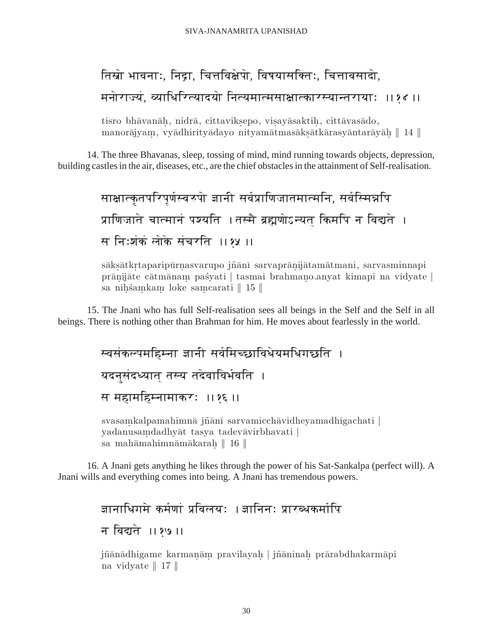# तिस्रो भावनाः. निद्रा. चित्तविक्षेपो. विषयासक्तिः. चित्तावसादो.

## मनोराज्यं, व्याधिरित्यादयो नित्यमात्मसाक्षात्कारस्यान्तरायाः ॥१४॥

tisro bhāvanāh, nidrā, cittaviksepo, visavāsaktih, cittāvasādo, manorājyam, vyādhirityādayo nityamātmasāksātkārasyāntarāyāh || 14 ||

14. The three Bhavanas, sleep, tossing of mind, mind running towards objects, depression, building castles in the air, diseases, etc., are the chief obstacles in the attainment of Self-realisation.

# साक्षात्कृतपरिपूर्णस्वरुपो ज्ञानी सर्वप्राणिजातमात्मनि, सर्वस्मिन्नपि प्राणिजाते चात्मानं पश्यति । तस्मै ब्रह्मणोऽन्यत् किमपि न विद्यते । स निःशंकं लोके संचरति ।। १५ ।।

sāksātkrtaparipūrnasvarupo jñānī sarvaprānijātamātmani, sarvasminnapi prānijāte cātmānam pasyati | tasmai brahmano. anyat kimapi na vidyate | sa nihśamkam loke samcarati || 15 ||

15. The Jnani who has full Self-realisation sees all beings in the Self and the Self in all beings. There is nothing other than Brahman for him. He moves about fearlessly in the world.

> स्वसंकल्पमहिम्ना ज्ञानी सर्वमिच्छाविधेयमधिगछति । यदनुसंदध्यात तस्य तदेवाविर्भवति । स महामहिम्नामाकरः ।। १६ ।।

svasamkalpamahimnā jūānī sarvamicchāvidheyamadhigachati | vadanusamdadhyāt tasva tadevā virbhavati | sa mahāmahimnāmākarah || 16 ||

16. A Jnani gets anything he likes through the power of his Sat-Sankalpa (perfect will). A Jnani wills and everything comes into being. A Jnani has tremendous powers.

# जानाधिगमे कर्मणां प्रविलयः ।ज्ञानिनः प्रारब्धकर्मापि न विद्यते ॥ १७॥

jñānādhigame karmanām pravilayah | jñāninah prārabdhakarmāpi na vidyate  $\parallel$  17  $\parallel$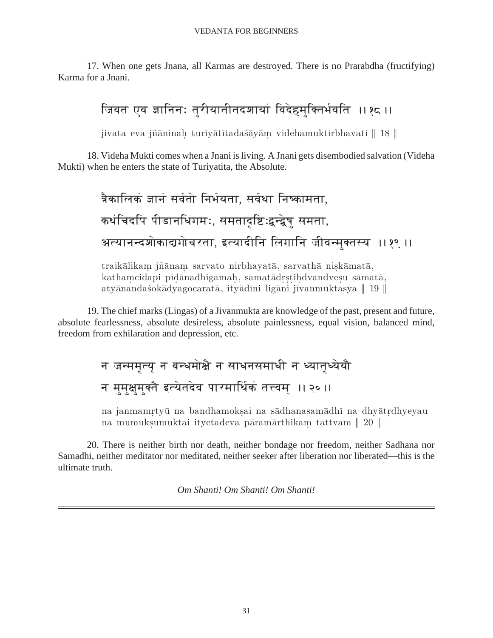17. When one gets Jnana, all Karmas are destroyed. There is no Prarabdha (fructifying) Karma for a Jnani

## जिवत एव ज्ञानिनः तृरीयातीतदशायां विदेहमुक्तिर्भवति ।। १८ ।।

jivata eva jñāninah turīyātītadas ayam videhamuktirbhavati || 18 ||

18. Videha Mukti comes when a Jnani is living. A Jnani gets disembodied salvation (Videha Mukti) when he enters the state of Turiyatita, the Absolute.

# त्रैकालिकं ज्ञानं सर्वतो निर्भयता. सर्वथा निष्कामता. कथंचिदपि पीडानधिगमः, समतादृष्टिःद्वन्द्वेषु समता, अत्यानन्दशोकाद्यगोचरता, इत्यादीनि लिगानि जीवन्मुक्तस्य ।।१९ ।।

traikālikam jūānam sarvato nirbhayatā, sarvathā niskāmatā, kathamcidapi pīdānadhigamah, samatādrstihdvandvesu samatā, atyānandasokādyagocaratā, ityādīni ligāni jīvanmuktasya || 19 ||

19. The chief marks (Lingas) of a Jivanmukta are knowledge of the past, present and future, absolute fearlessness, absolute desireless, absolute painlessness, equal vision, balanced mind, freedom from exhilaration and depression, etc.

> न जन्ममृत्यू न बन्धमोक्षै न साधनसमाधी न ध्यातृध्येयौ न मुमुक्षुमुक्तै इत्येतदेव पारमार्थिकं तत्त्वम् ।। २० ।।

na janmamrtyū na bandhamoksai na sādhanasamādhī na dhyātrdhyeyau na mumuksumuktai ityetadeva pāramārthikam tattvam || 20 ||

20. There is neither birth nor death, neither bondage nor freedom, neither Sadhana nor Samadhi, neither meditator nor meditated, neither seeker after liberation nor liberated—this is the ultimate truth.

Om Shanti! Om Shanti! Om Shanti!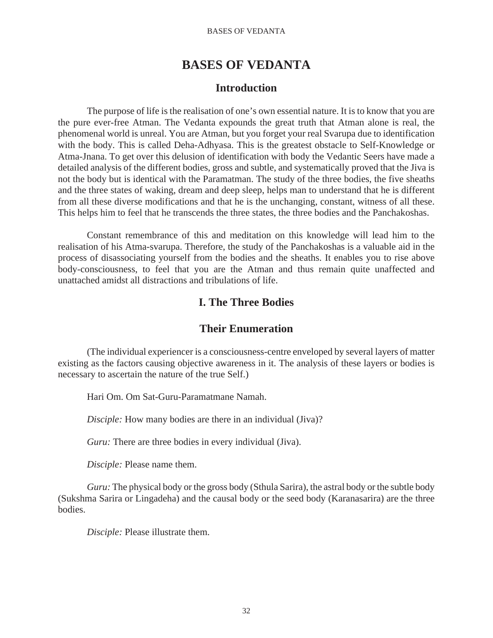#### BASES OF VEDANTA

## **BASES OF VEDANTA**

#### **Introduction**

The purpose of life is the realisation of one's own essential nature. It is to know that you are the pure ever-free Atman. The Vedanta expounds the great truth that Atman alone is real, the phenomenal world is unreal. You are Atman, but you forget your real Svarupa due to identification with the body. This is called Deha-Adhyasa. This is the greatest obstacle to Self-Knowledge or Atma-Jnana. To get over this delusion of identification with body the Vedantic Seers have made a detailed analysis of the different bodies, gross and subtle, and systematically proved that the Jiva is not the body but is identical with the Paramatman. The study of the three bodies, the five sheaths and the three states of waking, dream and deep sleep, helps man to understand that he is different from all these diverse modifications and that he is the unchanging, constant, witness of all these. This helps him to feel that he transcends the three states, the three bodies and the Panchakoshas.

Constant remembrance of this and meditation on this knowledge will lead him to the realisation of his Atma-svarupa. Therefore, the study of the Panchakoshas is a valuable aid in the process of disassociating yourself from the bodies and the sheaths. It enables you to rise above body-consciousness, to feel that you are the Atman and thus remain quite unaffected and unattached amidst all distractions and tribulations of life.

## **I. The Three Bodies**

#### **Their Enumeration**

(The individual experiencer is a consciousness-centre enveloped by several layers of matter existing as the factors causing objective awareness in it. The analysis of these layers or bodies is necessary to ascertain the nature of the true Self.)

Hari Om. Om Sat-Guru-Paramatmane Namah.

*Disciple:* How many bodies are there in an individual (Jiva)?

*Guru:* There are three bodies in every individual (Jiva).

*Disciple:* Please name them.

*Guru:* The physical body or the gross body (Sthula Sarira), the astral body or the subtle body (Sukshma Sarira or Lingadeha) and the causal body or the seed body (Karanasarira) are the three bodies.

*Disciple:* Please illustrate them.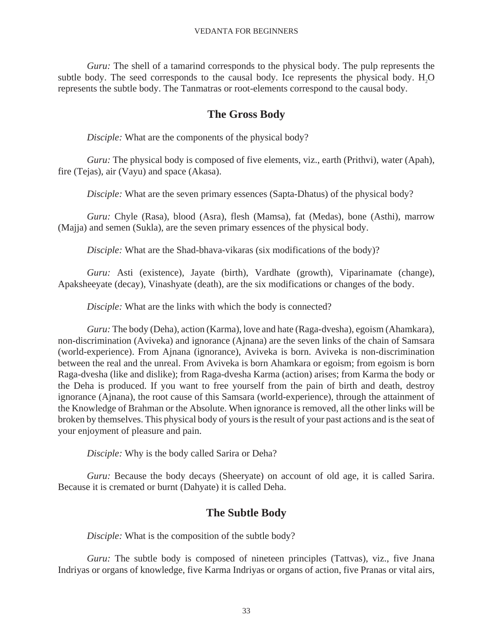*Guru:* The shell of a tamarind corresponds to the physical body. The pulp represents the subtle body. The seed corresponds to the causal body. Ice represents the physical body. H<sub>2</sub>O represents the subtle body. The Tanmatras or root-elements correspond to the causal body.

## **The Gross Body**

*Disciple:* What are the components of the physical body?

*Guru:* The physical body is composed of five elements, viz., earth (Prithvi), water (Apah), fire (Tejas), air (Vayu) and space (Akasa).

*Disciple:* What are the seven primary essences (Sapta-Dhatus) of the physical body?

*Guru:* Chyle (Rasa), blood (Asra), flesh (Mamsa), fat (Medas), bone (Asthi), marrow (Majja) and semen (Sukla), are the seven primary essences of the physical body.

*Disciple:* What are the Shad-bhava-vikaras (six modifications of the body)?

*Guru:* Asti (existence), Jayate (birth), Vardhate (growth), Viparinamate (change), Apaksheeyate (decay), Vinashyate (death), are the six modifications or changes of the body.

*Disciple:* What are the links with which the body is connected?

*Guru:* The body (Deha), action (Karma), love and hate (Raga-dvesha), egoism (Ahamkara), non-discrimination (Aviveka) and ignorance (Ajnana) are the seven links of the chain of Samsara (world-experience). From Ajnana (ignorance), Aviveka is born. Aviveka is non-discrimination between the real and the unreal. From Aviveka is born Ahamkara or egoism; from egoism is born Raga-dvesha (like and dislike); from Raga-dvesha Karma (action) arises; from Karma the body or the Deha is produced. If you want to free yourself from the pain of birth and death, destroy ignorance (Ajnana), the root cause of this Samsara (world-experience), through the attainment of the Knowledge of Brahman or the Absolute. When ignorance is removed, all the other links will be broken by themselves. This physical body of yours is the result of your past actions and is the seat of your enjoyment of pleasure and pain.

*Disciple:* Why is the body called Sarira or Deha?

*Guru:* Because the body decays (Sheeryate) on account of old age, it is called Sarira. Because it is cremated or burnt (Dahyate) it is called Deha.

## **The Subtle Body**

*Disciple:* What is the composition of the subtle body?

*Guru:* The subtle body is composed of nineteen principles (Tattvas), viz., five Jnana Indriyas or organs of knowledge, five Karma Indriyas or organs of action, five Pranas or vital airs,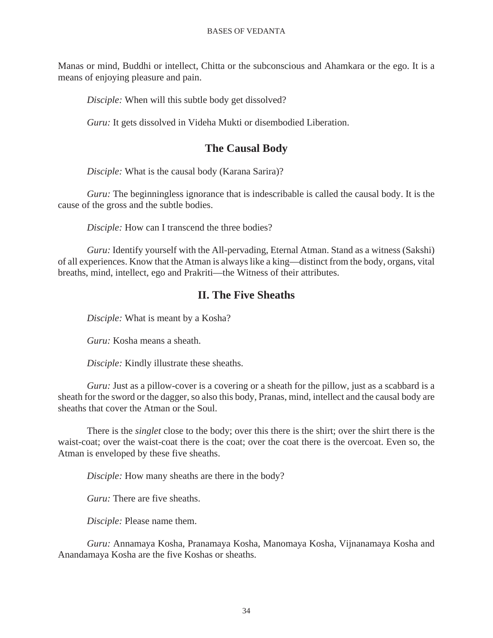Manas or mind, Buddhi or intellect, Chitta or the subconscious and Ahamkara or the ego. It is a means of enjoying pleasure and pain.

*Disciple:* When will this subtle body get dissolved?

*Guru:* It gets dissolved in Videha Mukti or disembodied Liberation.

## **The Causal Body**

*Disciple:* What is the causal body (Karana Sarira)?

*Guru:* The beginningless ignorance that is indescribable is called the causal body. It is the cause of the gross and the subtle bodies.

*Disciple:* How can I transcend the three bodies?

*Guru:* Identify yourself with the All-pervading, Eternal Atman. Stand as a witness (Sakshi) of all experiences. Know that the Atman is always like a king—distinct from the body, organs, vital breaths, mind, intellect, ego and Prakriti—the Witness of their attributes.

## **II. The Five Sheaths**

*Disciple:* What is meant by a Kosha?

*Guru:* Kosha means a sheath.

*Disciple:* Kindly illustrate these sheaths.

*Guru:* Just as a pillow-cover is a covering or a sheath for the pillow, just as a scabbard is a sheath for the sword or the dagger, so also this body, Pranas, mind, intellect and the causal body are sheaths that cover the Atman or the Soul.

There is the *singlet* close to the body; over this there is the shirt; over the shirt there is the waist-coat; over the waist-coat there is the coat; over the coat there is the overcoat. Even so, the Atman is enveloped by these five sheaths.

*Disciple:* How many sheaths are there in the body?

*Guru:* There are five sheaths.

*Disciple:* Please name them.

*Guru:* Annamaya Kosha, Pranamaya Kosha, Manomaya Kosha, Vijnanamaya Kosha and Anandamaya Kosha are the five Koshas or sheaths.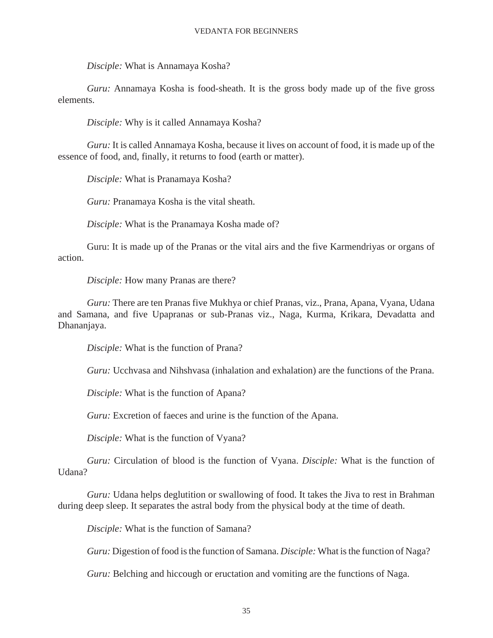*Disciple:* What is Annamaya Kosha?

*Guru:* Annamaya Kosha is food-sheath. It is the gross body made up of the five gross elements.

*Disciple:* Why is it called Annamaya Kosha?

*Guru:* It is called Annamaya Kosha, because it lives on account of food, it is made up of the essence of food, and, finally, it returns to food (earth or matter).

*Disciple:* What is Pranamaya Kosha?

*Guru:* Pranamaya Kosha is the vital sheath.

*Disciple:* What is the Pranamaya Kosha made of?

Guru: It is made up of the Pranas or the vital airs and the five Karmendriyas or organs of action.

*Disciple:* How many Pranas are there?

*Guru:* There are ten Pranas five Mukhya or chief Pranas, viz., Prana, Apana, Vyana, Udana and Samana, and five Upapranas or sub-Pranas viz., Naga, Kurma, Krikara, Devadatta and Dhananjaya.

*Disciple:* What is the function of Prana?

*Guru:* Ucchvasa and Nihshvasa (inhalation and exhalation) are the functions of the Prana.

*Disciple:* What is the function of Apana?

*Guru:* Excretion of faeces and urine is the function of the Apana.

*Disciple:* What is the function of Vyana?

*Guru:* Circulation of blood is the function of Vyana. *Disciple:* What is the function of Udana?

*Guru:* Udana helps deglutition or swallowing of food. It takes the Jiva to rest in Brahman during deep sleep. It separates the astral body from the physical body at the time of death.

*Disciple:* What is the function of Samana?

*Guru:* Digestion of food is the function of Samana. *Disciple:* What is the function of Naga?

*Guru:* Belching and hiccough or eructation and vomiting are the functions of Naga.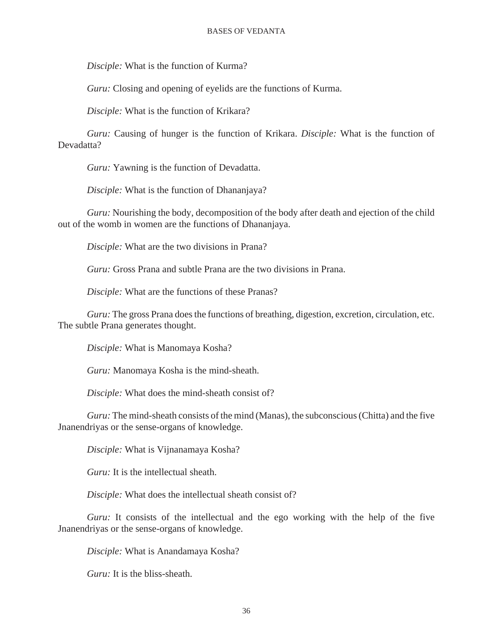*Disciple:* What is the function of Kurma?

*Guru:* Closing and opening of eyelids are the functions of Kurma.

*Disciple:* What is the function of Krikara?

*Guru:* Causing of hunger is the function of Krikara. *Disciple:* What is the function of Devadatta?

*Guru:* Yawning is the function of Devadatta.

*Disciple:* What is the function of Dhananjaya?

*Guru:* Nourishing the body, decomposition of the body after death and ejection of the child out of the womb in women are the functions of Dhananjaya.

*Disciple:* What are the two divisions in Prana?

*Guru:* Gross Prana and subtle Prana are the two divisions in Prana.

*Disciple:* What are the functions of these Pranas?

*Guru:* The gross Prana does the functions of breathing, digestion, excretion, circulation, etc. The subtle Prana generates thought.

*Disciple:* What is Manomaya Kosha?

*Guru:* Manomaya Kosha is the mind-sheath.

*Disciple:* What does the mind-sheath consist of?

*Guru:* The mind-sheath consists of the mind (Manas), the subconscious (Chitta) and the five Jnanendriyas or the sense-organs of knowledge.

*Disciple:* What is Vijnanamaya Kosha?

*Guru:* It is the intellectual sheath.

*Disciple:* What does the intellectual sheath consist of?

*Guru:* It consists of the intellectual and the ego working with the help of the five Jnanendriyas or the sense-organs of knowledge.

*Disciple:* What is Anandamaya Kosha?

*Guru:* It is the bliss-sheath.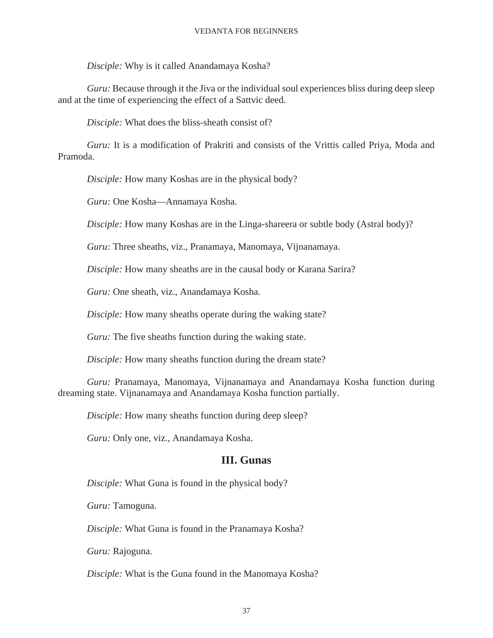*Disciple:* Why is it called Anandamaya Kosha?

*Guru:* Because through it the Jiva or the individual soul experiences bliss during deep sleep and at the time of experiencing the effect of a Sattvic deed.

*Disciple:* What does the bliss-sheath consist of?

*Guru:* It is a modification of Prakriti and consists of the Vrittis called Priya, Moda and Pramoda.

*Disciple:* How many Koshas are in the physical body?

*Guru:* One Kosha—Annamaya Kosha.

*Disciple:* How many Koshas are in the Linga-shareera or subtle body (Astral body)?

*Guru:* Three sheaths, viz., Pranamaya, Manomaya, Vijnanamaya.

*Disciple:* How many sheaths are in the causal body or Karana Sarira?

*Guru:* One sheath, viz., Anandamaya Kosha.

*Disciple:* How many sheaths operate during the waking state?

*Guru:* The five sheaths function during the waking state.

*Disciple:* How many sheaths function during the dream state?

*Guru:* Pranamaya, Manomaya, Vijnanamaya and Anandamaya Kosha function during dreaming state. Vijnanamaya and Anandamaya Kosha function partially.

*Disciple:* How many sheaths function during deep sleep?

*Guru:* Only one, viz., Anandamaya Kosha.

## **III. Gunas**

*Disciple:* What Guna is found in the physical body?

*Guru:* Tamoguna.

*Disciple:* What Guna is found in the Pranamaya Kosha?

*Guru:* Rajoguna.

*Disciple:* What is the Guna found in the Manomaya Kosha?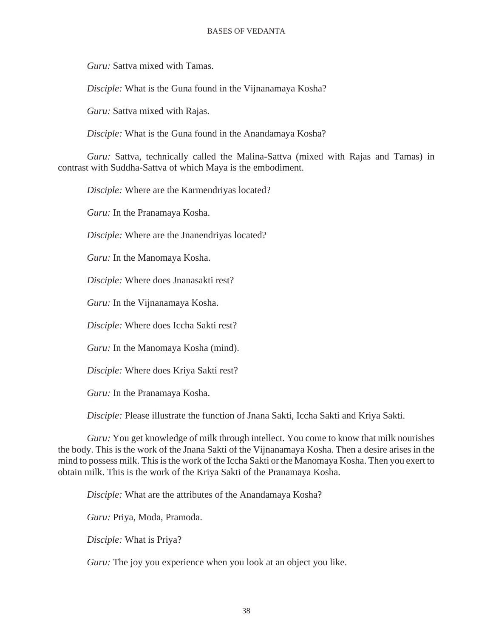#### BASES OF VEDANTA

*Guru:* Sattva mixed with Tamas.

*Disciple:* What is the Guna found in the Vijnanamaya Kosha?

*Guru:* Sattva mixed with Rajas.

*Disciple:* What is the Guna found in the Anandamaya Kosha?

*Guru:* Sattva, technically called the Malina-Sattva (mixed with Rajas and Tamas) in contrast with Suddha-Sattva of which Maya is the embodiment.

*Disciple:* Where are the Karmendriyas located?

*Guru:* In the Pranamaya Kosha.

*Disciple:* Where are the Jnanendriyas located?

*Guru:* In the Manomaya Kosha.

*Disciple:* Where does Jnanasakti rest?

*Guru:* In the Vijnanamaya Kosha.

*Disciple:* Where does Iccha Sakti rest?

*Guru:* In the Manomaya Kosha (mind).

*Disciple:* Where does Kriya Sakti rest?

*Guru:* In the Pranamaya Kosha.

*Disciple:* Please illustrate the function of Jnana Sakti, Iccha Sakti and Kriya Sakti.

*Guru:* You get knowledge of milk through intellect. You come to know that milk nourishes the body. This is the work of the Jnana Sakti of the Vijnanamaya Kosha. Then a desire arises in the mind to possess milk. This is the work of the Iccha Sakti or the Manomaya Kosha. Then you exert to obtain milk. This is the work of the Kriya Sakti of the Pranamaya Kosha.

*Disciple:* What are the attributes of the Anandamaya Kosha?

*Guru:* Priya, Moda, Pramoda.

*Disciple:* What is Priya?

*Guru:* The joy you experience when you look at an object you like.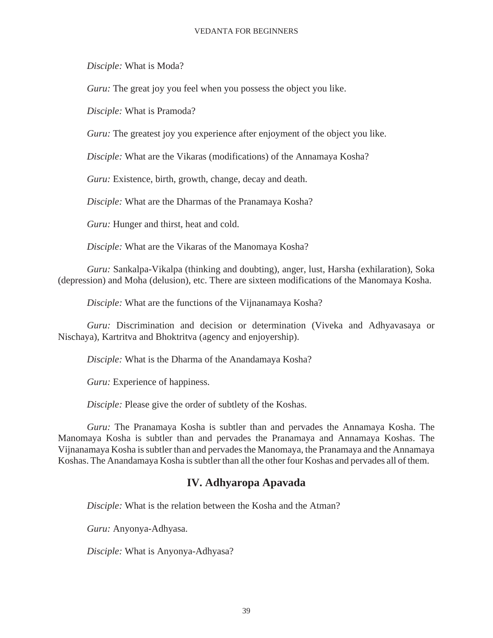*Disciple:* What is Moda?

*Guru:* The great joy you feel when you possess the object you like.

*Disciple:* What is Pramoda?

*Guru:* The greatest joy you experience after enjoyment of the object you like.

*Disciple:* What are the Vikaras (modifications) of the Annamaya Kosha?

*Guru:* Existence, birth, growth, change, decay and death.

*Disciple:* What are the Dharmas of the Pranamaya Kosha?

*Guru:* Hunger and thirst, heat and cold.

*Disciple:* What are the Vikaras of the Manomaya Kosha?

*Guru:* Sankalpa-Vikalpa (thinking and doubting), anger, lust, Harsha (exhilaration), Soka (depression) and Moha (delusion), etc. There are sixteen modifications of the Manomaya Kosha.

*Disciple:* What are the functions of the Vijnanamaya Kosha?

*Guru:* Discrimination and decision or determination (Viveka and Adhyavasaya or Nischaya), Kartritva and Bhoktritva (agency and enjoyership).

*Disciple:* What is the Dharma of the Anandamaya Kosha?

*Guru:* Experience of happiness.

*Disciple:* Please give the order of subtlety of the Koshas.

*Guru:* The Pranamaya Kosha is subtler than and pervades the Annamaya Kosha. The Manomaya Kosha is subtler than and pervades the Pranamaya and Annamaya Koshas. The Vijnanamaya Kosha is subtler than and pervades the Manomaya, the Pranamaya and the Annamaya Koshas. The Anandamaya Kosha is subtler than all the other four Koshas and pervades all of them.

## **IV. Adhyaropa Apavada**

*Disciple:* What is the relation between the Kosha and the Atman?

*Guru:* Anyonya-Adhyasa.

*Disciple:* What is Anyonya-Adhyasa?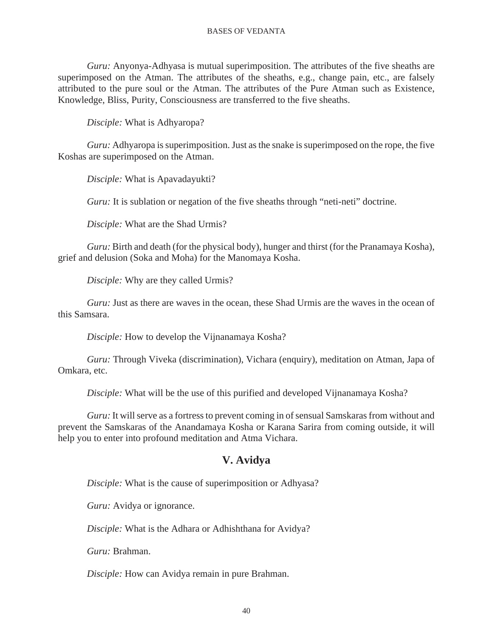#### BASES OF VEDANTA

*Guru:* Anyonya-Adhyasa is mutual superimposition. The attributes of the five sheaths are superimposed on the Atman. The attributes of the sheaths, e.g., change pain, etc., are falsely attributed to the pure soul or the Atman. The attributes of the Pure Atman such as Existence, Knowledge, Bliss, Purity, Consciousness are transferred to the five sheaths.

*Disciple:* What is Adhyaropa?

*Guru:* Adhyaropa is superimposition. Just as the snake is superimposed on the rope, the five Koshas are superimposed on the Atman.

*Disciple:* What is Apavadayukti?

*Guru:* It is sublation or negation of the five sheaths through "neti-neti" doctrine.

*Disciple:* What are the Shad Urmis?

*Guru:* Birth and death (for the physical body), hunger and thirst (for the Pranamaya Kosha), grief and delusion (Soka and Moha) for the Manomaya Kosha.

*Disciple:* Why are they called Urmis?

*Guru:* Just as there are waves in the ocean, these Shad Urmis are the waves in the ocean of this Samsara.

*Disciple:* How to develop the Vijnanamaya Kosha?

*Guru:* Through Viveka (discrimination), Vichara (enquiry), meditation on Atman, Japa of Omkara, etc.

*Disciple:* What will be the use of this purified and developed Vijnanamaya Kosha?

*Guru:* It will serve as a fortress to prevent coming in of sensual Samskaras from without and prevent the Samskaras of the Anandamaya Kosha or Karana Sarira from coming outside, it will help you to enter into profound meditation and Atma Vichara.

## **V. Avidya**

*Disciple:* What is the cause of superimposition or Adhyasa?

*Guru:* Avidya or ignorance.

*Disciple:* What is the Adhara or Adhishthana for Avidya?

*Guru:* Brahman.

*Disciple:* How can Avidya remain in pure Brahman.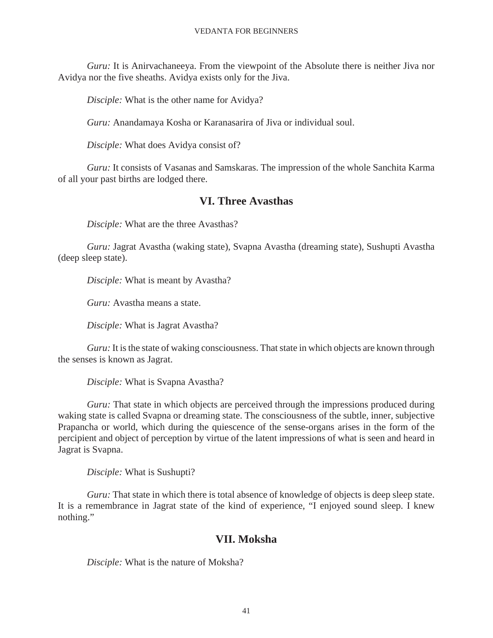*Guru:* It is Anirvachaneeya. From the viewpoint of the Absolute there is neither Jiva nor Avidya nor the five sheaths. Avidya exists only for the Jiva.

*Disciple:* What is the other name for Avidya?

*Guru:* Anandamaya Kosha or Karanasarira of Jiva or individual soul.

*Disciple:* What does Avidya consist of?

*Guru:* It consists of Vasanas and Samskaras. The impression of the whole Sanchita Karma of all your past births are lodged there.

## **VI. Three Avasthas**

*Disciple:* What are the three Avasthas?

*Guru:* Jagrat Avastha (waking state), Svapna Avastha (dreaming state), Sushupti Avastha (deep sleep state).

*Disciple:* What is meant by Avastha?

*Guru:* Avastha means a state.

*Disciple:* What is Jagrat Avastha?

*Guru*: It is the state of waking consciousness. That state in which objects are known through the senses is known as Jagrat.

*Disciple:* What is Svapna Avastha?

*Guru:* That state in which objects are perceived through the impressions produced during waking state is called Svapna or dreaming state. The consciousness of the subtle, inner, subjective Prapancha or world, which during the quiescence of the sense-organs arises in the form of the percipient and object of perception by virtue of the latent impressions of what is seen and heard in Jagrat is Svapna.

*Disciple:* What is Sushupti?

*Guru:* That state in which there is total absence of knowledge of objects is deep sleep state. It is a remembrance in Jagrat state of the kind of experience, "I enjoyed sound sleep. I knew nothing."

### **VII. Moksha**

*Disciple:* What is the nature of Moksha?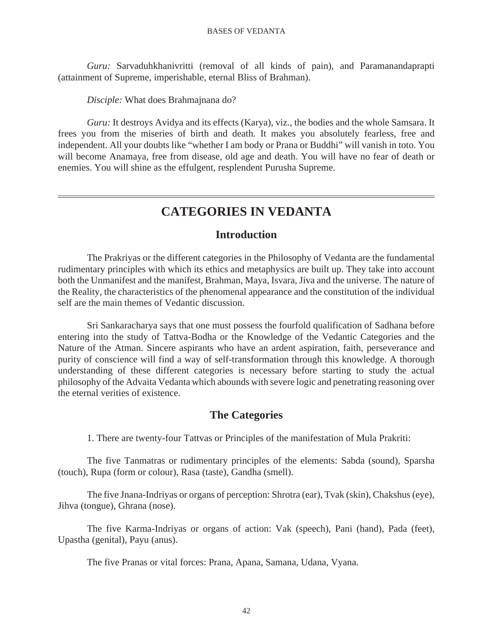*Guru:* Sarvaduhkhanivritti (removal of all kinds of pain), and Paramanandaprapti (attainment of Supreme, imperishable, eternal Bliss of Brahman).

*Disciple:* What does Brahmajnana do?

*Guru:* It destroys Avidya and its effects (Karya), viz., the bodies and the whole Samsara. It frees you from the miseries of birth and death. It makes you absolutely fearless, free and independent. All your doubts like "whether I am body or Prana or Buddhi" will vanish in toto. You will become Anamaya, free from disease, old age and death. You will have no fear of death or enemies. You will shine as the effulgent, resplendent Purusha Supreme.

# **CATEGORIES IN VEDANTA**

## **Introduction**

The Prakriyas or the different categories in the Philosophy of Vedanta are the fundamental rudimentary principles with which its ethics and metaphysics are built up. They take into account both the Unmanifest and the manifest, Brahman, Maya, Isvara, Jiva and the universe. The nature of the Reality, the characteristics of the phenomenal appearance and the constitution of the individual self are the main themes of Vedantic discussion.

Sri Sankaracharya says that one must possess the fourfold qualification of Sadhana before entering into the study of Tattva-Bodha or the Knowledge of the Vedantic Categories and the Nature of the Atman. Sincere aspirants who have an ardent aspiration, faith, perseverance and purity of conscience will find a way of self-transformation through this knowledge. A thorough understanding of these different categories is necessary before starting to study the actual philosophy of the Advaita Vedanta which abounds with severe logic and penetrating reasoning over the eternal verities of existence.

## **The Categories**

1. There are twenty-four Tattvas or Principles of the manifestation of Mula Prakriti:

The five Tanmatras or rudimentary principles of the elements: Sabda (sound), Sparsha (touch), Rupa (form or colour), Rasa (taste), Gandha (smell).

The five Jnana-Indriyas or organs of perception: Shrotra (ear), Tvak (skin), Chakshus (eye), Jihva (tongue), Ghrana (nose).

The five Karma-Indriyas or organs of action: Vak (speech), Pani (hand), Pada (feet), Upastha (genital), Payu (anus).

The five Pranas or vital forces: Prana, Apana, Samana, Udana, Vyana.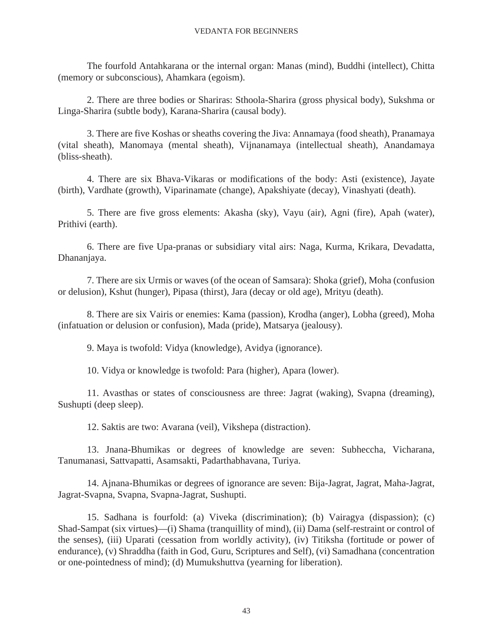The fourfold Antahkarana or the internal organ: Manas (mind), Buddhi (intellect), Chitta (memory or subconscious), Ahamkara (egoism).

2. There are three bodies or Shariras: Sthoola-Sharira (gross physical body), Sukshma or Linga-Sharira (subtle body), Karana-Sharira (causal body).

3. There are five Koshas or sheaths covering the Jiva: Annamaya (food sheath), Pranamaya (vital sheath), Manomaya (mental sheath), Vijnanamaya (intellectual sheath), Anandamaya (bliss-sheath).

4. There are six Bhava-Vikaras or modifications of the body: Asti (existence), Jayate (birth), Vardhate (growth), Viparinamate (change), Apakshiyate (decay), Vinashyati (death).

5. There are five gross elements: Akasha (sky), Vayu (air), Agni (fire), Apah (water), Prithivi (earth).

6. There are five Upa-pranas or subsidiary vital airs: Naga, Kurma, Krikara, Devadatta, Dhananjaya.

7. There are six Urmis or waves (of the ocean of Samsara): Shoka (grief), Moha (confusion or delusion), Kshut (hunger), Pipasa (thirst), Jara (decay or old age), Mrityu (death).

8. There are six Vairis or enemies: Kama (passion), Krodha (anger), Lobha (greed), Moha (infatuation or delusion or confusion), Mada (pride), Matsarya (jealousy).

9. Maya is twofold: Vidya (knowledge), Avidya (ignorance).

10. Vidya or knowledge is twofold: Para (higher), Apara (lower).

11. Avasthas or states of consciousness are three: Jagrat (waking), Svapna (dreaming), Sushupti (deep sleep).

12. Saktis are two: Avarana (veil), Vikshepa (distraction).

13. Jnana-Bhumikas or degrees of knowledge are seven: Subheccha, Vicharana, Tanumanasi, Sattvapatti, Asamsakti, Padarthabhavana, Turiya.

14. Ajnana-Bhumikas or degrees of ignorance are seven: Bija-Jagrat, Jagrat, Maha-Jagrat, Jagrat-Svapna, Svapna, Svapna-Jagrat, Sushupti.

15. Sadhana is fourfold: (a) Viveka (discrimination); (b) Vairagya (dispassion); (c) Shad-Sampat (six virtues)—(i) Shama (tranquillity of mind), (ii) Dama (self-restraint or control of the senses), (iii) Uparati (cessation from worldly activity), (iv) Titiksha (fortitude or power of endurance), (v) Shraddha (faith in God, Guru, Scriptures and Self), (vi) Samadhana (concentration or one-pointedness of mind); (d) Mumukshuttva (yearning for liberation).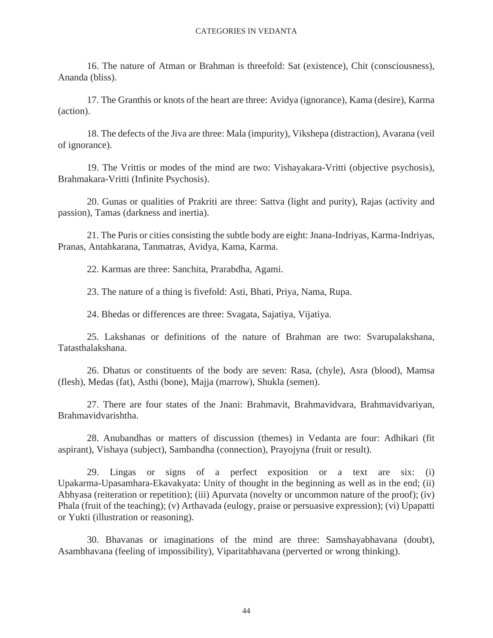16. The nature of Atman or Brahman is threefold: Sat (existence), Chit (consciousness), Ananda (bliss).

17. The Granthis or knots of the heart are three: Avidya (ignorance), Kama (desire), Karma (action).

18. The defects of the Jiva are three: Mala (impurity), Vikshepa (distraction), Avarana (veil of ignorance).

19. The Vrittis or modes of the mind are two: Vishayakara-Vritti (objective psychosis), Brahmakara-Vritti (Infinite Psychosis).

20. Gunas or qualities of Prakriti are three: Sattva (light and purity), Rajas (activity and passion), Tamas (darkness and inertia).

21. The Puris or cities consisting the subtle body are eight: Jnana-Indriyas, Karma-Indriyas, Pranas, Antahkarana, Tanmatras, Avidya, Kama, Karma.

22. Karmas are three: Sanchita, Prarabdha, Agami.

23. The nature of a thing is fivefold: Asti, Bhati, Priya, Nama, Rupa.

24. Bhedas or differences are three: Svagata, Sajatiya, Vijatiya.

25. Lakshanas or definitions of the nature of Brahman are two: Svarupalakshana, Tatasthalakshana.

26. Dhatus or constituents of the body are seven: Rasa, (chyle), Asra (blood), Mamsa (flesh), Medas (fat), Asthi (bone), Majja (marrow), Shukla (semen).

27. There are four states of the Jnani: Brahmavit, Brahmavidvara, Brahmavidvariyan, Brahmavidvarishtha.

28. Anubandhas or matters of discussion (themes) in Vedanta are four: Adhikari (fit aspirant), Vishaya (subject), Sambandha (connection), Prayojyna (fruit or result).

29. Lingas or signs of a perfect exposition or a text are six: (i) Upakarma-Upasamhara-Ekavakyata: Unity of thought in the beginning as well as in the end; (ii) Abhyasa (reiteration or repetition); (iii) Apurvata (novelty or uncommon nature of the proof); (iv) Phala (fruit of the teaching); (v) Arthavada (eulogy, praise or persuasive expression); (vi) Upapatti or Yukti (illustration or reasoning).

30. Bhavanas or imaginations of the mind are three: Samshayabhavana (doubt), Asambhavana (feeling of impossibility), Viparitabhavana (perverted or wrong thinking).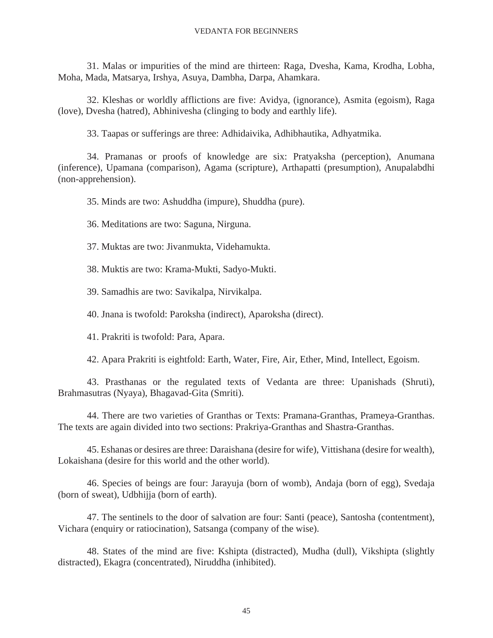31. Malas or impurities of the mind are thirteen: Raga, Dvesha, Kama, Krodha, Lobha, Moha, Mada, Matsarya, Irshya, Asuya, Dambha, Darpa, Ahamkara.

32. Kleshas or worldly afflictions are five: Avidya, (ignorance), Asmita (egoism), Raga (love), Dvesha (hatred), Abhinivesha (clinging to body and earthly life).

33. Taapas or sufferings are three: Adhidaivika, Adhibhautika, Adhyatmika.

34. Pramanas or proofs of knowledge are six: Pratyaksha (perception), Anumana (inference), Upamana (comparison), Agama (scripture), Arthapatti (presumption), Anupalabdhi (non-apprehension).

35. Minds are two: Ashuddha (impure), Shuddha (pure).

36. Meditations are two: Saguna, Nirguna.

37. Muktas are two: Jivanmukta, Videhamukta.

38. Muktis are two: Krama-Mukti, Sadyo-Mukti.

39. Samadhis are two: Savikalpa, Nirvikalpa.

40. Jnana is twofold: Paroksha (indirect), Aparoksha (direct).

41. Prakriti is twofold: Para, Apara.

42. Apara Prakriti is eightfold: Earth, Water, Fire, Air, Ether, Mind, Intellect, Egoism.

43. Prasthanas or the regulated texts of Vedanta are three: Upanishads (Shruti), Brahmasutras (Nyaya), Bhagavad-Gita (Smriti).

44. There are two varieties of Granthas or Texts: Pramana-Granthas, Prameya-Granthas. The texts are again divided into two sections: Prakriya-Granthas and Shastra-Granthas.

45. Eshanas or desires are three: Daraishana (desire for wife), Vittishana (desire for wealth), Lokaishana (desire for this world and the other world).

46. Species of beings are four: Jarayuja (born of womb), Andaja (born of egg), Svedaja (born of sweat), Udbhijja (born of earth).

47. The sentinels to the door of salvation are four: Santi (peace), Santosha (contentment), Vichara (enquiry or ratiocination), Satsanga (company of the wise).

48. States of the mind are five: Kshipta (distracted), Mudha (dull), Vikshipta (slightly distracted), Ekagra (concentrated), Niruddha (inhibited).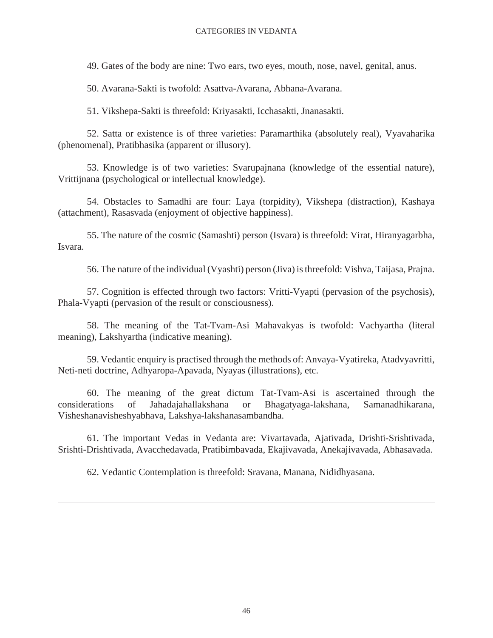#### CATEGORIES IN VEDANTA

49. Gates of the body are nine: Two ears, two eyes, mouth, nose, navel, genital, anus.

50. Avarana-Sakti is twofold: Asattva-Avarana, Abhana-Avarana.

51. Vikshepa-Sakti is threefold: Kriyasakti, Icchasakti, Jnanasakti.

52. Satta or existence is of three varieties: Paramarthika (absolutely real), Vyavaharika (phenomenal), Pratibhasika (apparent or illusory).

53. Knowledge is of two varieties: Svarupajnana (knowledge of the essential nature), Vrittijnana (psychological or intellectual knowledge).

54. Obstacles to Samadhi are four: Laya (torpidity), Vikshepa (distraction), Kashaya (attachment), Rasasvada (enjoyment of objective happiness).

55. The nature of the cosmic (Samashti) person (Isvara) is threefold: Virat, Hiranyagarbha, Isvara.

56. The nature of the individual (Vyashti) person (Jiva) is threefold: Vishva, Taijasa, Prajna.

57. Cognition is effected through two factors: Vritti-Vyapti (pervasion of the psychosis), Phala-Vyapti (pervasion of the result or consciousness).

58. The meaning of the Tat-Tvam-Asi Mahavakyas is twofold: Vachyartha (literal meaning), Lakshyartha (indicative meaning).

59. Vedantic enquiry is practised through the methods of: Anvaya-Vyatireka, Atadvyavritti, Neti-neti doctrine, Adhyaropa-Apavada, Nyayas (illustrations), etc.

60. The meaning of the great dictum Tat-Tvam-Asi is ascertained through the considerations of Jahadajahallakshana or Bhagatyaga-lakshana, Samanadhikarana, Visheshanavisheshyabhava, Lakshya-lakshanasambandha.

61. The important Vedas in Vedanta are: Vivartavada, Ajativada, Drishti-Srishtivada, Srishti-Drishtivada, Avacchedavada, Pratibimbavada, Ekajivavada, Anekajivavada, Abhasavada.

62. Vedantic Contemplation is threefold: Sravana, Manana, Nididhyasana.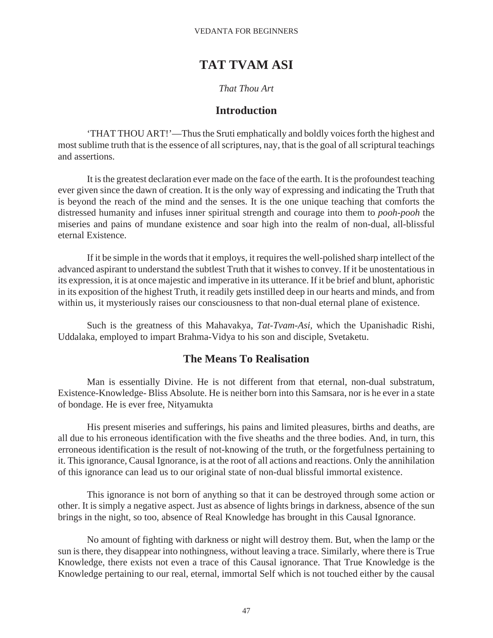# **TAT TVAM ASI**

## *That Thou Art*

### **Introduction**

'THAT THOU ART!'—Thus the Sruti emphatically and boldly voices forth the highest and most sublime truth that is the essence of all scriptures, nay, that is the goal of all scriptural teachings and assertions.

It is the greatest declaration ever made on the face of the earth. It is the profoundest teaching ever given since the dawn of creation. It is the only way of expressing and indicating the Truth that is beyond the reach of the mind and the senses. It is the one unique teaching that comforts the distressed humanity and infuses inner spiritual strength and courage into them to *pooh-pooh* the miseries and pains of mundane existence and soar high into the realm of non-dual, all-blissful eternal Existence.

If it be simple in the words that it employs, it requires the well-polished sharp intellect of the advanced aspirant to understand the subtlest Truth that it wishes to convey. If it be unostentatious in its expression, it is at once majestic and imperative in its utterance. If it be brief and blunt, aphoristic in its exposition of the highest Truth, it readily gets instilled deep in our hearts and minds, and from within us, it mysteriously raises our consciousness to that non-dual eternal plane of existence.

Such is the greatness of this Mahavakya, *Tat-Tvam-Asi,* which the Upanishadic Rishi, Uddalaka, employed to impart Brahma-Vidya to his son and disciple, Svetaketu.

## **The Means To Realisation**

Man is essentially Divine. He is not different from that eternal, non-dual substratum, Existence-Knowledge- Bliss Absolute. He is neither born into this Samsara, nor is he ever in a state of bondage. He is ever free, Nityamukta

His present miseries and sufferings, his pains and limited pleasures, births and deaths, are all due to his erroneous identification with the five sheaths and the three bodies. And, in turn, this erroneous identification is the result of not-knowing of the truth, or the forgetfulness pertaining to it. This ignorance, Causal Ignorance, is at the root of all actions and reactions. Only the annihilation of this ignorance can lead us to our original state of non-dual blissful immortal existence.

This ignorance is not born of anything so that it can be destroyed through some action or other. It is simply a negative aspect. Just as absence of lights brings in darkness, absence of the sun brings in the night, so too, absence of Real Knowledge has brought in this Causal Ignorance.

No amount of fighting with darkness or night will destroy them. But, when the lamp or the sun is there, they disappear into nothingness, without leaving a trace. Similarly, where there is True Knowledge, there exists not even a trace of this Causal ignorance. That True Knowledge is the Knowledge pertaining to our real, eternal, immortal Self which is not touched either by the causal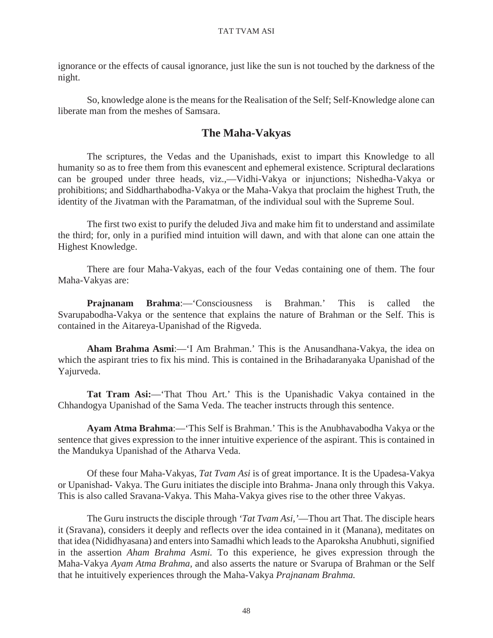ignorance or the effects of causal ignorance, just like the sun is not touched by the darkness of the night.

So, knowledge alone is the means for the Realisation of the Self; Self-Knowledge alone can liberate man from the meshes of Samsara.

## **The Maha-Vakyas**

The scriptures, the Vedas and the Upanishads, exist to impart this Knowledge to all humanity so as to free them from this evanescent and ephemeral existence. Scriptural declarations can be grouped under three heads, viz.,—Vidhi-Vakya or injunctions; Nishedha-Vakya or prohibitions; and Siddharthabodha-Vakya or the Maha-Vakya that proclaim the highest Truth, the identity of the Jivatman with the Paramatman, of the individual soul with the Supreme Soul.

The first two exist to purify the deluded Jiva and make him fit to understand and assimilate the third; for, only in a purified mind intuition will dawn, and with that alone can one attain the Highest Knowledge.

There are four Maha-Vakyas, each of the four Vedas containing one of them. The four Maha-Vakyas are:

**Prajnanam Brahma:** Consciousness is Brahman.' This is called the Svarupabodha-Vakya or the sentence that explains the nature of Brahman or the Self. This is contained in the Aitareya-Upanishad of the Rigveda.

**Aham Brahma Asmi**:—'I Am Brahman.' This is the Anusandhana-Vakya, the idea on which the aspirant tries to fix his mind. This is contained in the Brihadaranyaka Upanishad of the Yajurveda.

**Tat Tram Asi:**—'That Thou Art.' This is the Upanishadic Vakya contained in the Chhandogya Upanishad of the Sama Veda. The teacher instructs through this sentence.

**Ayam Atma Brahma**:—'This Self is Brahman.' This is the Anubhavabodha Vakya or the sentence that gives expression to the inner intuitive experience of the aspirant. This is contained in the Mandukya Upanishad of the Atharva Veda.

Of these four Maha-Vakyas, *Tat Tvam Asi* is of great importance. It is the Upadesa-Vakya or Upanishad- Vakya. The Guru initiates the disciple into Brahma- Jnana only through this Vakya. This is also called Sravana-Vakya. This Maha-Vakya gives rise to the other three Vakyas.

The Guru instructs the disciple through *'Tat Tvam Asi,'*—Thou art That. The disciple hears it (Sravana), considers it deeply and reflects over the idea contained in it (Manana), meditates on that idea (Nididhyasana) and enters into Samadhi which leads to the Aparoksha Anubhuti, signified in the assertion *Aham Brahma Asmi.* To this experience, he gives expression through the Maha-Vakya *Ayam Atma Brahma,* and also asserts the nature or Svarupa of Brahman or the Self that he intuitively experiences through the Maha-Vakya *Prajnanam Brahma.*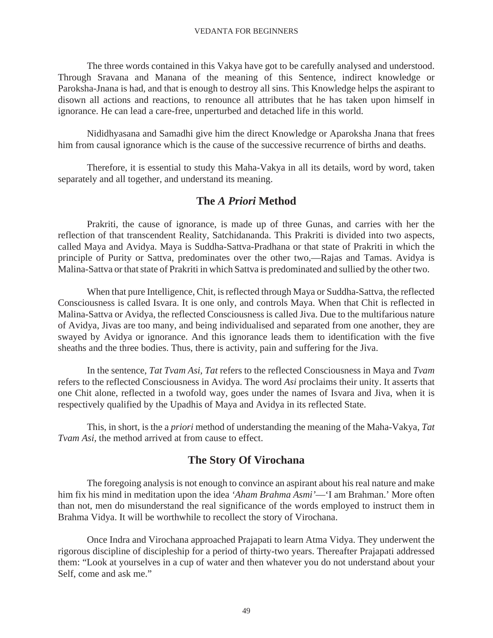The three words contained in this Vakya have got to be carefully analysed and understood. Through Sravana and Manana of the meaning of this Sentence, indirect knowledge or Paroksha-Jnana is had, and that is enough to destroy all sins. This Knowledge helps the aspirant to disown all actions and reactions, to renounce all attributes that he has taken upon himself in ignorance. He can lead a care-free, unperturbed and detached life in this world.

Nididhyasana and Samadhi give him the direct Knowledge or Aparoksha Jnana that frees him from causal ignorance which is the cause of the successive recurrence of births and deaths.

Therefore, it is essential to study this Maha-Vakya in all its details, word by word, taken separately and all together, and understand its meaning.

## **The** *A Priori* **Method**

Prakriti, the cause of ignorance, is made up of three Gunas, and carries with her the reflection of that transcendent Reality, Satchidananda. This Prakriti is divided into two aspects, called Maya and Avidya. Maya is Suddha-Sattva-Pradhana or that state of Prakriti in which the principle of Purity or Sattva, predominates over the other two,—Rajas and Tamas. Avidya is Malina-Sattva or that state of Prakriti in which Sattva is predominated and sullied by the other two.

When that pure Intelligence, Chit, is reflected through Maya or Suddha-Sattva, the reflected Consciousness is called Isvara. It is one only, and controls Maya. When that Chit is reflected in Malina-Sattva or Avidya, the reflected Consciousness is called Jiva. Due to the multifarious nature of Avidya, Jivas are too many, and being individualised and separated from one another, they are swayed by Avidya or ignorance. And this ignorance leads them to identification with the five sheaths and the three bodies. Thus, there is activity, pain and suffering for the Jiva.

In the sentence, *Tat Tvam Asi, Tat* refers to the reflected Consciousness in Maya and *Tvam* refers to the reflected Consciousness in Avidya. The word *Asi* proclaims their unity. It asserts that one Chit alone, reflected in a twofold way, goes under the names of Isvara and Jiva, when it is respectively qualified by the Upadhis of Maya and Avidya in its reflected State.

This, in short, is the a *priori* method of understanding the meaning of the Maha-Vakya, *Tat Tvam Asi*, the method arrived at from cause to effect.

## **The Story Of Virochana**

The foregoing analysis is not enough to convince an aspirant about his real nature and make him fix his mind in meditation upon the idea *'Aham Brahma Asmi'*—'I am Brahman.' More often than not, men do misunderstand the real significance of the words employed to instruct them in Brahma Vidya. It will be worthwhile to recollect the story of Virochana.

Once Indra and Virochana approached Prajapati to learn Atma Vidya. They underwent the rigorous discipline of discipleship for a period of thirty-two years. Thereafter Prajapati addressed them: "Look at yourselves in a cup of water and then whatever you do not understand about your Self, come and ask me."

49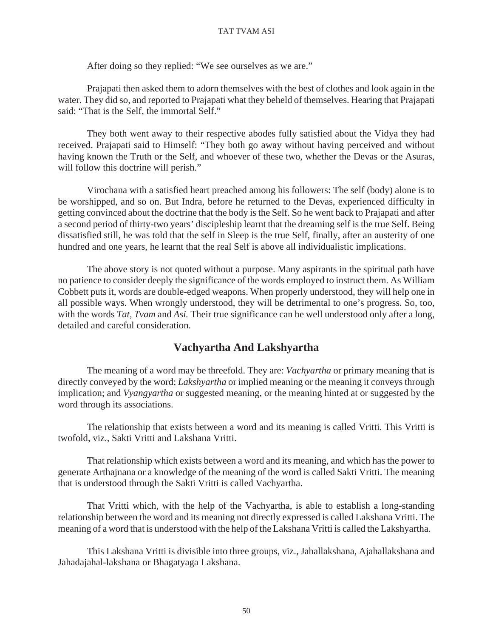#### TAT TVAM ASI

After doing so they replied: "We see ourselves as we are."

Prajapati then asked them to adorn themselves with the best of clothes and look again in the water. They did so, and reported to Prajapati what they beheld of themselves. Hearing that Prajapati said: "That is the Self, the immortal Self."

They both went away to their respective abodes fully satisfied about the Vidya they had received. Prajapati said to Himself: "They both go away without having perceived and without having known the Truth or the Self, and whoever of these two, whether the Devas or the Asuras, will follow this doctrine will perish."

Virochana with a satisfied heart preached among his followers: The self (body) alone is to be worshipped, and so on. But Indra, before he returned to the Devas, experienced difficulty in getting convinced about the doctrine that the body is the Self. So he went back to Prajapati and after a second period of thirty-two years' discipleship learnt that the dreaming self is the true Self. Being dissatisfied still, he was told that the self in Sleep is the true Self, finally, after an austerity of one hundred and one years, he learnt that the real Self is above all individualistic implications.

The above story is not quoted without a purpose. Many aspirants in the spiritual path have no patience to consider deeply the significance of the words employed to instruct them. As William Cobbett puts it, words are double-edged weapons. When properly understood, they will help one in all possible ways. When wrongly understood, they will be detrimental to one's progress. So, too, with the words *Tat, Tvam* and *Asi*. Their true significance can be well understood only after a long, detailed and careful consideration.

## **Vachyartha And Lakshyartha**

The meaning of a word may be threefold. They are: *Vachyartha* or primary meaning that is directly conveyed by the word; *Lakshyartha* or implied meaning or the meaning it conveys through implication; and *Vyangyartha* or suggested meaning, or the meaning hinted at or suggested by the word through its associations.

The relationship that exists between a word and its meaning is called Vritti. This Vritti is twofold, viz., Sakti Vritti and Lakshana Vritti.

That relationship which exists between a word and its meaning, and which has the power to generate Arthajnana or a knowledge of the meaning of the word is called Sakti Vritti. The meaning that is understood through the Sakti Vritti is called Vachyartha.

That Vritti which, with the help of the Vachyartha, is able to establish a long-standing relationship between the word and its meaning not directly expressed is called Lakshana Vritti. The meaning of a word that is understood with the help of the Lakshana Vritti is called the Lakshyartha.

This Lakshana Vritti is divisible into three groups, viz., Jahallakshana, Ajahallakshana and Jahadajahal-lakshana or Bhagatyaga Lakshana.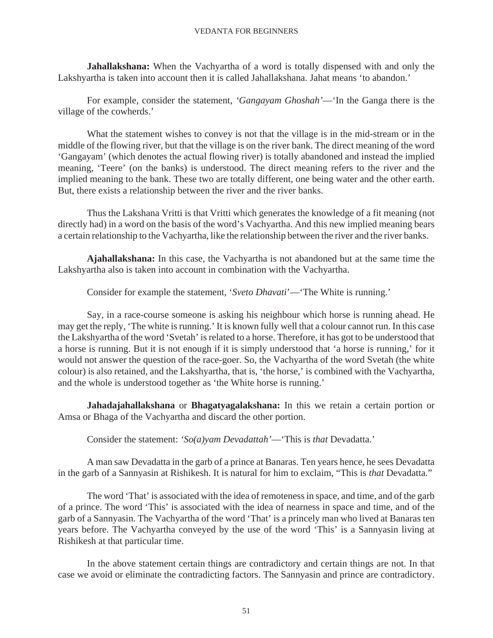**Jahallakshana:** When the Vachyartha of a word is totally dispensed with and only the Lakshyartha is taken into account then it is called Jahallakshana. Jahat means 'to abandon.'

For example, consider the statement, *'Gangayam Ghoshah'*—'In the Ganga there is the village of the cowherds.'

What the statement wishes to convey is not that the village is in the mid-stream or in the middle of the flowing river, but that the village is on the river bank. The direct meaning of the word 'Gangayam' (which denotes the actual flowing river) is totally abandoned and instead the implied meaning, 'Teere' (on the banks) is understood. The direct meaning refers to the river and the implied meaning to the bank. These two are totally different, one being water and the other earth. But, there exists a relationship between the river and the river banks.

Thus the Lakshana Vritti is that Vritti which generates the knowledge of a fit meaning (not directly had) in a word on the basis of the word's Vachyartha. And this new implied meaning bears a certain relationship to the Vachyartha, like the relationship between the river and the river banks.

**Ajahallakshana:** In this case, the Vachyartha is not abandoned but at the same time the Lakshyartha also is taken into account in combination with the Vachyartha.

Consider for example the statement, '*Sveto Dhavati*'—'The White is running.'

Say, in a race-course someone is asking his neighbour which horse is running ahead. He may get the reply, 'The white is running.' It is known fully well that a colour cannot run. In this case the Lakshyartha of the word 'Svetah' is related to a horse. Therefore, it has got to be understood that a horse is running. But it is not enough if it is simply understood that 'a horse is running,' for it would not answer the question of the race-goer. So, the Vachyartha of the word Svetah (the white colour) is also retained, and the Lakshyartha, that is, 'the horse,' is combined with the Vachyartha, and the whole is understood together as 'the White horse is running.'

**Jahadajahallakshana** or **Bhagatyagalakshana:** In this we retain a certain portion or Amsa or Bhaga of the Vachyartha and discard the other portion.

Consider the statement: *'So(a)yam Devadattah'*—'This is *that* Devadatta.'

A man saw Devadatta in the garb of a prince at Banaras. Ten years hence, he sees Devadatta in the garb of a Sannyasin at Rishikesh. It is natural for him to exclaim, "This is *that* Devadatta."

The word 'That' is associated with the idea of remoteness in space, and time, and of the garb of a prince. The word 'This' is associated with the idea of nearness in space and time, and of the garb of a Sannyasin. The Vachyartha of the word 'That' is a princely man who lived at Banaras ten years before. The Vachyartha conveyed by the use of the word 'This' is a Sannyasin living at Rishikesh at that particular time.

In the above statement certain things are contradictory and certain things are not. In that case we avoid or eliminate the contradicting factors. The Sannyasin and prince are contradictory.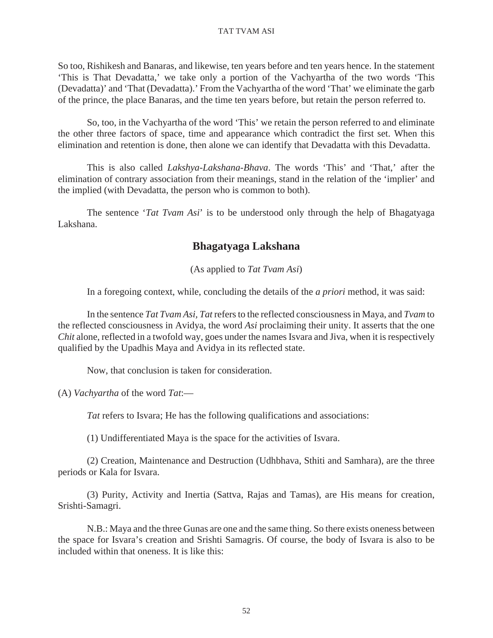So too, Rishikesh and Banaras, and likewise, ten years before and ten years hence. In the statement 'This is That Devadatta,' we take only a portion of the Vachyartha of the two words 'This (Devadatta)' and 'That (Devadatta).' From the Vachyartha of the word 'That' we eliminate the garb of the prince, the place Banaras, and the time ten years before, but retain the person referred to.

So, too, in the Vachyartha of the word 'This' we retain the person referred to and eliminate the other three factors of space, time and appearance which contradict the first set. When this elimination and retention is done, then alone we can identify that Devadatta with this Devadatta.

This is also called *Lakshya-Lakshana-Bhava*. The words 'This' and 'That,' after the elimination of contrary association from their meanings, stand in the relation of the 'implier' and the implied (with Devadatta, the person who is common to both).

The sentence '*Tat Tvam Asi*' is to be understood only through the help of Bhagatyaga Lakshana.

## **Bhagatyaga Lakshana**

(As applied to *Tat Tvam Asi*)

In a foregoing context, while, concluding the details of the *a priori* method, it was said:

In the sentence *Tat Tvam Asi, Tat* refers to the reflected consciousness in Maya, and *Tvam* to the reflected consciousness in Avidya, the word *Asi* proclaiming their unity. It asserts that the one *Chit* alone, reflected in a twofold way, goes under the names Isvara and Jiva, when it is respectively qualified by the Upadhis Maya and Avidya in its reflected state.

Now, that conclusion is taken for consideration.

(A) *Vachyartha* of the word *Tat*:—

*Tat* refers to Isvara; He has the following qualifications and associations:

(1) Undifferentiated Maya is the space for the activities of Isvara.

(2) Creation, Maintenance and Destruction (Udhbhava, Sthiti and Samhara), are the three periods or Kala for Isvara.

(3) Purity, Activity and Inertia (Sattva, Rajas and Tamas), are His means for creation, Srishti-Samagri.

N.B.: Maya and the three Gunas are one and the same thing. So there exists oneness between the space for Isvara's creation and Srishti Samagris. Of course, the body of Isvara is also to be included within that oneness. It is like this: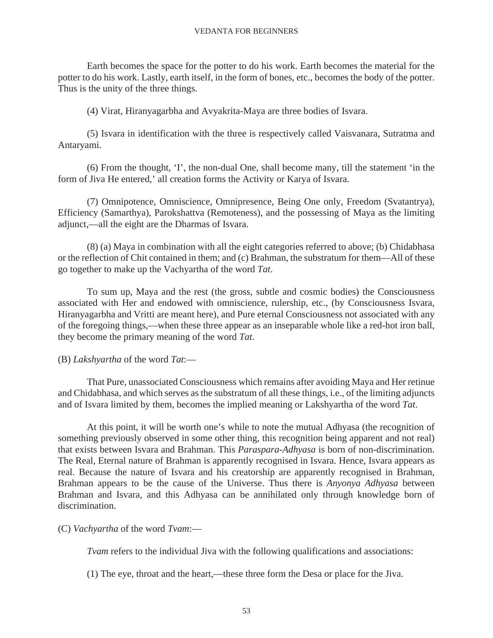Earth becomes the space for the potter to do his work. Earth becomes the material for the potter to do his work. Lastly, earth itself, in the form of bones, etc., becomes the body of the potter. Thus is the unity of the three things.

(4) Virat, Hiranyagarbha and Avyakrita-Maya are three bodies of Isvara.

(5) Isvara in identification with the three is respectively called Vaisvanara, Sutratma and Antaryami.

(6) From the thought, 'I', the non-dual One, shall become many, till the statement 'in the form of Jiva He entered,' all creation forms the Activity or Karya of Isvara.

(7) Omnipotence, Omniscience, Omnipresence, Being One only, Freedom (Svatantrya), Efficiency (Samarthya), Parokshattva (Remoteness), and the possessing of Maya as the limiting adjunct,—all the eight are the Dharmas of Isvara.

(8) (a) Maya in combination with all the eight categories referred to above; (b) Chidabhasa or the reflection of Chit contained in them; and (c) Brahman, the substratum for them—All of these go together to make up the Vachyartha of the word *Tat*.

To sum up, Maya and the rest (the gross, subtle and cosmic bodies) the Consciousness associated with Her and endowed with omniscience, rulership, etc., (by Consciousness Isvara, Hiranyagarbha and Vritti are meant here), and Pure eternal Consciousness not associated with any of the foregoing things,—when these three appear as an inseparable whole like a red-hot iron ball, they become the primary meaning of the word *Tat*.

(B) *Lakshyartha* of the word *Tat*:—

That Pure, unassociated Consciousness which remains after avoiding Maya and Her retinue and Chidabhasa, and which serves as the substratum of all these things, i.e., of the limiting adjuncts and of Isvara limited by them, becomes the implied meaning or Lakshyartha of the word *Tat*.

At this point, it will be worth one's while to note the mutual Adhyasa (the recognition of something previously observed in some other thing, this recognition being apparent and not real) that exists between Isvara and Brahman. This *Paraspara-Adhyasa* is born of non-discrimination. The Real, Eternal nature of Brahman is apparently recognised in Isvara. Hence, Isvara appears as real. Because the nature of Isvara and his creatorship are apparently recognised in Brahman, Brahman appears to be the cause of the Universe. Thus there is *Anyonya Adhyasa* between Brahman and Isvara, and this Adhyasa can be annihilated only through knowledge born of discrimination.

### (C) *Vachyartha* of the word *Tvam*:—

*Tvam* refers to the individual Jiva with the following qualifications and associations:

(1) The eye, throat and the heart,—these three form the Desa or place for the Jiva.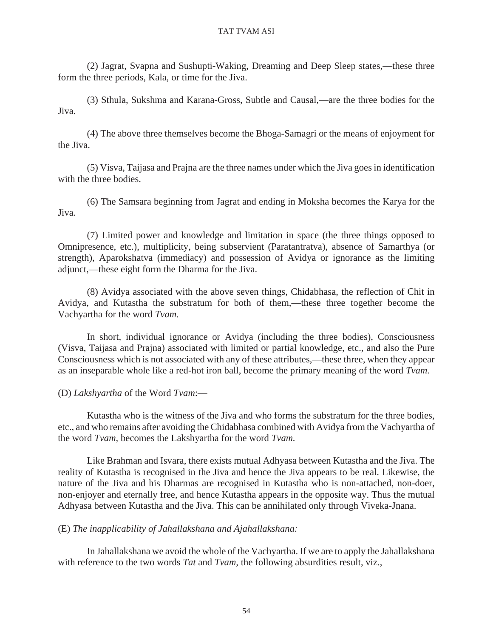(2) Jagrat, Svapna and Sushupti-Waking, Dreaming and Deep Sleep states,—these three form the three periods, Kala, or time for the Jiva.

(3) Sthula, Sukshma and Karana-Gross, Subtle and Causal,—are the three bodies for the Jiva.

(4) The above three themselves become the Bhoga-Samagri or the means of enjoyment for the Jiva.

(5) Visva, Taijasa and Prajna are the three names under which the Jiva goes in identification with the three bodies.

(6) The Samsara beginning from Jagrat and ending in Moksha becomes the Karya for the Jiva.

(7) Limited power and knowledge and limitation in space (the three things opposed to Omnipresence, etc.), multiplicity, being subservient (Paratantratva), absence of Samarthya (or strength), Aparokshatva (immediacy) and possession of Avidya or ignorance as the limiting adjunct,—these eight form the Dharma for the Jiva.

(8) Avidya associated with the above seven things, Chidabhasa, the reflection of Chit in Avidya, and Kutastha the substratum for both of them,—these three together become the Vachyartha for the word *Tvam.*

In short, individual ignorance or Avidya (including the three bodies), Consciousness (Visva, Taijasa and Prajna) associated with limited or partial knowledge, etc., and also the Pure Consciousness which is not associated with any of these attributes,—these three, when they appear as an inseparable whole like a red-hot iron ball, become the primary meaning of the word *Tvam.*

### (D) *Lakshyartha* of the Word *Tvam*:—

Kutastha who is the witness of the Jiva and who forms the substratum for the three bodies, etc., and who remains after avoiding the Chidabhasa combined with Avidya from the Vachyartha of the word *Tvam,* becomes the Lakshyartha for the word *Tvam.*

Like Brahman and Isvara, there exists mutual Adhyasa between Kutastha and the Jiva. The reality of Kutastha is recognised in the Jiva and hence the Jiva appears to be real. Likewise, the nature of the Jiva and his Dharmas are recognised in Kutastha who is non-attached, non-doer, non-enjoyer and eternally free, and hence Kutastha appears in the opposite way. Thus the mutual Adhyasa between Kutastha and the Jiva. This can be annihilated only through Viveka-Jnana.

### (E) *The inapplicability of Jahallakshana and Ajahallakshana:*

In Jahallakshana we avoid the whole of the Vachyartha. If we are to apply the Jahallakshana with reference to the two words *Tat* and *Tvam*, the following absurdities result, viz.,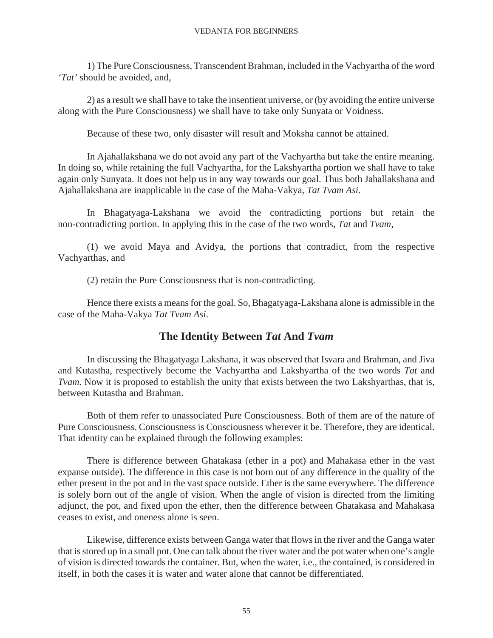1) The Pure Consciousness, Transcendent Brahman, included in the Vachyartha of the word *'Tat'* should be avoided, and,

2) as a result we shall have to take the insentient universe, or (by avoiding the entire universe along with the Pure Consciousness) we shall have to take only Sunyata or Voidness.

Because of these two, only disaster will result and Moksha cannot be attained.

In Ajahallakshana we do not avoid any part of the Vachyartha but take the entire meaning. In doing so, while retaining the full Vachyartha, for the Lakshyartha portion we shall have to take again only Sunyata. It does not help us in any way towards our goal. Thus both Jahallakshana and Ajahallakshana are inapplicable in the case of the Maha-Vakya, *Tat Tvam Asi.*

In Bhagatyaga-Lakshana we avoid the contradicting portions but retain the non-contradicting portion. In applying this in the case of the two words, *Tat* and *Tvam,*

(1) we avoid Maya and Avidya, the portions that contradict, from the respective Vachyarthas, and

(2) retain the Pure Consciousness that is non-contradicting.

Hence there exists a means for the goal. So, Bhagatyaga-Lakshana alone is admissible in the case of the Maha-Vakya *Tat Tvam Asi*.

## **The Identity Between** *Tat* **And** *Tvam*

In discussing the Bhagatyaga Lakshana, it was observed that Isvara and Brahman, and Jiva and Kutastha, respectively become the Vachyartha and Lakshyartha of the two words *Tat* and *Tvam.* Now it is proposed to establish the unity that exists between the two Lakshyarthas, that is, between Kutastha and Brahman.

Both of them refer to unassociated Pure Consciousness. Both of them are of the nature of Pure Consciousness. Consciousness is Consciousness wherever it be. Therefore, they are identical. That identity can be explained through the following examples:

There is difference between Ghatakasa (ether in a pot) and Mahakasa ether in the vast expanse outside). The difference in this case is not born out of any difference in the quality of the ether present in the pot and in the vast space outside. Ether is the same everywhere. The difference is solely born out of the angle of vision. When the angle of vision is directed from the limiting adjunct, the pot, and fixed upon the ether, then the difference between Ghatakasa and Mahakasa ceases to exist, and oneness alone is seen.

Likewise, difference exists between Ganga water that flows in the river and the Ganga water that is stored up in a small pot. One can talk about the river water and the pot water when one's angle of vision is directed towards the container. But, when the water, i.e., the contained, is considered in itself, in both the cases it is water and water alone that cannot be differentiated.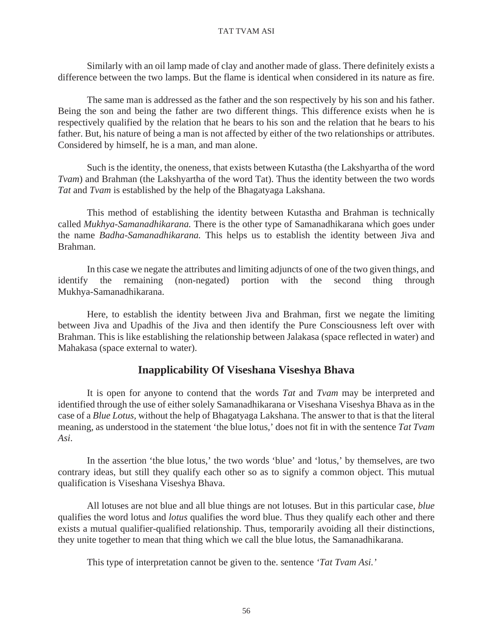Similarly with an oil lamp made of clay and another made of glass. There definitely exists a difference between the two lamps. But the flame is identical when considered in its nature as fire.

The same man is addressed as the father and the son respectively by his son and his father. Being the son and being the father are two different things. This difference exists when he is respectively qualified by the relation that he bears to his son and the relation that he bears to his father. But, his nature of being a man is not affected by either of the two relationships or attributes. Considered by himself, he is a man, and man alone.

Such is the identity, the oneness, that exists between Kutastha (the Lakshyartha of the word *Tvam*) and Brahman (the Lakshyartha of the word Tat). Thus the identity between the two words *Tat* and *Tvam* is established by the help of the Bhagatyaga Lakshana.

This method of establishing the identity between Kutastha and Brahman is technically called *Mukhya-Samanadhikarana.* There is the other type of Samanadhikarana which goes under the name *Badha-Samanadhikarana.* This helps us to establish the identity between Jiva and Brahman.

In this case we negate the attributes and limiting adjuncts of one of the two given things, and identify the remaining (non-negated) portion with the second thing through Mukhya-Samanadhikarana.

Here, to establish the identity between Jiva and Brahman, first we negate the limiting between Jiva and Upadhis of the Jiva and then identify the Pure Consciousness left over with Brahman. This is like establishing the relationship between Jalakasa (space reflected in water) and Mahakasa (space external to water).

## **Inapplicability Of Viseshana Viseshya Bhava**

It is open for anyone to contend that the words *Tat* and *Tvam* may be interpreted and identified through the use of either solely Samanadhikarana or Viseshana Viseshya Bhava as in the case of a *Blue Lotus,* without the help of Bhagatyaga Lakshana. The answer to that is that the literal meaning, as understood in the statement 'the blue lotus,' does not fit in with the sentence *Tat Tvam Asi*.

In the assertion 'the blue lotus,' the two words 'blue' and 'lotus,' by themselves, are two contrary ideas, but still they qualify each other so as to signify a common object. This mutual qualification is Viseshana Viseshya Bhava.

All lotuses are not blue and all blue things are not lotuses. But in this particular case, *blue* qualifies the word lotus and *lotus* qualifies the word blue. Thus they qualify each other and there exists a mutual qualifier-qualified relationship. Thus, temporarily avoiding all their distinctions, they unite together to mean that thing which we call the blue lotus, the Samanadhikarana.

This type of interpretation cannot be given to the. sentence *'Tat Tvam Asi.'*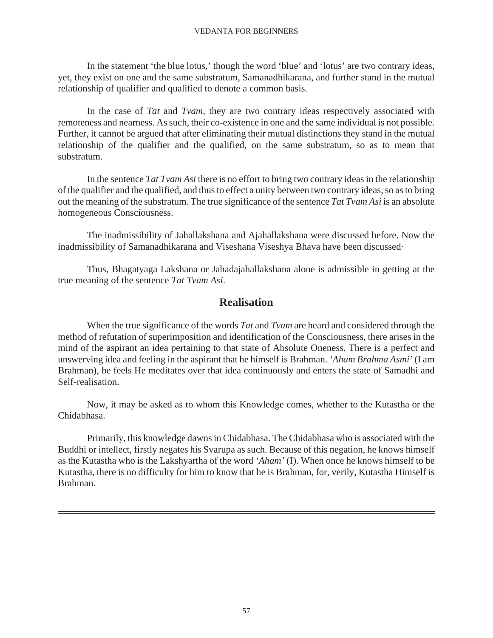In the statement 'the blue lotus,' though the word 'blue' and 'lotus' are two contrary ideas, yet, they exist on one and the same substratum, Samanadhikarana, and further stand in the mutual relationship of qualifier and qualified to denote a common basis.

In the case of *Tat* and *Tvam,* they are two contrary ideas respectively associated with remoteness and nearness. As such, their co-existence in one and the same individual is not possible. Further, it cannot be argued that after eliminating their mutual distinctions they stand in the mutual relationship of the qualifier and the qualified, on the same substratum, so as to mean that substratum.

In the sentence *Tat Tvam Asi* there is no effort to bring two contrary ideas in the relationship of the qualifier and the qualified, and thus to effect a unity between two contrary ideas, so as to bring out the meaning of the substratum. The true significance of the sentence *Tat Tvam Asi* is an absolute homogeneous Consciousness.

The inadmissibility of Jahallakshana and Ajahallakshana were discussed before. Now the inadmissibility of Samanadhikarana and Viseshana Viseshya Bhava have been discussed·

Thus, Bhagatyaga Lakshana or Jahadajahallakshana alone is admissible in getting at the true meaning of the sentence *Tat Tvam Asi*.

## **Realisation**

When the true significance of the words *Tat* and *Tvam* are heard and considered through the method of refutation of superimposition and identification of the Consciousness, there arises in the mind of the aspirant an idea pertaining to that state of Absolute Oneness. There is a perfect and unswerving idea and feeling in the aspirant that he himself is Brahman. *'Aham Brahma Asmi'* (I am Brahman), he feels He meditates over that idea continuously and enters the state of Samadhi and Self-realisation.

Now, it may be asked as to whom this Knowledge comes, whether to the Kutastha or the Chidabhasa.

Primarily, this knowledge dawns in Chidabhasa. The Chidabhasa who is associated with the Buddhi or intellect, firstly negates his Svarupa as such. Because of this negation, he knows himself as the Kutastha who is the Lakshyartha of the word *'Aham'* (I). When once he knows himself to be Kutastha, there is no difficulty for him to know that he is Brahman, for, verily, Kutastha Himself is Brahman.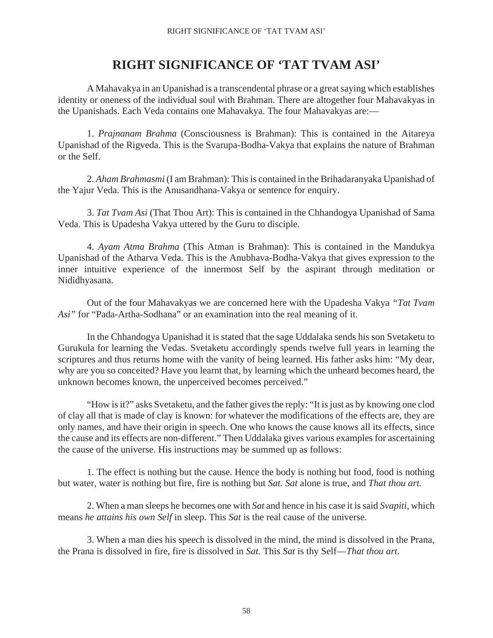# **RIGHT SIGNIFICANCE OF 'TAT TVAM ASI'**

A Mahavakya in an Upanishad is a transcendental phrase or a great saying which establishes identity or oneness of the individual soul with Brahman. There are altogether four Mahavakyas in the Upanishads. Each Veda contains one Mahavakya. The four Mahavakyas are:—

1. *Prajnanam Brahma* (Consciousness is Brahman): This is contained in the Aitareya Upanishad of the Rigveda. This is the Svarupa-Bodha-Vakya that explains the nature of Brahman or the Self.

2. *Aham Brahmasmi* (I am Brahman): This is contained in the Brihadaranyaka Upanishad of the Yajur Veda. This is the Anusandhana-Vakya or sentence for enquiry.

3. *Tat Tvam Asi* (That Thou Art): This is contained in the Chhandogya Upanishad of Sama Veda. This is Upadesha Vakya uttered by the Guru to disciple.

4. *Ayam Atma Brahma* (This Atman is Brahman): This is contained in the Mandukya Upanishad of the Atharva Veda. This is the Anubhava-Bodha-Vakya that gives expression to the inner intuitive experience of the innermost Self by the aspirant through meditation or Nididhyasana.

Out of the four Mahavakyas we are concerned here with the Upadesha Vakya *"Tat Tvam Asi"* for "Pada-Artha-Sodhana" or an examination into the real meaning of it.

In the Chhandogya Upanishad it is stated that the sage Uddalaka sends his son Svetaketu to Gurukula for learning the Vedas. Svetaketu accordingly spends twelve full years in learning the scriptures and thus returns home with the vanity of being learned. His father asks him: "My dear, why are you so conceited? Have you learnt that, by learning which the unheard becomes heard, the unknown becomes known, the unperceived becomes perceived."

"How is it?" asks Svetaketu, and the father gives the reply: "It is just as by knowing one clod of clay all that is made of clay is known: for whatever the modifications of the effects are, they are only names, and have their origin in speech. One who knows the cause knows all its effects, since the cause and its effects are non-different." Then Uddalaka gives various examples for ascertaining the cause of the universe. His instructions may be summed up as follows:

1. The effect is nothing but the cause. Hence the body is nothing but food, food is nothing but water, water is nothing but fire, fire is nothing but *Sat. Sat* alone is true, and *That thou art.*

2. When a man sleeps he becomes one with *Sat* and hence in his case it is said *Svapiti,* which means *he attains his own Self* in sleep. This *Sat* is the real cause of the universe.

3. When a man dies his speech is dissolved in the mind, the mind is dissolved in the Prana, the Prana is dissolved in fire, fire is dissolved in *Sat.* This *Sat* is thy Self—*That thou art.*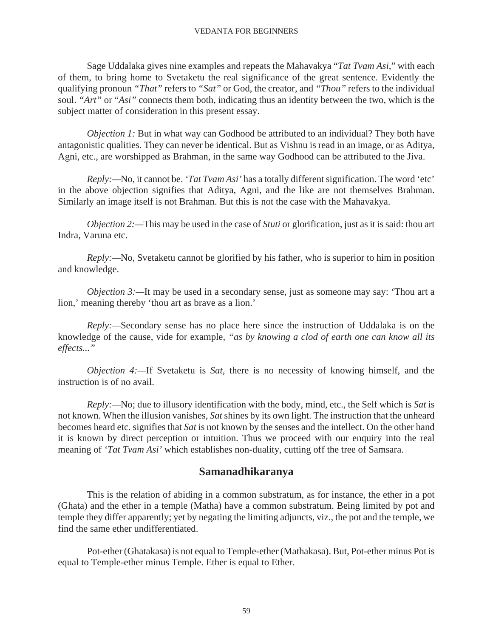Sage Uddalaka gives nine examples and repeats the Mahavakya "*Tat Tvam Asi*," with each of them, to bring home to Svetaketu the real significance of the great sentence. Evidently the qualifying pronoun *"That"* refers to *"Sat"* or God, the creator, and *"Thou"* refers to the individual soul. *"Art"* or "*Asi"* connects them both, indicating thus an identity between the two, which is the subject matter of consideration in this present essay.

*Objection 1:* But in what way can Godhood be attributed to an individual? They both have antagonistic qualities. They can never be identical. But as Vishnu is read in an image, or as Aditya, Agni, etc., are worshipped as Brahman, in the same way Godhood can be attributed to the Jiva.

*Reply:—*No, it cannot be. *'Tat Tvam Asi'* has a totally different signification. The word 'etc' in the above objection signifies that Aditya, Agni, and the like are not themselves Brahman. Similarly an image itself is not Brahman. But this is not the case with the Mahavakya.

*Objection 2:—*This may be used in the case of *Stuti* or glorification, just as it is said: thou art Indra, Varuna etc.

*Reply:—*No, Svetaketu cannot be glorified by his father, who is superior to him in position and knowledge.

*Objection 3:*—It may be used in a secondary sense, just as someone may say: 'Thou art a lion,' meaning thereby 'thou art as brave as a lion.'

*Reply:—*Secondary sense has no place here since the instruction of Uddalaka is on the knowledge of the cause, vide for example, *"as by knowing a clod of earth one can know all its effects..."*

*Objection 4:*—If Svetaketu is *Sat*, there is no necessity of knowing himself, and the instruction is of no avail.

*Reply:—*No; due to illusory identification with the body, mind, etc., the Self which is *Sat* is not known. When the illusion vanishes, *Sat* shines by its own light. The instruction that the unheard becomes heard etc. signifies that *Sat* is not known by the senses and the intellect. On the other hand it is known by direct perception or intuition. Thus we proceed with our enquiry into the real meaning of *'Tat Tvam Asi'* which establishes non-duality, cutting off the tree of Samsara.

## **Samanadhikaranya**

This is the relation of abiding in a common substratum, as for instance, the ether in a pot (Ghata) and the ether in a temple (Matha) have a common substratum. Being limited by pot and temple they differ apparently; yet by negating the limiting adjuncts, viz., the pot and the temple, we find the same ether undifferentiated.

Pot-ether (Ghatakasa) is not equal to Temple-ether (Mathakasa). But, Pot-ether minus Pot is equal to Temple-ether minus Temple. Ether is equal to Ether.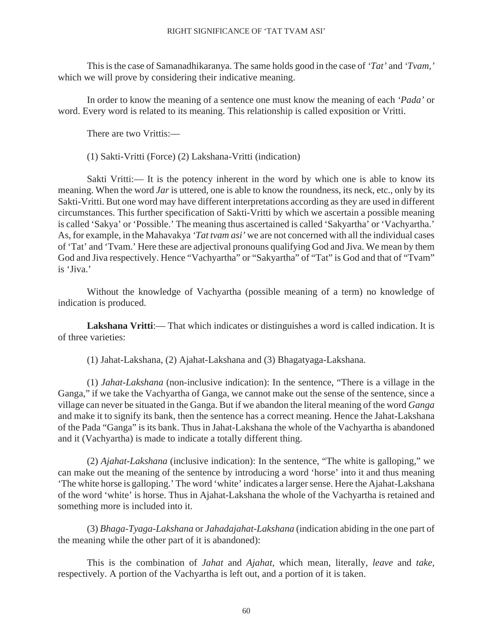This is the case of Samanadhikaranya. The same holds good in the case of *'Tat'* and *'Tvam,'* which we will prove by considering their indicative meaning.

In order to know the meaning of a sentence one must know the meaning of each *'Pada'* or word. Every word is related to its meaning. This relationship is called exposition or Vritti.

There are two Vrittis:—

(1) Sakti-Vritti (Force) (2) Lakshana-Vritti (indication)

Sakti Vritti:— It is the potency inherent in the word by which one is able to know its meaning. When the word *Jar* is uttered, one is able to know the roundness, its neck, etc., only by its Sakti-Vritti. But one word may have different interpretations according as they are used in different circumstances. This further specification of Sakti-Vritti by which we ascertain a possible meaning is called 'Sakya' or 'Possible.' The meaning thus ascertained is called 'Sakyartha' or 'Vachyartha.' As, for example, in the Mahavakya *'Tat tvam asi'* we are not concerned with all the individual cases of 'Tat' and 'Tvam.' Here these are adjectival pronouns qualifying God and Jiva. We mean by them God and Jiva respectively. Hence "Vachyartha" or "Sakyartha" of "Tat" is God and that of "Tvam" is 'Jiva.'

Without the knowledge of Vachyartha (possible meaning of a term) no knowledge of indication is produced.

**Lakshana Vritti**:— That which indicates or distinguishes a word is called indication. It is of three varieties:

(1) Jahat-Lakshana, (2) Ajahat-Lakshana and (3) Bhagatyaga-Lakshana.

(1) *Jahat-Lakshana* (non-inclusive indication): In the sentence, "There is a village in the Ganga," if we take the Vachyartha of Ganga, we cannot make out the sense of the sentence, since a village can never be situated in the Ganga. But if we abandon the literal meaning of the word *Ganga* and make it to signify its bank, then the sentence has a correct meaning. Hence the Jahat-Lakshana of the Pada "Ganga" is its bank. Thus in Jahat-Lakshana the whole of the Vachyartha is abandoned and it (Vachyartha) is made to indicate a totally different thing.

(2) *Ajahat-Lakshana* (inclusive indication): In the sentence, "The white is galloping," we can make out the meaning of the sentence by introducing a word 'horse' into it and thus meaning 'The white horse is galloping.' The word 'white' indicates a larger sense. Here the Ajahat-Lakshana of the word 'white' is horse. Thus in Ajahat-Lakshana the whole of the Vachyartha is retained and something more is included into it.

(3) *Bhaga-Tyaga-Lakshana* or *Jahadajahat-Lakshana* (indication abiding in the one part of the meaning while the other part of it is abandoned):

This is the combination of *Jahat* and *Ajahat,* which mean, literally, *leave* and *take,* respectively. A portion of the Vachyartha is left out, and a portion of it is taken.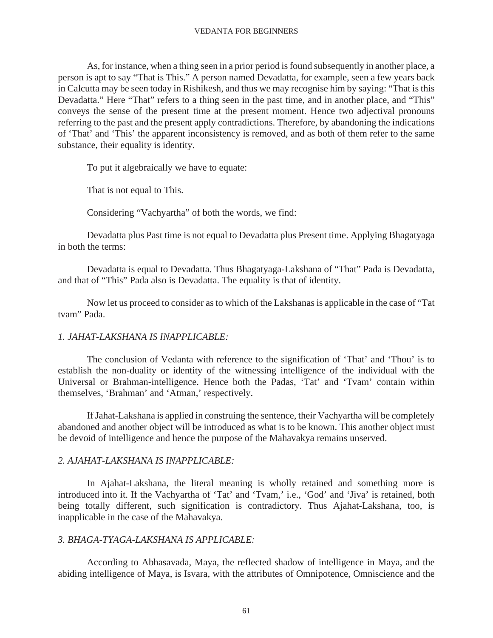As, for instance, when a thing seen in a prior period is found subsequently in another place, a person is apt to say "That is This." A person named Devadatta, for example, seen a few years back in Calcutta may be seen today in Rishikesh, and thus we may recognise him by saying: "That is this Devadatta." Here "That" refers to a thing seen in the past time, and in another place, and "This" conveys the sense of the present time at the present moment. Hence two adjectival pronouns referring to the past and the present apply contradictions. Therefore, by abandoning the indications of 'That' and 'This' the apparent inconsistency is removed, and as both of them refer to the same substance, their equality is identity.

To put it algebraically we have to equate:

That is not equal to This.

Considering "Vachyartha" of both the words, we find:

Devadatta plus Past time is not equal to Devadatta plus Present time. Applying Bhagatyaga in both the terms:

Devadatta is equal to Devadatta. Thus Bhagatyaga-Lakshana of "That" Pada is Devadatta, and that of "This" Pada also is Devadatta. The equality is that of identity.

Now let us proceed to consider as to which of the Lakshanas is applicable in the case of "Tat tvam" Pada.

### *1. JAHAT-LAKSHANA IS INAPPLICABLE:*

The conclusion of Vedanta with reference to the signification of 'That' and 'Thou' is to establish the non-duality or identity of the witnessing intelligence of the individual with the Universal or Brahman-intelligence. Hence both the Padas, 'Tat' and 'Tvam' contain within themselves, 'Brahman' and 'Atman,' respectively.

If Jahat-Lakshana is applied in construing the sentence, their Vachyartha will be completely abandoned and another object will be introduced as what is to be known. This another object must be devoid of intelligence and hence the purpose of the Mahavakya remains unserved.

### *2. AJAHAT-LAKSHANA IS INAPPLICABLE:*

In Ajahat-Lakshana, the literal meaning is wholly retained and something more is introduced into it. If the Vachyartha of 'Tat' and 'Tvam,' i.e., 'God' and 'Jiva' is retained, both being totally different, such signification is contradictory. Thus Ajahat-Lakshana, too, is inapplicable in the case of the Mahavakya.

### *3. BHAGA-TYAGA-LAKSHANA IS APPLICABLE:*

According to Abhasavada, Maya, the reflected shadow of intelligence in Maya, and the abiding intelligence of Maya, is Isvara, with the attributes of Omnipotence, Omniscience and the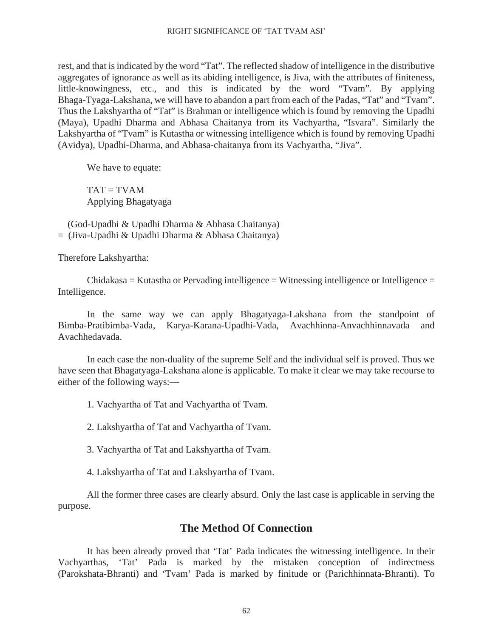rest, and that is indicated by the word "Tat". The reflected shadow of intelligence in the distributive aggregates of ignorance as well as its abiding intelligence, is Jiva, with the attributes of finiteness, little-knowingness, etc., and this is indicated by the word "Tvam". By applying Bhaga-Tyaga-Lakshana, we will have to abandon a part from each of the Padas, "Tat" and "Tvam". Thus the Lakshyartha of "Tat" is Brahman or intelligence which is found by removing the Upadhi (Maya), Upadhi Dharma and Abhasa Chaitanya from its Vachyartha, "Isvara". Similarly the Lakshyartha of "Tvam" is Kutastha or witnessing intelligence which is found by removing Upadhi (Avidya), Upadhi-Dharma, and Abhasa-chaitanya from its Vachyartha, "Jiva".

We have to equate:

 $TAT = TVAM$ Applying Bhagatyaga

(God-Upadhi & Upadhi Dharma & Abhasa Chaitanya)  $=$  (Jiva-Upadhi & Upadhi Dharma & Abhasa Chaitanya)

Therefore Lakshyartha:

 $Chidakasa = Kutastha$  or  $Pervading$  intelligence  $= Witnessing$  intelligence or Intelligence  $=$ Intelligence.

In the same way we can apply Bhagatyaga-Lakshana from the standpoint of Bimba-Pratibimba-Vada, Karya-Karana-Upadhi-Vada, Avachhinna-Anvachhinnavada and Avachhedavada.

In each case the non-duality of the supreme Self and the individual self is proved. Thus we have seen that Bhagatyaga-Lakshana alone is applicable. To make it clear we may take recourse to either of the following ways:—

1. Vachyartha of Tat and Vachyartha of Tvam.

2. Lakshyartha of Tat and Vachyartha of Tvam.

3. Vachyartha of Tat and Lakshyartha of Tvam.

4. Lakshyartha of Tat and Lakshyartha of Tvam.

All the former three cases are clearly absurd. Only the last case is applicable in serving the purpose.

## **The Method Of Connection**

It has been already proved that 'Tat' Pada indicates the witnessing intelligence. In their Vachyarthas, 'Tat' Pada is marked by the mistaken conception of indirectness (Parokshata-Bhranti) and 'Tvam' Pada is marked by finitude or (Parichhinnata-Bhranti). To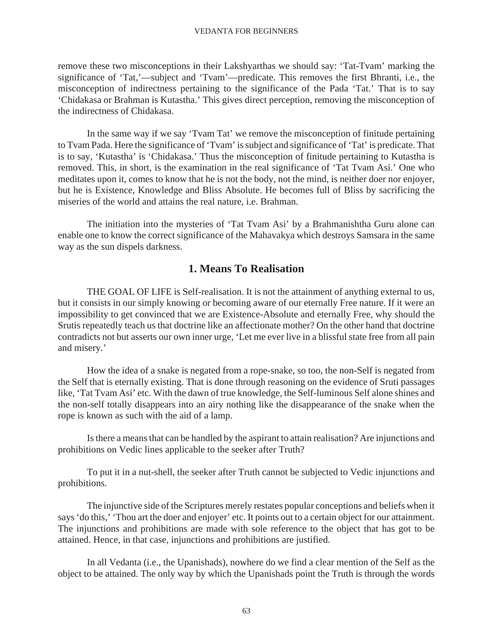remove these two misconceptions in their Lakshyarthas we should say: 'Tat-Tvam' marking the significance of 'Tat,'—subject and 'Tvam'—predicate. This removes the first Bhranti, i.e., the misconception of indirectness pertaining to the significance of the Pada 'Tat.' That is to say 'Chidakasa or Brahman is Kutastha.' This gives direct perception, removing the misconception of the indirectness of Chidakasa.

In the same way if we say 'Tvam Tat' we remove the misconception of finitude pertaining to Tvam Pada. Here the significance of 'Tvam' is subject and significance of 'Tat' is predicate. That is to say, 'Kutastha' is 'Chidakasa.' Thus the misconception of finitude pertaining to Kutastha is removed. This, in short, is the examination in the real significance of 'Tat Tvam Asi.' One who meditates upon it, comes to know that he is not the body, not the mind, is neither doer nor enjoyer, but he is Existence, Knowledge and Bliss Absolute. He becomes full of Bliss by sacrificing the miseries of the world and attains the real nature, i.e. Brahman.

The initiation into the mysteries of 'Tat Tvam Asi' by a Brahmanishtha Guru alone can enable one to know the correct significance of the Mahavakya which destroys Samsara in the same way as the sun dispels darkness.

## **1. Means To Realisation**

THE GOAL OF LIFE is Self-realisation. It is not the attainment of anything external to us, but it consists in our simply knowing or becoming aware of our eternally Free nature. If it were an impossibility to get convinced that we are Existence-Absolute and eternally Free, why should the Srutis repeatedly teach us that doctrine like an affectionate mother? On the other hand that doctrine contradicts not but asserts our own inner urge, 'Let me ever live in a blissful state free from all pain and misery.'

How the idea of a snake is negated from a rope-snake, so too, the non-Self is negated from the Self that is eternally existing. That is done through reasoning on the evidence of Sruti passages like, 'Tat Tvam Asi' etc. With the dawn of true knowledge, the Self-luminous Self alone shines and the non-self totally disappears into an airy nothing like the disappearance of the snake when the rope is known as such with the aid of a lamp.

Is there a means that can be handled by the aspirant to attain realisation? Are injunctions and prohibitions on Vedic lines applicable to the seeker after Truth?

To put it in a nut-shell, the seeker after Truth cannot be subjected to Vedic injunctions and prohibitions.

The injunctive side of the Scriptures merely restates popular conceptions and beliefs when it says 'do this,' 'Thou art the doer and enjoyer' etc. It points out to a certain object for our attainment. The injunctions and prohibitions are made with sole reference to the object that has got to be attained. Hence, in that case, injunctions and prohibitions are justified.

In all Vedanta (i.e., the Upanishads), nowhere do we find a clear mention of the Self as the object to be attained. The only way by which the Upanishads point the Truth is through the words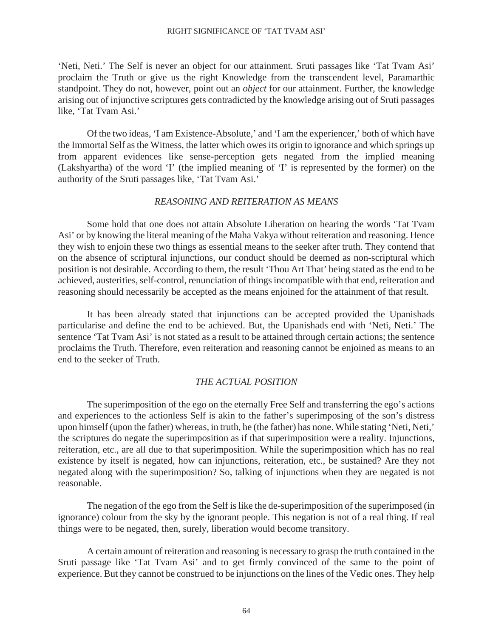#### RIGHT SIGNIFICANCE OF 'TAT TVAM ASI'

'Neti, Neti.' The Self is never an object for our attainment. Sruti passages like 'Tat Tvam Asi' proclaim the Truth or give us the right Knowledge from the transcendent level, Paramarthic standpoint. They do not, however, point out an *object* for our attainment. Further, the knowledge arising out of injunctive scriptures gets contradicted by the knowledge arising out of Sruti passages like, 'Tat Tvam Asi.'

Of the two ideas, 'I am Existence-Absolute,' and 'I am the experiencer,' both of which have the Immortal Self as the Witness, the latter which owes its origin to ignorance and which springs up from apparent evidences like sense-perception gets negated from the implied meaning (Lakshyartha) of the word 'I' (the implied meaning of 'I' is represented by the former) on the authority of the Sruti passages like, 'Tat Tvam Asi.'

#### *REASONING AND REITERATION AS MEANS*

Some hold that one does not attain Absolute Liberation on hearing the words 'Tat Tvam Asi' or by knowing the literal meaning of the Maha Vakya without reiteration and reasoning. Hence they wish to enjoin these two things as essential means to the seeker after truth. They contend that on the absence of scriptural injunctions, our conduct should be deemed as non-scriptural which position is not desirable. According to them, the result 'Thou Art That' being stated as the end to be achieved, austerities, self-control, renunciation of things incompatible with that end, reiteration and reasoning should necessarily be accepted as the means enjoined for the attainment of that result.

It has been already stated that injunctions can be accepted provided the Upanishads particularise and define the end to be achieved. But, the Upanishads end with 'Neti, Neti.' The sentence 'Tat Tvam Asi' is not stated as a result to be attained through certain actions; the sentence proclaims the Truth. Therefore, even reiteration and reasoning cannot be enjoined as means to an end to the seeker of Truth.

#### *THE ACTUAL POSITION*

The superimposition of the ego on the eternally Free Self and transferring the ego's actions and experiences to the actionless Self is akin to the father's superimposing of the son's distress upon himself (upon the father) whereas, in truth, he (the father) has none. While stating 'Neti, Neti,' the scriptures do negate the superimposition as if that superimposition were a reality. Injunctions, reiteration, etc., are all due to that superimposition. While the superimposition which has no real existence by itself is negated, how can injunctions, reiteration, etc., be sustained? Are they not negated along with the superimposition? So, talking of injunctions when they are negated is not reasonable.

The negation of the ego from the Self is like the de-superimposition of the superimposed (in ignorance) colour from the sky by the ignorant people. This negation is not of a real thing. If real things were to be negated, then, surely, liberation would become transitory.

A certain amount of reiteration and reasoning is necessary to grasp the truth contained in the Sruti passage like 'Tat Tvam Asi' and to get firmly convinced of the same to the point of experience. But they cannot be construed to be injunctions on the lines of the Vedic ones. They help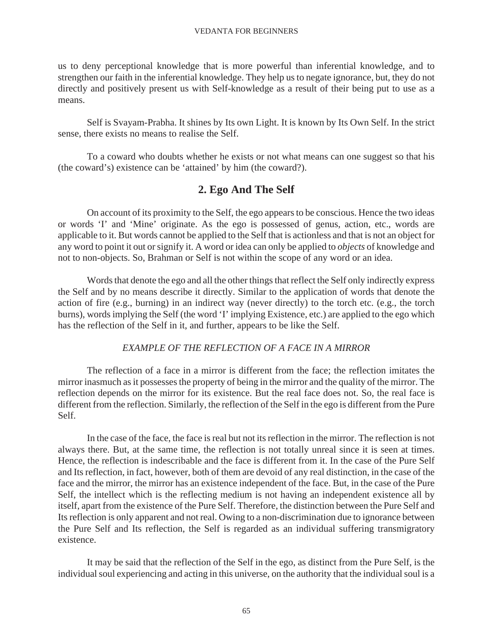us to deny perceptional knowledge that is more powerful than inferential knowledge, and to strengthen our faith in the inferential knowledge. They help us to negate ignorance, but, they do not directly and positively present us with Self-knowledge as a result of their being put to use as a means.

Self is Svayam-Prabha. It shines by Its own Light. It is known by Its Own Self. In the strict sense, there exists no means to realise the Self.

To a coward who doubts whether he exists or not what means can one suggest so that his (the coward's) existence can be 'attained' by him (the coward?).

## **2. Ego And The Self**

On account of its proximity to the Self, the ego appears to be conscious. Hence the two ideas or words 'I' and 'Mine' originate. As the ego is possessed of genus, action, etc., words are applicable to it. But words cannot be applied to the Self that is actionless and that is not an object for any word to point it out or signify it. A word or idea can only be applied to *objects* of knowledge and not to non-objects. So, Brahman or Self is not within the scope of any word or an idea.

Words that denote the ego and all the other things that reflect the Self only indirectly express the Self and by no means describe it directly. Similar to the application of words that denote the action of fire (e.g., burning) in an indirect way (never directly) to the torch etc. (e.g., the torch burns), words implying the Self (the word 'I' implying Existence, etc.) are applied to the ego which has the reflection of the Self in it, and further, appears to be like the Self.

## *EXAMPLE OF THE REFLECTION OF A FACE IN A MIRROR*

The reflection of a face in a mirror is different from the face; the reflection imitates the mirror inasmuch as it possesses the property of being in the mirror and the quality of the mirror. The reflection depends on the mirror for its existence. But the real face does not. So, the real face is different from the reflection. Similarly, the reflection of the Self in the ego is different from the Pure Self.

In the case of the face, the face is real but not its reflection in the mirror. The reflection is not always there. But, at the same time, the reflection is not totally unreal since it is seen at times. Hence, the reflection is indescribable and the face is different from it. In the case of the Pure Self and Its reflection, in fact, however, both of them are devoid of any real distinction, in the case of the face and the mirror, the mirror has an existence independent of the face. But, in the case of the Pure Self, the intellect which is the reflecting medium is not having an independent existence all by itself, apart from the existence of the Pure Self. Therefore, the distinction between the Pure Self and Its reflection is only apparent and not real. Owing to a non-discrimination due to ignorance between the Pure Self and Its reflection, the Self is regarded as an individual suffering transmigratory existence.

It may be said that the reflection of the Self in the ego, as distinct from the Pure Self, is the individual soul experiencing and acting in this universe, on the authority that the individual soul is a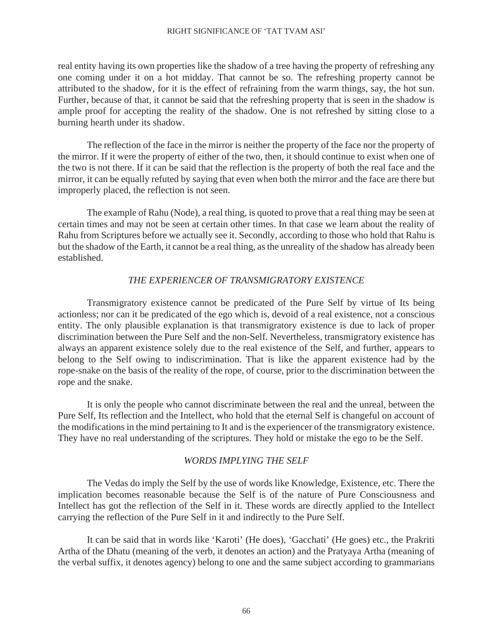#### RIGHT SIGNIFICANCE OF 'TAT TVAM ASI'

real entity having its own properties like the shadow of a tree having the property of refreshing any one coming under it on a hot midday. That cannot be so. The refreshing property cannot be attributed to the shadow, for it is the effect of refraining from the warm things, say, the hot sun. Further, because of that, it cannot be said that the refreshing property that is seen in the shadow is ample proof for accepting the reality of the shadow. One is not refreshed by sitting close to a burning hearth under its shadow.

The reflection of the face in the mirror is neither the property of the face nor the property of the mirror. If it were the property of either of the two, then, it should continue to exist when one of the two is not there. If it can be said that the reflection is the property of both the real face and the mirror, it can be equally refuted by saying that even when both the mirror and the face are there but improperly placed, the reflection is not seen.

The example of Rahu (Node), a real thing, is quoted to prove that a real thing may be seen at certain times and may not be seen at certain other times. In that case we learn about the reality of Rahu from Scriptures before we actually see it. Secondly, according to those who hold that Rahu is but the shadow of the Earth, it cannot be a real thing, as the unreality of the shadow has already been established.

### *THE EXPERIENCER OF TRANSMIGRATORY EXISTENCE*

Transmigratory existence cannot be predicated of the Pure Self by virtue of Its being actionless; nor can it be predicated of the ego which is, devoid of a real existence, not a conscious entity. The only plausible explanation is that transmigratory existence is due to lack of proper discrimination between the Pure Self and the non-Self. Nevertheless, transmigratory existence has always an apparent existence solely due to the real existence of the Self, and further, appears to belong to the Self owing to indiscrimination. That is like the apparent existence had by the rope-snake on the basis of the reality of the rope, of course, prior to the discrimination between the rope and the snake.

It is only the people who cannot discriminate between the real and the unreal, between the Pure Self, Its reflection and the Intellect, who hold that the eternal Self is changeful on account of the modifications in the mind pertaining to It and is the experiencer of the transmigratory existence. They have no real understanding of the scriptures. They hold or mistake the ego to be the Self.

### *WORDS IMPLYING THE SELF*

The Vedas do imply the Self by the use of words like Knowledge, Existence, etc. There the implication becomes reasonable because the Self is of the nature of Pure Consciousness and Intellect has got the reflection of the Self in it. These words are directly applied to the Intellect carrying the reflection of the Pure Self in it and indirectly to the Pure Self.

It can be said that in words like 'Karoti' (He does), 'Gacchati' (He goes) etc., the Prakriti Artha of the Dhatu (meaning of the verb, it denotes an action) and the Pratyaya Artha (meaning of the verbal suffix, it denotes agency) belong to one and the same subject according to grammarians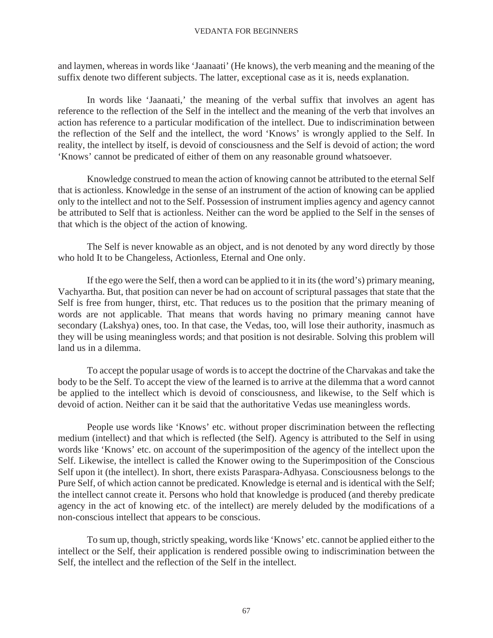and laymen, whereas in words like 'Jaanaati' (He knows), the verb meaning and the meaning of the suffix denote two different subjects. The latter, exceptional case as it is, needs explanation.

In words like 'Jaanaati,' the meaning of the verbal suffix that involves an agent has reference to the reflection of the Self in the intellect and the meaning of the verb that involves an action has reference to a particular modification of the intellect. Due to indiscrimination between the reflection of the Self and the intellect, the word 'Knows' is wrongly applied to the Self. In reality, the intellect by itself, is devoid of consciousness and the Self is devoid of action; the word 'Knows' cannot be predicated of either of them on any reasonable ground whatsoever.

Knowledge construed to mean the action of knowing cannot be attributed to the eternal Self that is actionless. Knowledge in the sense of an instrument of the action of knowing can be applied only to the intellect and not to the Self. Possession of instrument implies agency and agency cannot be attributed to Self that is actionless. Neither can the word be applied to the Self in the senses of that which is the object of the action of knowing.

The Self is never knowable as an object, and is not denoted by any word directly by those who hold It to be Changeless, Actionless, Eternal and One only.

If the ego were the Self, then a word can be applied to it in its (the word's) primary meaning, Vachyartha. But, that position can never be had on account of scriptural passages that state that the Self is free from hunger, thirst, etc. That reduces us to the position that the primary meaning of words are not applicable. That means that words having no primary meaning cannot have secondary (Lakshya) ones, too. In that case, the Vedas, too, will lose their authority, inasmuch as they will be using meaningless words; and that position is not desirable. Solving this problem will land us in a dilemma.

To accept the popular usage of words is to accept the doctrine of the Charvakas and take the body to be the Self. To accept the view of the learned is to arrive at the dilemma that a word cannot be applied to the intellect which is devoid of consciousness, and likewise, to the Self which is devoid of action. Neither can it be said that the authoritative Vedas use meaningless words.

People use words like 'Knows' etc. without proper discrimination between the reflecting medium (intellect) and that which is reflected (the Self). Agency is attributed to the Self in using words like 'Knows' etc. on account of the superimposition of the agency of the intellect upon the Self. Likewise, the intellect is called the Knower owing to the Superimposition of the Conscious Self upon it (the intellect). In short, there exists Paraspara-Adhyasa. Consciousness belongs to the Pure Self, of which action cannot be predicated. Knowledge is eternal and is identical with the Self; the intellect cannot create it. Persons who hold that knowledge is produced (and thereby predicate agency in the act of knowing etc. of the intellect) are merely deluded by the modifications of a non-conscious intellect that appears to be conscious.

To sum up, though, strictly speaking, words like 'Knows' etc. cannot be applied either to the intellect or the Self, their application is rendered possible owing to indiscrimination between the Self, the intellect and the reflection of the Self in the intellect.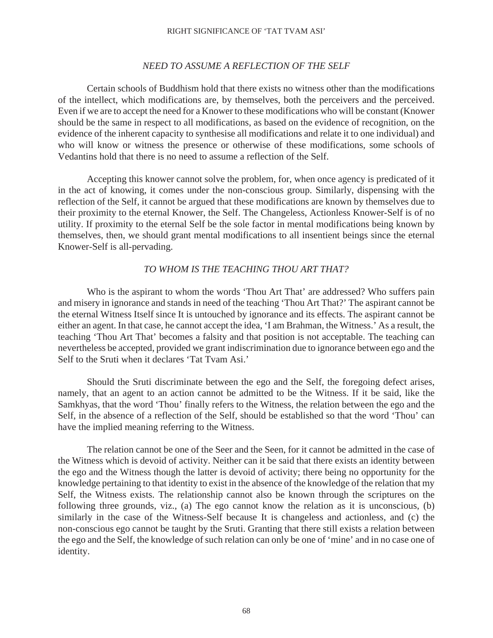#### RIGHT SIGNIFICANCE OF 'TAT TVAM ASI'

#### *NEED TO ASSUME A REFLECTION OF THE SELF*

Certain schools of Buddhism hold that there exists no witness other than the modifications of the intellect, which modifications are, by themselves, both the perceivers and the perceived. Even if we are to accept the need for a Knower to these modifications who will be constant (Knower should be the same in respect to all modifications, as based on the evidence of recognition, on the evidence of the inherent capacity to synthesise all modifications and relate it to one individual) and who will know or witness the presence or otherwise of these modifications, some schools of Vedantins hold that there is no need to assume a reflection of the Self.

Accepting this knower cannot solve the problem, for, when once agency is predicated of it in the act of knowing, it comes under the non-conscious group. Similarly, dispensing with the reflection of the Self, it cannot be argued that these modifications are known by themselves due to their proximity to the eternal Knower, the Self. The Changeless, Actionless Knower-Self is of no utility. If proximity to the eternal Self be the sole factor in mental modifications being known by themselves, then, we should grant mental modifications to all insentient beings since the eternal Knower-Self is all-pervading.

#### *TO WHOM IS THE TEACHING THOU ART THAT?*

Who is the aspirant to whom the words 'Thou Art That' are addressed? Who suffers pain and misery in ignorance and stands in need of the teaching 'Thou Art That?' The aspirant cannot be the eternal Witness Itself since It is untouched by ignorance and its effects. The aspirant cannot be either an agent. In that case, he cannot accept the idea, 'I am Brahman, the Witness.' As a result, the teaching 'Thou Art That' becomes a falsity and that position is not acceptable. The teaching can nevertheless be accepted, provided we grant indiscrimination due to ignorance between ego and the Self to the Sruti when it declares 'Tat Tvam Asi.'

Should the Sruti discriminate between the ego and the Self, the foregoing defect arises, namely, that an agent to an action cannot be admitted to be the Witness. If it be said, like the Samkhyas, that the word 'Thou' finally refers to the Witness, the relation between the ego and the Self, in the absence of a reflection of the Self, should be established so that the word 'Thou' can have the implied meaning referring to the Witness.

The relation cannot be one of the Seer and the Seen, for it cannot be admitted in the case of the Witness which is devoid of activity. Neither can it be said that there exists an identity between the ego and the Witness though the latter is devoid of activity; there being no opportunity for the knowledge pertaining to that identity to exist in the absence of the knowledge of the relation that my Self, the Witness exists. The relationship cannot also be known through the scriptures on the following three grounds, viz., (a) The ego cannot know the relation as it is unconscious, (b) similarly in the case of the Witness-Self because It is changeless and actionless, and (c) the non-conscious ego cannot be taught by the Sruti. Granting that there still exists a relation between the ego and the Self, the knowledge of such relation can only be one of 'mine' and in no case one of identity.